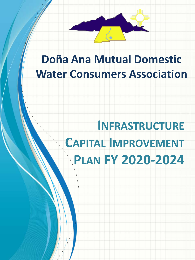

# **Doña Ana Mutual Domestic Water Consumers Association**

# **INFRASTRUCTURE CAPITAL IMPROVEMENT PLAN FY 2020-2024**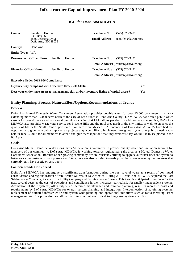## **ICIP for Dona Ana MDWCA**

| <b>Contact:</b>                | Jennifer J. Horton<br>P.O. Box 866<br>5535 Ledesma Drive<br>Doña Ana, NM 88032 |                                                                                            | <b>Telephone No.:</b><br><b>Email Address:</b> | $(575)$ 526-3491<br>jennifer@dawater.org   |     |
|--------------------------------|--------------------------------------------------------------------------------|--------------------------------------------------------------------------------------------|------------------------------------------------|--------------------------------------------|-----|
| <b>County:</b>                 | Dona Ana                                                                       |                                                                                            |                                                |                                            |     |
| <b>Entity Type:</b>            | <b>WA</b>                                                                      |                                                                                            |                                                |                                            |     |
|                                |                                                                                | <b>Procurement Officer Name:</b> Jennifer J. Horton                                        | <b>Telephone No.:</b>                          | $(575)$ 526-3491                           |     |
|                                |                                                                                |                                                                                            |                                                | <b>Email Address:</b> jennifer@dawater.org |     |
| <b>Financial Officer Name:</b> |                                                                                | Jennifer J. Horton                                                                         | <b>Telephone No.:</b>                          | $(575)$ 526-3491                           |     |
|                                |                                                                                |                                                                                            |                                                | <b>Email Address:</b> jennifer@dawater.org |     |
|                                | <b>Executive Order 2013-006 Compliance</b>                                     |                                                                                            |                                                |                                            |     |
|                                |                                                                                | Is your entity compliant with Executive Order 2013-006?                                    |                                                |                                            | Yes |
|                                |                                                                                | Does your entity have an asset management plan and/or inventory listing of capital assets? |                                                |                                            | Yes |

### **Entity Planning: Process, Nature/Effect/Options/Recommendations of Trends**

#### **Process**

Doña Ana Mutual Domestic Water Consumers Association provides potable water for over 15,000 consumers in an area extending more than 17,000 acres north of the City of Las Cruces in Doña Ana County. DAMDWCA has been a public water system for over 40 years and has a total pumping capacity of 6.1 M gallons per day. In addition to water service, Doña Ana MDWCA also provides wastewater service for Picacho Hills and the rural area north of the city limits, as well, to enhance the quality of life in the South Central portion of Southern New Mexico. All members of Dona Ana MDWCA have had the opportunity to give there public input on an projects they would like to implement through our system. A public meeting was held in June 6, 2018 for all members to attend and give there input on what improvements they would like to see placed in the ICIP plan.

#### **Goals**

Doña Ana Mutual Domestic Water Consumers Association is committed to provide quality water and sanitation services for members of our community. Doña Ana MDWCA is working towards regionalizing the area as a Mutual Domestic Water Consumers Association. Because of our growing community, we are constantly striving to upgrade our water lines and system to better serve our customers, both present and future. We are also working towards providing a wastewater system to areas that currently only have septic or cess pools.

#### **Factors/Trends Considered**

Doña Ana MDWCA has undergone a significant transformation during the past several years as a result of continued consolidation and regionalization of rural water systems in New Mexico. During 2013 Doña Ana MDWCA acquired the Fort Selden Water Company, Picacho Hills Utility Company and Fairview Water System. This trend is anticipated to continue for the next several years as the cost of operations and compliance further increases, particularly for smaller, independent systems. Acquisition of these systems, often subjects of deferred maintenance and minimal planning, result in increased costs and requirements by Doña Ana MDWCA for overall system planning and integration. Interconnection of adjoining systems, replacement of outdated infrastructure and system-wide planning and operational initiatives such as radio metering, asset management and fire protection are all capital intensive but are critical to long-term system viability.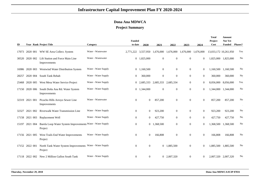## **Dona Ana MDWCA**

#### **Project Summary**

|       |                |                                                                       |                      | <b>Funded</b>       |                |                               |                |                     |                  | <b>Total</b><br>Project | <b>Amount</b><br>Not Yet |                |
|-------|----------------|-----------------------------------------------------------------------|----------------------|---------------------|----------------|-------------------------------|----------------|---------------------|------------------|-------------------------|--------------------------|----------------|
| ID    |                | <b>Year Rank Project Title</b>                                        | Category             | to date             | 2020           | 2021                          | 2022           | 2023                | 2024             | Cost                    | <b>Funded</b>            | <b>Phases?</b> |
|       |                | 17073 2020 001 WW SE Area Collect. System                             | Water - Wastewater   | 2,771,222 3,557,950 |                | 1,676,000                     |                | 1,676,000 1,676,000 | 1,676,000        | 13,033,172 10,261,950   |                          | Yes            |
|       | 30520 2020 002 | Lift Station and Force Main Line<br>Improvements                      | Water - Wastewater   |                     | 0 1,825,000    | $\mathbf{0}$                  | $\Omega$       | $\overline{0}$      | $\Omega$         |                         | 1,825,000 1,825,000      | N <sub>0</sub> |
|       |                | 16986 2020 003 Westwind Water Distribution System                     | Water - Water Supply | $\overline{0}$      | 1,160,500      | $\mathbf{0}$                  | $\overline{0}$ | $\overline{0}$      | $\boldsymbol{0}$ |                         | 1,160,500 1,160,500      | No             |
| 28257 | 2020 004       | South Tank Rehab                                                      | Water - Water Supply | $\mathbf{0}$        | 360,000        | $\mathbf{0}$                  | $\overline{0}$ | $\mathbf{0}$        | $\mathbf{0}$     | 360,000                 | 360,000                  | No             |
| 25468 | 2020 005       | West Mesa Water Service Project                                       | Water - Water Supply | $\overline{0}$      |                | 2,685,333 2,685,333 2,685,334 |                | $\mathbf{0}$        | $\boldsymbol{0}$ |                         | 8,056,000 8,056,000      | Yes            |
| 17150 | 2020 006       | South Doña Ana Rd. Water System<br>Improvements                       | Water - Water Supply | $\overline{0}$      | 1,344,000      | $\mathbf{0}$                  | $\overline{0}$ | $\overline{0}$      | $\theta$         |                         | 1,344,000 1,344,000      | No             |
|       | 32319 2021 001 | Picacho Hills Arroyo Sewer Line<br>Improvements                       | Water - Wastewater   | $\mathbf{0}$        | $\overline{0}$ | 857,200                       | $\overline{0}$ | $\mathbf{0}$        | $\boldsymbol{0}$ | 857,200                 | 857,200                  | No             |
| 32327 | 2021 002       | <b>Riverwalk Water Transmission Line</b>                              | Water - Water Supply | $\overline{0}$      | $\overline{0}$ | 923,200                       | $\overline{0}$ | $\overline{0}$      | $\mathbf{0}$     | 923,200                 | 923,200                  | No             |
|       | 17158 2021 003 | Replacement Well                                                      | Water - Water Supply | $\overline{0}$      | $\overline{0}$ | 427,750                       | $\overline{0}$ | $\overline{0}$      | $\overline{0}$   | 427,750                 | 427,750                  | No             |
| 15197 | 2021 004       | Barela Loop Water System Improvements Water - Water Supply<br>Project |                      | $\mathbf{0}$        |                | 0 1,368,500                   | $\overline{0}$ | $\mathbf{0}$        | $\Omega$         |                         | 1,368,500 1,368,500      | No             |
|       | 17156 2021 005 | West Trails End Water Improvements<br>Project                         | Water - Water Supply | $\overline{0}$      | $\Omega$       | 166,808                       | $\overline{0}$ | $\overline{0}$      | $\mathbf{0}$     | 166,808                 | 166,808                  | No             |
|       | 17152 2022 001 | North Tank Water System Improvements Water - Water Supply<br>Project  |                      | $\overline{0}$      | $\overline{0}$ | $\overline{0}$                | 1,885,500      | $\overline{0}$      | $\theta$         |                         | 1,885,500 1,885,500      | No             |
|       | 17118 2022 002 | New 2 Million Gallon South Tank                                       | Water - Water Supply | $\mathbf{0}$        | $\overline{0}$ |                               | 0 2,007,320    | $\overline{0}$      | $\theta$         |                         | 2,007,320 2,007,320      | No             |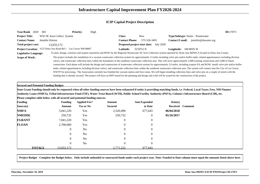| Year/Rank 2020<br>001                        |                                                                             | <b>Priority:</b><br>High |                                                                                                                                                                |                                               |                               | ID:17073                                                                                                                                                                                                                                                                                                                                                                                                                                                                                                                                                                                                                                                                                                                                                                                                                                                                                                                                                                           |
|----------------------------------------------|-----------------------------------------------------------------------------|--------------------------|----------------------------------------------------------------------------------------------------------------------------------------------------------------|-----------------------------------------------|-------------------------------|------------------------------------------------------------------------------------------------------------------------------------------------------------------------------------------------------------------------------------------------------------------------------------------------------------------------------------------------------------------------------------------------------------------------------------------------------------------------------------------------------------------------------------------------------------------------------------------------------------------------------------------------------------------------------------------------------------------------------------------------------------------------------------------------------------------------------------------------------------------------------------------------------------------------------------------------------------------------------------|
| <b>Project Title:</b>                        | WW SE Area Collect. System                                                  |                          | <b>Class:</b>                                                                                                                                                  | <b>New</b>                                    |                               | Type/Subtype: Water - Wastewater                                                                                                                                                                                                                                                                                                                                                                                                                                                                                                                                                                                                                                                                                                                                                                                                                                                                                                                                                   |
| <b>Contact Name:</b>                         | Jennifer Horton                                                             |                          | <b>Contact Phone:</b>                                                                                                                                          | 575-526-3491                                  |                               | Contact E-mail: jennifer@dawater.org                                                                                                                                                                                                                                                                                                                                                                                                                                                                                                                                                                                                                                                                                                                                                                                                                                                                                                                                               |
| Total project cost:                          | 13,033,172                                                                  |                          |                                                                                                                                                                | <b>Proposed project start date:</b> July 2020 |                               |                                                                                                                                                                                                                                                                                                                                                                                                                                                                                                                                                                                                                                                                                                                                                                                                                                                                                                                                                                                    |
|                                              | Project Location: 3125 Dona Ana Road Rd 1 Las Cruces NM 88007               |                          | Latitude:                                                                                                                                                      | 32'20'52 N                                    | <b>Longitude:</b> 106'48'05 W |                                                                                                                                                                                                                                                                                                                                                                                                                                                                                                                                                                                                                                                                                                                                                                                                                                                                                                                                                                                    |
| <b>Legislative Language:</b>                 |                                                                             |                          |                                                                                                                                                                |                                               |                               | To plan, design, construct and acquire easements and ROW for the Regional Wastewater SE Area Collection system operated by Dona Ana MDWCA located in Dona Ana County.                                                                                                                                                                                                                                                                                                                                                                                                                                                                                                                                                                                                                                                                                                                                                                                                              |
| <b>Scope of Work:</b>                        |                                                                             |                          | funding that is already secured. The project will have an RFP issued for the planning and design and a bid will be issued for the construction of the project. |                                               |                               | The project includes the installation of a vacuum wastewater collection system for approximately 13 miles including valve pits and/or buffer tanks, related appurtenances including division<br>valves, and wastewater collection lines within the boundaries of the southeast wastewater collection area. This will serve approximately 2,000 existing connections and 2,000 of future<br>connections. Each phase will include the design and construction of wastewater collection system for approximately 2.6 miles, including acquire EA and ROW, install valve pits and/or buffer<br>tanks, related appurtenances including division valves, and wastewater collection lines within the southeast wastewater collection area. The system will connect into the City of Las Cruces<br>WWTP for processing. The Association currently has finished the vacuum station and force main. We will begin installing collection lines and valve pits on a couple of streets with the |
| <b>Secured and Potential Funding Budget:</b> |                                                                             |                          |                                                                                                                                                                |                                               |                               |                                                                                                                                                                                                                                                                                                                                                                                                                                                                                                                                                                                                                                                                                                                                                                                                                                                                                                                                                                                    |
|                                              |                                                                             |                          |                                                                                                                                                                |                                               |                               | State Grant Funding should only be requested when all other funding sources have been exhausted if entity is providing matching funds, i.e. Federal, Local Taxes, Fees, NM Finance                                                                                                                                                                                                                                                                                                                                                                                                                                                                                                                                                                                                                                                                                                                                                                                                 |
|                                              |                                                                             |                          |                                                                                                                                                                |                                               |                               | Authority Loans (NMFA), Tribal Infrastructure Fund (TIF), Water Trust Board (WTB), Public School Facility Authority (PSFA), Colonia's Infrastructure Board (CIB), etc.                                                                                                                                                                                                                                                                                                                                                                                                                                                                                                                                                                                                                                                                                                                                                                                                             |
|                                              | Please complete table below with all secured and potential funding sources. |                          |                                                                                                                                                                |                                               |                               |                                                                                                                                                                                                                                                                                                                                                                                                                                                                                                                                                                                                                                                                                                                                                                                                                                                                                                                                                                                    |
| <b>Funding</b>                               | Funding                                                                     | <b>Applied For?</b>      | Amount                                                                                                                                                         | <b>Amt Expended</b>                           | Date(s)                       |                                                                                                                                                                                                                                                                                                                                                                                                                                                                                                                                                                                                                                                                                                                                                                                                                                                                                                                                                                                    |
| Source(s)                                    | Amount                                                                      | <b>Yes or No</b>         | <b>Secured</b>                                                                                                                                                 | to Date                                       | Received Comment              |                                                                                                                                                                                                                                                                                                                                                                                                                                                                                                                                                                                                                                                                                                                                                                                                                                                                                                                                                                                    |
| <b>NMFA</b>                                  | 3,041,220                                                                   | Yes                      | 2,520,490                                                                                                                                                      | 677,643                                       | 06/04/2018                    |                                                                                                                                                                                                                                                                                                                                                                                                                                                                                                                                                                                                                                                                                                                                                                                                                                                                                                                                                                                    |
| <b>NMEDDL</b>                                | 250,732                                                                     | Yes                      | 250,732                                                                                                                                                        | $\Omega$                                      | 05/16/2017                    |                                                                                                                                                                                                                                                                                                                                                                                                                                                                                                                                                                                                                                                                                                                                                                                                                                                                                                                                                                                    |
| <b>FGRANT</b>                                | 7,041,220                                                                   | Yes                      |                                                                                                                                                                | 0                                             |                               |                                                                                                                                                                                                                                                                                                                                                                                                                                                                                                                                                                                                                                                                                                                                                                                                                                                                                                                                                                                    |
| <b>FLOAN</b>                                 | 2,700,000                                                                   | Yes                      |                                                                                                                                                                |                                               |                               |                                                                                                                                                                                                                                                                                                                                                                                                                                                                                                                                                                                                                                                                                                                                                                                                                                                                                                                                                                                    |
|                                              | 0                                                                           | N <sub>0</sub>           |                                                                                                                                                                |                                               |                               |                                                                                                                                                                                                                                                                                                                                                                                                                                                                                                                                                                                                                                                                                                                                                                                                                                                                                                                                                                                    |
|                                              | 0                                                                           | N <sub>0</sub>           |                                                                                                                                                                |                                               |                               |                                                                                                                                                                                                                                                                                                                                                                                                                                                                                                                                                                                                                                                                                                                                                                                                                                                                                                                                                                                    |
|                                              | 0                                                                           | N <sub>0</sub>           |                                                                                                                                                                |                                               |                               |                                                                                                                                                                                                                                                                                                                                                                                                                                                                                                                                                                                                                                                                                                                                                                                                                                                                                                                                                                                    |
|                                              | 0                                                                           | N <sub>o</sub>           |                                                                                                                                                                | 0                                             |                               |                                                                                                                                                                                                                                                                                                                                                                                                                                                                                                                                                                                                                                                                                                                                                                                                                                                                                                                                                                                    |
| <b>TOTALS</b>                                | 13.033.172                                                                  |                          | 2 771 222                                                                                                                                                      | 677.643                                       |                               |                                                                                                                                                                                                                                                                                                                                                                                                                                                                                                                                                                                                                                                                                                                                                                                                                                                                                                                                                                                    |

**Project Budget - Complete the Budget below. Only include unfunded or unsecured funds under each project year. Note: Funded to Date column must equal the amounts listed above here.**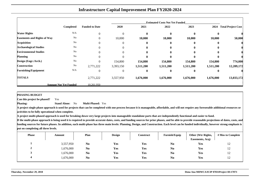|                                    |                              |                       |                |           | <b>Estimated Costs Not Yet Funded</b> |              |           |                           |
|------------------------------------|------------------------------|-----------------------|----------------|-----------|---------------------------------------|--------------|-----------|---------------------------|
|                                    | <b>Completed</b>             | <b>Funded to Date</b> | 2020           | 2021      | 2022                                  | 2023         | 2024      | <b>Total Project Cost</b> |
| <b>Water Rights</b>                | N/A                          | $\overline{0}$        | $\overline{0}$ | $\bf{0}$  | $\mathbf{0}$                          | $\bf{0}$     | $\bf{0}$  |                           |
| <b>Easements and Rights of Way</b> | No                           | $\theta$              | 10,000         | 10,000    | 10,000                                | 10,000       | 10,000    | 50,000                    |
| <b>Acquisition</b>                 | No                           |                       | $\overline{0}$ | 0         | $\mathbf{0}$                          | $\mathbf{0}$ | $\bf{0}$  |                           |
| <b>Archaeological Studies</b>      | No                           |                       | $\Omega$       | 0         |                                       | 0            | 0         |                           |
| <b>Environmental Studies</b>       | No                           |                       | $\Omega$       | 0         |                                       | $\mathbf{0}$ | 0         |                           |
| <b>Planning</b>                    | No                           | $\Omega$              | $\theta$       | 0         |                                       | 0            | 0         |                           |
| Design (Engr./Arch.)               | No                           | $\Omega$              | 154,800        | 154,800   | 154,800                               | 154,800      | 154,800   | 774,000                   |
| Construction                       | $\rm No$                     | 2,771,222             | 3,393,150      | 1,511,200 | 1,511,200                             | 1,511,200    | 1,511,200 | 12,209,172                |
| <b>Furnishing/Equipment</b>        | N/A                          | $\Omega$              | $\theta$       | 0         | $\bf{0}$                              | $\bf{0}$     | 0         |                           |
| <b>TOTALS</b>                      |                              | 2,771,222             | 3,557,950      | 1,676,000 | 1,676,000                             | 1,676,000    | 1,676,000 | 13,033,172                |
|                                    | <b>Amount Not Yet Funded</b> | 10.261.950            |                |           |                                       |              |           |                           |

**PHASING BUDGET**

 **Can this project be phased?**Yes

**Phasing: Stand Alone:** No**Multi-Phased:** Yes

**A project single phase approach is used for projects that can be completed with one process because it is manageable, affordable, and will not require any foreseeable additional resources oractivities to be fully operational when complete.**

**A project multi-phased approach is used for breaking down very large projects into manageable standalone parts that are independently functional and easier to fund.**

| <b>Phase</b> | Amount    | Plan           | <b>Design</b> | Construct | <b>Furnish/Equip</b> | Other (Wtr Rights,<br>Easements, Acq) | # Mos to Complete |
|--------------|-----------|----------------|---------------|-----------|----------------------|---------------------------------------|-------------------|
|              | 3,557,950 | N <sub>0</sub> | Yes           | Yes       | N <sub>0</sub>       | Yes                                   | 12                |
|              | 1,676,000 | N <sub>0</sub> | Yes           | Yes       | N <sub>0</sub>       | Yes                                   | 12                |
| J            | 1,676,000 | N <sub>0</sub> | Yes           | Yes       | N <sub>0</sub>       | Yes                                   | 12                |
| 4            | 1,676,000 | N <sub>0</sub> | Yes           | Yes       | N <sub>0</sub>       | Yes                                   | 12                |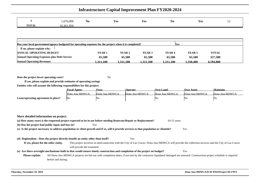|              | ,676,000<br>U | $ -$<br>N <sub>0</sub> | $ -$<br>Y es | Yes | No | Yes | $\overline{1}$ |
|--------------|---------------|------------------------|--------------|-----|----|-----|----------------|
| <b>TOTAL</b> | 10.261.950    |                        |              |     |    |     |                |

| Has your local government/agency budgeted for operating expenses for the project when it is completed?<br><b>Nes</b> |           |           |           |                   |          |              |  |  |  |  |  |  |
|----------------------------------------------------------------------------------------------------------------------|-----------|-----------|-----------|-------------------|----------|--------------|--|--|--|--|--|--|
| If no, please explain why:                                                                                           |           |           |           |                   |          |              |  |  |  |  |  |  |
| ANNUAL OPERATING BUDGET                                                                                              | YEAR 1    | YEAR 2    | YEAR 3    | YEAR <sub>4</sub> | YEAR 5   | <b>TOTAL</b> |  |  |  |  |  |  |
| <b>Annual Operating Expenses plus Debt Service</b>                                                                   | 65,500    | 65,500    | 65,500    | 65,500            | 65,500   | 327,500      |  |  |  |  |  |  |
| <b>Annual Operating Revenues</b>                                                                                     | 1.311.100 | 1.311.100 | 1.311.100 | 1.311.100         | .350.400 | 6.594.800    |  |  |  |  |  |  |

**Does the project lower operating costs?**<sup>2</sup> No

**If yes, please explain and provide estimates of operating savingsEntities who will assume the following responsibilites for this project:**

|                                     | <b>Fiscal Agent:</b> | Own:           | Operate:       | Own Land:      | <b>Own Asset:</b> | Maintain:      |
|-------------------------------------|----------------------|----------------|----------------|----------------|-------------------|----------------|
|                                     | Doña Ana MDWCA       | Doña Ana MDWCA | Doña Ana MDWCA | Dona Ana MDWCA | Dona Ana MDWCA    | Dona Ana MDWCA |
| Lease/operating agreement in place? | No.                  | N              |                | ΨG.            | 'No               | ιNΟ            |

**More detailed information on project.(a) How many years is the requested project expected to be in use before needing Renovate/Repair or Replacement?** 10-15 years **(b) Has the project had public input and buy-in?** Yes **(c) Is the project necessary to address population or client growth and if so, will it provide services to that population or clientele?** Yes **(d) Regionalism - Does the project directly benefit an entity other than itself?** Yes **If yes, please list the other entity.** This project involves in interconnection with the City of Las Cruces. Dona Ana MDWCA will provide the collection services and the City of Las Cruceswill provide the treatment.**(e) Are there oversight mechanisms built in that would ensure timely construction and completion of the project on budget?** Yes **Please explain.** All Dona Ana MDWCA projects are bid out with completion dates, if not met by the contractor liquidated damaged are assessed. Construction project schedule is requiredbefore and during.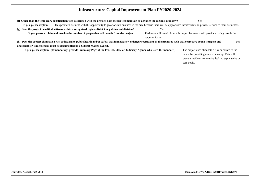|                         | (f) Other than the temporary construction jobs associated with the project, does the project maintain or advance the region's economy?                                        |                | Yes                                                                                   |
|-------------------------|-------------------------------------------------------------------------------------------------------------------------------------------------------------------------------|----------------|---------------------------------------------------------------------------------------|
| If yes, please explain. | This provides business with the opportunity to grow or start business in the area because there will be appropriate infrastructure to provide service to their businesses.    |                |                                                                                       |
|                         | (g) Does the project benefit all citizens within a recognized region, district or political subdivision?                                                                      | Yes            |                                                                                       |
|                         | If yes, please explain and provide the number of people that will benefit from the project.                                                                                   |                | Residents will be effit from this project because it will provide existing people the |
|                         |                                                                                                                                                                               | opportunity to |                                                                                       |
|                         | (h) Does the project eliminate a risk or hazard to public health and/or safety that immediately endangers occupants of the premises such that corrective action is urgent and |                | Yes                                                                                   |
|                         | unavoidable? Emergencies must be documented by a Subject Matter Expert.                                                                                                       |                |                                                                                       |
|                         | If yes, please explain. (If mandatory, provide Summary Page of the Federal, State or Judiciary Agency who issed the mandate.)                                                 |                | The project does eliminate a risk or hazard to the                                    |
|                         |                                                                                                                                                                               |                | public by providing a sewer hook up. This will                                        |
|                         |                                                                                                                                                                               |                | prevent residents from using leaking septic tanks or                                  |
|                         |                                                                                                                                                                               |                | cess pools.                                                                           |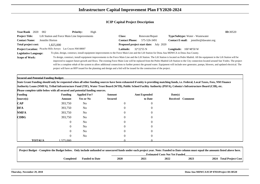| Year/Rank 2020<br>002                                                       |                                               | <b>Priority:</b><br>High |                                                                                                                           |                                        |                                                                                                                                                                                               | ID:30520 |
|-----------------------------------------------------------------------------|-----------------------------------------------|--------------------------|---------------------------------------------------------------------------------------------------------------------------|----------------------------------------|-----------------------------------------------------------------------------------------------------------------------------------------------------------------------------------------------|----------|
| <b>Project Title:</b>                                                       | Lift Station and Force Main Line Improvements |                          | <b>Class:</b>                                                                                                             | Renovate/Repair                        | Type/Subtype: Water - Wastewater                                                                                                                                                              |          |
| <b>Contact Name:</b><br>Jennifer Horton                                     |                                               |                          | <b>Contact Phone:</b>                                                                                                     | 575-526-3491                           | Contact E-mail: jennifer@dawater.org                                                                                                                                                          |          |
| Total project cost:                                                         | 1,825,000                                     |                          |                                                                                                                           | Proposed project start date: July 2020 |                                                                                                                                                                                               |          |
| Project Location: Picacho Hills Arroyo Las Cruces NM 88007                  |                                               |                          | Latitude:                                                                                                                 | 32°22'55 N                             | <b>Longitude:</b> $106^{\circ}48'50$ W                                                                                                                                                        |          |
| <b>Legislative Language:</b>                                                |                                               |                          |                                                                                                                           |                                        | To plan, design, construct, install equipment improvements to the Force Main Line and the Lift Station for Dona Ana MDWCA in Dona Ana County.                                                 |          |
| <b>Scope of Work:</b>                                                       |                                               |                          |                                                                                                                           |                                        | To design, construct, install equipment improvements to the Force Main Line and the Lift Station. The Lift Station is located on Pedro Madrid. All the equipment in the Lift Station will be  |          |
|                                                                             |                                               |                          |                                                                                                                           |                                        | improved to support future growth and flows. The existing Force Main Line will be replaced from the Pedro Madrid Lift Station to the City connection located around San Ysidro. The project   |          |
|                                                                             |                                               |                          |                                                                                                                           |                                        | will be a complete rehab of the system to allow additional connections to further protect the ground water. Equipment will include new generator, pumps, blowers, and updated electrical. The |          |
|                                                                             |                                               |                          | project will have an RFP issued for the planning and design and a bid will be issued for the construction of the project. |                                        |                                                                                                                                                                                               |          |
|                                                                             |                                               |                          |                                                                                                                           |                                        |                                                                                                                                                                                               |          |
| <b>Secured and Potential Funding Budget:</b>                                |                                               |                          |                                                                                                                           |                                        |                                                                                                                                                                                               |          |
|                                                                             |                                               |                          |                                                                                                                           |                                        | State Grant Funding should only be requested when all other funding sources have been exhausted if entity is providing matching funds, i.e. Federal, Local Taxes, Fees, NM Finance            |          |
|                                                                             |                                               |                          |                                                                                                                           |                                        | Authority Loans (NMFA), Tribal Infrastructure Fund (TIF), Water Trust Board (WTB), Public School Facility Authority (PSFA), Colonia's Infrastructure Board (CIB), etc.                        |          |
| Please complete table below with all secured and potential funding sources. |                                               |                          |                                                                                                                           |                                        |                                                                                                                                                                                               |          |
| <b>Funding</b>                                                              | <b>Funding</b>                                | <b>Applied For?</b>      | Amount                                                                                                                    | <b>Amt Expended</b>                    | Date(s)                                                                                                                                                                                       |          |
| Source(s)                                                                   | Amount                                        | <b>Yes or No</b>         | <b>Secured</b>                                                                                                            | to Date                                | Received<br><b>Comment</b>                                                                                                                                                                    |          |
| <b>CAP</b>                                                                  | 393,750                                       | N <sub>o</sub>           | 0                                                                                                                         | ∩                                      |                                                                                                                                                                                               |          |
| <b>DFA</b>                                                                  | 393,750                                       | N <sub>o</sub>           |                                                                                                                           | $\left($                               |                                                                                                                                                                                               |          |
| <b>NMFA</b>                                                                 | 393,750                                       | <b>No</b>                |                                                                                                                           |                                        |                                                                                                                                                                                               |          |
| <b>CDBG</b>                                                                 | 393,750                                       | N <sub>0</sub>           |                                                                                                                           | $\mathbf{\Omega}$                      |                                                                                                                                                                                               |          |
|                                                                             | $\theta$                                      | N <sub>0</sub>           |                                                                                                                           |                                        |                                                                                                                                                                                               |          |
|                                                                             | 0                                             | N <sub>0</sub>           |                                                                                                                           |                                        |                                                                                                                                                                                               |          |
|                                                                             | 0                                             | N <sub>0</sub>           |                                                                                                                           |                                        |                                                                                                                                                                                               |          |
|                                                                             |                                               |                          |                                                                                                                           |                                        |                                                                                                                                                                                               |          |
|                                                                             | 0                                             | N <sub>0</sub>           | $\Omega$                                                                                                                  | $\theta$                               |                                                                                                                                                                                               |          |

| Project Budget - Complete the Budget below. Only include unfunded or unsecured funds under each project year. Note: Funded to Date column must equal the amounts listed above here. |                                       |      |      |      |      |                         |  |  |  |  |
|-------------------------------------------------------------------------------------------------------------------------------------------------------------------------------------|---------------------------------------|------|------|------|------|-------------------------|--|--|--|--|
|                                                                                                                                                                                     | <b>Estimated Costs Not Yet Funded</b> |      |      |      |      |                         |  |  |  |  |
| Completed                                                                                                                                                                           | <b>Funded to Date</b>                 | 2020 | 2021 | 2022 | 2023 | 2024 Total Project Cost |  |  |  |  |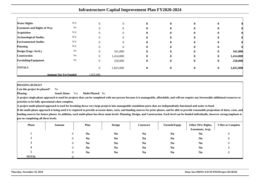| <b>Water Rights</b>                | N/A                          | $\theta$       | $\overline{0}$ | 0            | $\mathbf{0}$ | $\bf{0}$ |          |           |
|------------------------------------|------------------------------|----------------|----------------|--------------|--------------|----------|----------|-----------|
| <b>Easements and Rights of Way</b> | No                           |                | $\Omega$       | 0            | $\mathbf{0}$ | 0        |          |           |
| <b>Acquisition</b>                 | N/A                          | 0              | $\Omega$       | 0            | $\mathbf{0}$ | 0        |          |           |
| <b>Archaeological Studies</b>      | N/A                          | 0              | $\Omega$       | 0            | 0            | $\bf{0}$ |          |           |
| <b>Environmental Studies</b>       | N/A                          |                | $\Omega$       | 0            |              | $\bf{0}$ |          |           |
| <b>Planning</b>                    | N/A                          | $\Omega$       | 0              | 0            | 0            | $\bf{0}$ |          |           |
| Design (Engr./Arch.)               | No                           | 0              | 161,000        | 0            | $\mathbf{0}$ | $\bf{0}$ | $\bf{0}$ | 161,000   |
| <b>Construction</b>                | No                           | $\theta$       | 1,414,000      | $\mathbf{0}$ | $\mathbf{0}$ | $\bf{0}$ | $\bf{0}$ | 1,414,000 |
| <b>Furnishing/Equipment</b>        | No                           | $\overline{0}$ | 250,000        | $\bf{0}$     | $\mathbf{0}$ | $\bf{0}$ | $\bf{0}$ | 250,000   |
| <b>TOTALS</b>                      |                              | $\overline{0}$ | 1,825,000      | $\mathbf{0}$ | $\mathbf{0}$ | $\bf{0}$ | $\bf{0}$ | 1,825,000 |
|                                    | <b>Amount Not Yet Funded</b> | 1.825.000      |                |              |              |          |          |           |

#### **PHASING BUDGET**

**Phasing:**

 **Can this project be phased?**No

> **Stand Alone:** Yes**Multi-Phased:** No

 **A project single phase approach is used for projects that can be completed with one process because it is manageable, affordable, and will not require any foreseeable additional resources oractivities to be fully operational when complete.**

**A project multi-phased approach is used for breaking down very large projects into manageable standalone parts that are independently functional and easier to fund.**

| <b>Phase</b> | Amount   | Plan           | <b>Design</b>  | <b>Construct</b> | Furnish/Equip  | Other (Wtr Rights,<br>Easements, Acq) | # Mos to Complete |
|--------------|----------|----------------|----------------|------------------|----------------|---------------------------------------|-------------------|
|              | $\theta$ | N <sub>0</sub> | N <sub>0</sub> | N <sub>0</sub>   | N <sub>0</sub> | N <sub>0</sub>                        | $\theta$          |
| π.           |          | N <sub>0</sub> | N <sub>0</sub> | N <sub>0</sub>   | N <sub>0</sub> | N <sub>0</sub>                        | $\boldsymbol{0}$  |
|              |          | N <sub>0</sub> | N <sub>0</sub> | N <sub>0</sub>   | N <sub>0</sub> | N <sub>0</sub>                        | 0                 |
|              | $\theta$ | N <sub>0</sub> | N <sub>0</sub> | N <sub>0</sub>   | N <sub>0</sub> | N <sub>0</sub>                        | 0                 |
|              | $\theta$ | N <sub>0</sub> | N <sub>0</sub> | N <sub>0</sub>   | N <sub>0</sub> | N <sub>0</sub>                        | $\theta$          |
| <b>TOTAL</b> |          |                |                |                  |                |                                       |                   |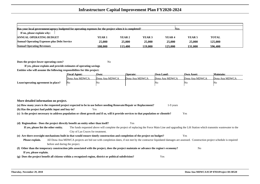| Has your local government/agency budgeted for operating expenses for the project when it is completed?<br><b>Yes</b> |         |         |         |                   |                   |              |  |
|----------------------------------------------------------------------------------------------------------------------|---------|---------|---------|-------------------|-------------------|--------------|--|
| If no, please explain why:                                                                                           |         |         |         |                   |                   |              |  |
| <b>ANNUAL OPERATING BUDGET</b>                                                                                       | YEAR 1  | YEAR 2  | YEAR 3  | YEAR <sub>4</sub> | YEAR <sub>5</sub> | <b>TOTAL</b> |  |
| <b>Annual Operating Expenses plus Debt Service</b>                                                                   | 25,000  | 25,000  | 25,000  | 25,000            | 25,000            | 125,000      |  |
| <b>Annual Operating Revenues</b>                                                                                     | 108.000 | 113.400 | 119.000 | 125.000           | 131.000           | 596.400      |  |

**Does the project lower operating costs?**<sup>2</sup> No

**If yes, please explain and provide estimates of operating savingsEntities who will assume the following responsibilites for this project:**

|                                     | <b>Fiscal Agent:</b> | Own:           | <b>Operate:</b> | Own Land:      | Own Asset:     | Maintain:      |
|-------------------------------------|----------------------|----------------|-----------------|----------------|----------------|----------------|
|                                     | Dona Ana MDWCA       | Dona Ana MDWCA | Dona Ana MDWCA  | Dona Ana MDWCA | Dona Ana MDWCA | Dona Ana MDWCA |
| Lease/operating agreement in place? | No                   | 'No            |                 | IN۵            | 'NG            | 'Nο            |

| More detailed information on project.                                                                                                                                                           |                                                                                                                                                                        |  |  |  |  |  |  |
|-------------------------------------------------------------------------------------------------------------------------------------------------------------------------------------------------|------------------------------------------------------------------------------------------------------------------------------------------------------------------------|--|--|--|--|--|--|
|                                                                                                                                                                                                 | (a) How many years is the requested project expected to be in use before needing Renovate/Repair or Replacement?<br>1-9 years                                          |  |  |  |  |  |  |
| (b) Has the project had public input and buy-in?                                                                                                                                                | Yes                                                                                                                                                                    |  |  |  |  |  |  |
|                                                                                                                                                                                                 | (c) Is the project necessary to address population or client growth and if so, will it provide services to that population or clientele?<br>Yes                        |  |  |  |  |  |  |
|                                                                                                                                                                                                 |                                                                                                                                                                        |  |  |  |  |  |  |
| (d) Regionalism - Does the project directly benefit an entity other than itself?                                                                                                                | Yes                                                                                                                                                                    |  |  |  |  |  |  |
| If yes, please list the other entity.<br>The funds requested above will complete the project of replacing the Force Main Line and upgrading the Lift Station which transmits was tewater to the |                                                                                                                                                                        |  |  |  |  |  |  |
|                                                                                                                                                                                                 | City of Las Cruces for treatment.                                                                                                                                      |  |  |  |  |  |  |
|                                                                                                                                                                                                 | (e) Are there oversight mechanisms built in that would ensure timely construction and completion of the project on budget?<br>Yes                                      |  |  |  |  |  |  |
| Please explain.                                                                                                                                                                                 | All Dona Ana MDWCA projects are bid out with completion dates, if not met by the contractor liquidated damages are assessed. Construction project schedule is required |  |  |  |  |  |  |
|                                                                                                                                                                                                 | before and during the project.                                                                                                                                         |  |  |  |  |  |  |
|                                                                                                                                                                                                 | (f) Other than the temporary construction jobs associated with the project, does the project maintain or advance the region's economy?<br>N <sub>0</sub>               |  |  |  |  |  |  |
| If yes, please explain.                                                                                                                                                                         |                                                                                                                                                                        |  |  |  |  |  |  |
|                                                                                                                                                                                                 | (g) Does the project benefit all citizens within a recognized region, district or political subdivision?<br>Yes                                                        |  |  |  |  |  |  |
|                                                                                                                                                                                                 |                                                                                                                                                                        |  |  |  |  |  |  |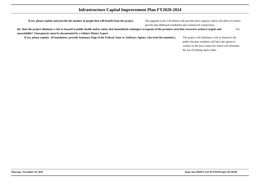**If yes, please explain and provide the number of people that will benefit from the project.**

 The upgrade to the Lift Station will provide more capacity which will allow for futuregrowth and additional residential and commercial connections.

**(h) Does the project eliminate a risk or hazard to public health and/or safety that immediately endangers occupants of the premises such that corrective action is urgent andunavoidable? Emergencies must be documented by a Subject Matter Expert.**Yes

**If yes, please explain. (If mandatory, provide Summary Page of the Federal, State or Judiciary Agency who issed the mandate.)**

 The project will eliminate a risk or hazard to the public because residents will have the option to connect to the force main line which will eliminatethe use of leaking septic tanks.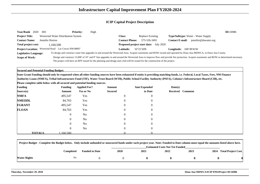| <b>Year/Rank</b><br>2020                                                                                                                                                                  | 003                                | <b>Priority:</b> | High |                       |                                                                                                                               |                        |                                                                                                                                                                                          | ID:16986 |
|-------------------------------------------------------------------------------------------------------------------------------------------------------------------------------------------|------------------------------------|------------------|------|-----------------------|-------------------------------------------------------------------------------------------------------------------------------|------------------------|------------------------------------------------------------------------------------------------------------------------------------------------------------------------------------------|----------|
| <b>Project Title:</b>                                                                                                                                                                     | Westwind Water Distribution System |                  |      | Class:                | Replace Existing                                                                                                              |                        | <b>Type/Subtype:</b> Water - Water Supply                                                                                                                                                |          |
| <b>Contact Name:</b>                                                                                                                                                                      | Jennifer Horton                    |                  |      | <b>Contact Phone:</b> | 575-526-3491                                                                                                                  | <b>Contact E-mail:</b> | jennifer@dawater.org                                                                                                                                                                     |          |
| Total project cost:                                                                                                                                                                       | 1.160.500                          |                  |      |                       | <b>Proposed project start date:</b> July 2020                                                                                 |                        |                                                                                                                                                                                          |          |
| <b>Project Location:</b>                                                                                                                                                                  | Westwind Road Las Cruces NM 88007  |                  |      | <b>Latitude:</b>      | $32^{\circ}21'20N$                                                                                                            | Longitude:             | $106^{\circ}49'41W$                                                                                                                                                                      |          |
| To design and construct water line upgrades in and around the Westwind Area. Acquire easements and ROW owned and operated by Dona Ana MDWCA, in Dona Ana County.<br>Legislative Language: |                                    |                  |      |                       |                                                                                                                               |                        |                                                                                                                                                                                          |          |
| <b>Scope of Work:</b>                                                                                                                                                                     |                                    |                  |      |                       |                                                                                                                               |                        | Design and construct 15,000' of 10" and 8" line upgrades in and around the Westwind Area to improve flow and provide fire protection. Acquire easements and ROW as determined necessary. |          |
|                                                                                                                                                                                           |                                    |                  |      |                       | The project will have an RFP issued for the planning and design and a bid will be issued for the construction of the project. |                        |                                                                                                                                                                                          |          |

**Secured and Potential Funding Budget:**

**State Grant Funding should only be requested when all other funding sources have been exhausted if entity is providing matching funds, i.e. Federal, Local Taxes, Fees, NM FinanceAuthority Loans (NMFA), Tribal Infrastructure Fund (TIF), Water Trust Board (WTB), Public School Facility Authority (PSFA), Colonia's Infrastructure Board (CIB), etc.**

**Please complete table below with all secured and potential funding sources.**

| <b>Funding</b> |               | <b>Funding</b> | <b>Applied For?</b> | Amount         | <b>Amt Expended</b> | Date(s)          |  |
|----------------|---------------|----------------|---------------------|----------------|---------------------|------------------|--|
| Source(s)      |               | Amount         | Yes or No           | <b>Secured</b> | to Date             | Received Comment |  |
| <b>NMFA</b>    |               | 495,547        | Yes                 | $\overline{0}$ | $\overline{0}$      |                  |  |
| <b>NMEDDL</b>  |               | 84,703         | Yes                 | $\overline{0}$ | $\overline{0}$      |                  |  |
| <b>FGRANT</b>  |               | 495,547        | Yes                 | $\overline{0}$ | $\overline{0}$      |                  |  |
| <b>FLOAN</b>   |               | 84,703         | Yes                 | $\overline{0}$ | $\overline{0}$      |                  |  |
|                |               | $\overline{0}$ | N <sub>o</sub>      | $\overline{0}$ | $\overline{0}$      |                  |  |
|                |               | $\overline{0}$ | N <sub>0</sub>      | $\overline{0}$ | $\overline{0}$      |                  |  |
|                |               | $\overline{0}$ | N <sub>o</sub>      | $\Omega$       | $\overline{0}$      |                  |  |
|                |               | $\overline{0}$ | N <sub>o</sub>      | $\overline{0}$ | $\overline{0}$      |                  |  |
|                | <b>TOTALS</b> | .160.500       |                     |                |                     |                  |  |

|              | Project Budget - Complete the Budget below. Only include unfunded or unsecured funds under each project year. Note: Funded to Date column must equal the amounts listed above here. |                       |             |                                       |      |      |                         |  |
|--------------|-------------------------------------------------------------------------------------------------------------------------------------------------------------------------------------|-----------------------|-------------|---------------------------------------|------|------|-------------------------|--|
|              |                                                                                                                                                                                     |                       |             | <b>Estimated Costs Not Yet Funded</b> |      |      |                         |  |
|              | Completed                                                                                                                                                                           | <b>Funded to Date</b> | <b>2020</b> | 2021                                  | 2022 | 2023 | 2024 Total Project Cost |  |
| Water Rights | No                                                                                                                                                                                  |                       |             |                                       |      |      |                         |  |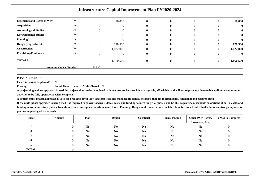| <b>Easements and Rights of Way</b> | $\rm No$                     | $\Omega$ | 10,000    | $\mathbf 0$  | $\mathbf{0}$ | $\bf{0}$ | $\mathbf{0}$ | 10,000    |
|------------------------------------|------------------------------|----------|-----------|--------------|--------------|----------|--------------|-----------|
| <b>Acquisition</b>                 | No                           | $\theta$ |           | 0            | $\mathbf{0}$ | $\bf{0}$ | $\bf{0}$     |           |
| <b>Archaeological Studies</b>      | No                           | $\Omega$ |           | 0            | $\mathbf{0}$ | $\bf{0}$ | $\bf{0}$     |           |
| <b>Environmental Studies</b>       | No                           |          |           |              | $\mathbf{0}$ | 0        | 0            |           |
| <b>Planning</b>                    | $\rm No$                     | 0        |           |              | $\mathbf{0}$ | $\bf{0}$ | o            |           |
| Design (Engr./Arch.)               | No                           | $\Omega$ | 128,500   | $\mathbf{0}$ | $\mathbf{0}$ | $\bf{0}$ | $\bf{0}$     | 128,500   |
| <b>Construction</b>                | No                           | $\Omega$ | 1,022,000 | $\mathbf{0}$ | $\mathbf{0}$ | $\bf{0}$ | $\bf{0}$     | 1,022,000 |
| <b>Furnishing/Equipment</b>        | No                           | $\theta$ |           | 0            | $\mathbf{0}$ | $\bf{0}$ | $\bf{0}$     |           |
| <b>TOTALS</b>                      |                              | $\theta$ | 1,160,500 | $\mathbf{0}$ | $\bf{0}$     | $\bf{0}$ | $\bf{0}$     | 1,160,500 |
|                                    | <b>Amount Not Yet Funded</b> | .160.500 |           |              |              |          |              |           |

**PHASING BUDGET**

 **Can this project be phased?**No

**Phasing: Stand Alone:** Yes**Multi-Phased:** No

**A project single phase approach is used for projects that can be completed with one process because it is manageable, affordable, and will not require any foreseeable additional resources oractivities to be fully operational when complete.**

**A project multi-phased approach is used for breaking down very large projects into manageable standalone parts that are independently functional and easier to fund.**

| <b>Phase</b> | Amount | Plan           | <b>Design</b>  | <b>Construct</b> | Furnish/Equip  | Other (Wtr Rights,<br>Easements, Acq) | # Mos to Complete |
|--------------|--------|----------------|----------------|------------------|----------------|---------------------------------------|-------------------|
|              |        | N <sub>0</sub> | N <sub>0</sub> | N <sub>0</sub>   | N <sub>0</sub> | N <sub>0</sub>                        | υ                 |
|              |        | N <sub>0</sub> | N <sub>0</sub> | N <sub>0</sub>   | N <sub>0</sub> | N <sub>0</sub>                        |                   |
|              |        | N <sub>0</sub> | N <sub>0</sub> | N <sub>0</sub>   | N <sub>0</sub> | N <sub>0</sub>                        |                   |
|              |        | N <sub>0</sub> | N <sub>0</sub> | N <sub>0</sub>   | N <sub>0</sub> | N <sub>0</sub>                        |                   |
|              |        | N <sub>0</sub> | N <sub>0</sub> | N <sub>0</sub>   | N <sub>0</sub> | N <sub>0</sub>                        |                   |
| <b>TOTAL</b> |        |                |                |                  |                |                                       |                   |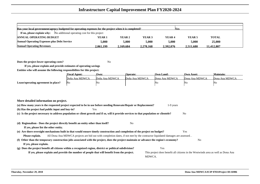| Has your local government/agency budgeted for operating expenses for the project when it is completed?<br><b>Yes</b> |           |           |           |                   |                   |              |  |  |
|----------------------------------------------------------------------------------------------------------------------|-----------|-----------|-----------|-------------------|-------------------|--------------|--|--|
| <b>If no, please explain why:</b> No additional operating cost for this project                                      |           |           |           |                   |                   |              |  |  |
| <b>ANNUAL OPERATING BUDGET</b>                                                                                       | YEAR 1    | YEAR 2    | YEAR 3    | YEAR <sub>4</sub> | YEAR <sub>5</sub> | <b>TOTAL</b> |  |  |
| <b>Annual Operating Expenses plus Debt Service</b>                                                                   | 5.000     | 5.000     | 5.000     | 5.000             | 5.000             | 25,000       |  |  |
| <b>Annual Operating Revenues</b>                                                                                     | 2.061.199 | 2.169.684 | 2.278.168 | 2.392.076         | 2.511.680         | 11.412.807   |  |  |

**Does the project lower operating costs?**<sup>2</sup> No

**If yes, please explain and provide estimates of operating savingsEntities who will assume the following responsibilites for this project:**

|                                     | <b>Fiscal Agent:</b> | Own:           | <b>Operate:</b> | Own Land:      | Own Asset:     | <b>Maintain:</b> |
|-------------------------------------|----------------------|----------------|-----------------|----------------|----------------|------------------|
|                                     | Doña Ana MDWCA       | Doña Ana MDWCA | Doña Ana MDWCA  | Dona Ana MDWCA | Dona Ana MDWCA | Dona Ana MDWCA   |
| Lease/operating agreement in place? | <b>No</b>            | Nο             |                 | No             | 'NG            | Νo               |

| More detailed information on project.                                                                                                                      |                                                                                  |  |  |  |  |  |  |
|------------------------------------------------------------------------------------------------------------------------------------------------------------|----------------------------------------------------------------------------------|--|--|--|--|--|--|
| (a) How many years is the requested project expected to be in use before needing Renovate/Repair or Replacement?                                           | 1-9 years                                                                        |  |  |  |  |  |  |
| (b) Has the project had public input and buy-in?<br>Yes                                                                                                    |                                                                                  |  |  |  |  |  |  |
| (c) Is the project necessary to address population or client growth and if so, will it provide services to that population or clientele?<br>N <sub>0</sub> |                                                                                  |  |  |  |  |  |  |
|                                                                                                                                                            |                                                                                  |  |  |  |  |  |  |
| (d) Regionalism - Does the project directly benefit an entity other than itself?<br>N <sub>o</sub>                                                         |                                                                                  |  |  |  |  |  |  |
| If yes, please list the other entity.                                                                                                                      |                                                                                  |  |  |  |  |  |  |
| (e) Are there oversight mechanisms built in that would ensure timely construction and completion of the project on budget?                                 | Yes                                                                              |  |  |  |  |  |  |
| All Dona Ana MDWCA projects are bid out with completion dates, if not met by the contractor liquidated damages are assessed<br>Please explain.             |                                                                                  |  |  |  |  |  |  |
| (f) Other than the temporary construction jobs associated with the project, does the project maintain or advance the region's economy?                     | N <sub>0</sub>                                                                   |  |  |  |  |  |  |
| If yes, please explain.                                                                                                                                    |                                                                                  |  |  |  |  |  |  |
| (g) Does the project benefit all citizens within a recognized region, district or political subdivision?                                                   | Yes                                                                              |  |  |  |  |  |  |
| If yes, please explain and provide the number of people that will benefit from the project.                                                                | This project does benefit all citizens in the Westwinds area as well as Dona Ana |  |  |  |  |  |  |
|                                                                                                                                                            | MDWCA.                                                                           |  |  |  |  |  |  |
|                                                                                                                                                            |                                                                                  |  |  |  |  |  |  |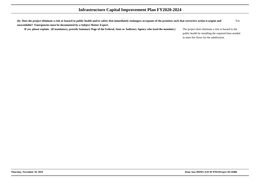**(h) Does the project eliminate a risk or hazard to public health and/or safety that immediately endangers occupants of the premises such that corrective action is urgent andunavoidable? Emergencies must be documented by a Subject Matter Expert.**Yes

**If yes, please explain. (If mandatory, provide Summary Page of the Federal, State or Judiciary Agency who issed the mandate.)**

 The project does eliminate a risk or hazard to the public health by installing the required lines neededto meet fire flows for the subdivision.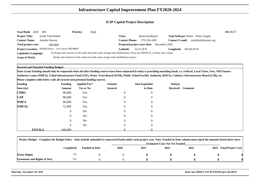| 2020<br><b>Year/Rank</b>     | -004             | <b>Priority:</b>                                                                      | High |                       |                                                                                                                      |                                                | ID:28257 |
|------------------------------|------------------|---------------------------------------------------------------------------------------|------|-----------------------|----------------------------------------------------------------------------------------------------------------------|------------------------------------------------|----------|
| <b>Project Title:</b>        | South Tank Rehab |                                                                                       |      | <b>Class:</b>         | Renovate/Repair                                                                                                      | <b>Type/Subtype:</b> Water - Water Supply      |          |
| <b>Contact Name:</b>         | Jennifer Horton  |                                                                                       |      | <b>Contact Phone:</b> | 575-526-3491                                                                                                         | jennifer@dawater.org<br><b>Contact E-mail:</b> |          |
| Total project cost:          | 360,000          |                                                                                       |      |                       | <b>Proposed project start date:</b> December 2020                                                                    |                                                |          |
|                              |                  | Project Location: Parkhill Drive Las Cruces NM 88005                                  |      | Latitude: .           | 32.21.59 N                                                                                                           | 106.46.58 W<br>Longitude:                      |          |
| <b>Legislative Language:</b> |                  |                                                                                       |      |                       | To design and construct of the south and north water storage tank rehabilitation, Dona Ana MDWCA, in Dona Ana County |                                                |          |
| <b>Scope of Work:</b>        |                  | Design and construct of the south and north water storage tank rehabilitation project |      |                       |                                                                                                                      |                                                |          |

#### **Secured and Potential Funding Budget:**

**State Grant Funding should only be requested when all other funding sources have been exhausted if entity is providing matching funds, i.e. Federal, Local Taxes, Fees, NM FinanceAuthority Loans (NMFA), Tribal Infrastructure Fund (TIF), Water Trust Board (WTB), Public School Facility Authority (PSFA), Colonia's Infrastructure Board (CIB), etc.**

**Please complete table below with all secured and potential funding sources.**

| <b>Funding</b>                             |               | <b>Funding</b> | <b>Applied For?</b> | Amount         | <b>Amt Expended</b> | Date(s)          |  |
|--------------------------------------------|---------------|----------------|---------------------|----------------|---------------------|------------------|--|
| Source(s)                                  |               | Amount         | <b>Yes or No</b>    | <b>Secured</b> | to Date             | Received Comment |  |
| $\mathbf{C}\mathbf{D}\mathbf{B}\mathbf{G}$ |               | 96,000         | Yes                 |                | $\overline{0}$      |                  |  |
| $\mathbf{CAP}$                             |               | 96,000         | Yes                 |                | 0                   |                  |  |
| <b>NMFA</b>                                |               | 96,000         | Yes                 |                | $\left($            |                  |  |
| <b>NMFAL</b>                               |               | 72,000         | Yes                 | $\theta$       | $\Omega$            |                  |  |
|                                            |               | $\overline{0}$ | No                  |                | $\theta$            |                  |  |
|                                            |               | $\overline{0}$ | N <sub>o</sub>      | $\Omega$       | $\Omega$            |                  |  |
|                                            |               | $\overline{0}$ | N <sub>o</sub>      |                | $\theta$            |                  |  |
|                                            |               | $\overline{0}$ | N <sub>o</sub>      | $\Omega$       | $\Omega$            |                  |  |
|                                            | <b>TOTALS</b> | 360,000        |                     |                |                     |                  |  |

| Project Budget - Complete the Budget below. Only include unfunded or unsecured funds under each project year. Note: Funded to Date column must equal the amounts listed above here. |                |                       |                                       |      |      |      |                                   |  |  |  |  |  |
|-------------------------------------------------------------------------------------------------------------------------------------------------------------------------------------|----------------|-----------------------|---------------------------------------|------|------|------|-----------------------------------|--|--|--|--|--|
|                                                                                                                                                                                     |                |                       | <b>Estimated Costs Not Yet Funded</b> |      |      |      |                                   |  |  |  |  |  |
|                                                                                                                                                                                     | Completed      | <b>Funded to Date</b> | 2020                                  | 2021 | 2022 | 2023 | <b>Total Project Cost</b><br>2024 |  |  |  |  |  |
| Water Rights                                                                                                                                                                        | N <sub>0</sub> |                       |                                       |      |      |      |                                   |  |  |  |  |  |
| <b>Easements and Rights of Way</b>                                                                                                                                                  | Yes            |                       |                                       |      |      |      |                                   |  |  |  |  |  |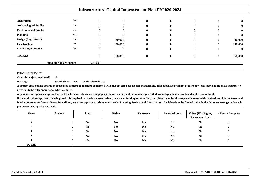| <b>Acquisition</b>            | No                           |         |         | $\bf{0}$     | 0        |   |              |         |
|-------------------------------|------------------------------|---------|---------|--------------|----------|---|--------------|---------|
| <b>Archaeological Studies</b> | No                           |         |         | $\bf{0}$     | 0        | U |              |         |
| <b>Environmental Studies</b>  | No                           |         |         | 0            | 0        |   |              |         |
| <b>Planning</b>               | Yes                          |         |         | $\mathbf{0}$ | o        | u |              |         |
| Design (Engr./Arch.)          | No                           |         | 30,000  | $\bf{0}$     | 0        | v | $\bf{0}$     | 30,000  |
| <b>Construction</b>           | No                           |         | 330,000 | $\bf{0}$     | $\bf{0}$ | v | $\mathbf{0}$ | 330,000 |
| <b>Furnishing/Equipment</b>   | No                           |         |         | $\bf{0}$     | 0        | U | v            |         |
| <b>TOTALS</b>                 |                              |         | 360,000 | $\mathbf{0}$ | 0        | O | $\bf{0}$     | 360,000 |
|                               | <b>Amount Not Yet Funded</b> | 360,000 |         |              |          |   |              |         |

#### **PHASING BUDGET**

 **Can this project be phased?**No

**Phasing: Stand Alone:** Yes**Multi-Phased:** No

 **A project single phase approach is used for projects that can be completed with one process because it is manageable, affordable, and will not require any foreseeable additional resources oractivities to be fully operational when complete.**

**A project multi-phased approach is used for breaking down very large projects into manageable standalone parts that are independently functional and easier to fund.**

| <b>Phase</b> | Amount | Plan           | <b>Design</b>  | Construct      | Furnish/Equip  | Other (Wtr Rights,<br>Easements, Acq) | # Mos to Complete |
|--------------|--------|----------------|----------------|----------------|----------------|---------------------------------------|-------------------|
|              |        | N <sub>0</sub> | N <sub>0</sub> | N <sub>0</sub> | N <sub>0</sub> | N <sub>o</sub>                        |                   |
| ∠            |        | N <sub>0</sub> | N <sub>0</sub> | N <sub>0</sub> | N <sub>0</sub> | N <sub>o</sub>                        |                   |
|              |        | N <sub>0</sub> | N <sub>0</sub> | N <sub>0</sub> | N <sub>0</sub> | N <sub>o</sub>                        |                   |
|              |        | N <sub>0</sub> | N <sub>0</sub> | N <sub>0</sub> | N <sub>0</sub> | N <sub>o</sub>                        |                   |
|              |        | N <sub>0</sub> | N <sub>0</sub> | N <sub>0</sub> | N <sub>0</sub> | N <sub>0</sub>                        |                   |
| <b>TOTAL</b> |        |                |                |                |                |                                       |                   |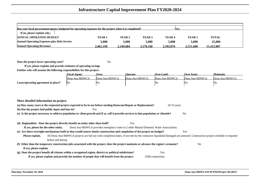| Has your local government/agency budgeted for operating expenses for the project when it is completed?<br><b>Nes</b> |                   |           |                   |           |                   |              |  |  |  |  |  |  |
|----------------------------------------------------------------------------------------------------------------------|-------------------|-----------|-------------------|-----------|-------------------|--------------|--|--|--|--|--|--|
| If no, please explain why:                                                                                           |                   |           |                   |           |                   |              |  |  |  |  |  |  |
| <b>ANNUAL OPERATING BUDGET</b>                                                                                       | YEAR <sub>1</sub> | YEAR 2    | YEAR <sub>3</sub> | YEAR 4    | YEAR <sub>5</sub> | <b>TOTAL</b> |  |  |  |  |  |  |
| <b>Annual Operating Expenses plus Debt Service</b>                                                                   | 5.000             | 5,000     | 5.000             | 5,000     | 5.000             | 25,000       |  |  |  |  |  |  |
| <b>Annual Operating Revenues</b>                                                                                     | 2.061.199         | 2.169.684 | 2.278.168         | 2.392.076 | 2.511.680         | 11.412.807   |  |  |  |  |  |  |

**Does the project lower operating costs?**<sup>2</sup> No

**If yes, please explain and provide estimates of operating savingsEntities who will assume the following responsibilites for this project:**

|                                     | <b>Fiscal Agent:</b> | Own:           | <b>Operate:</b> | Own Land:      | Own Asset:     | <b>Maintain:</b> |
|-------------------------------------|----------------------|----------------|-----------------|----------------|----------------|------------------|
|                                     | Dona Ana MDWCA       | Dona Ana MDWCA | Dona Ana MDWCA  | Dona Ana MDWCA | Dona Ana MDWCA | Dona Ana MDWCA   |
| Lease/operating agreement in place? | - No                 | NΟ             |                 | 'NΟ            | 'Ne            | ΙNο              |

| More detailed information on project.                                                                                                                                                     |                |
|-------------------------------------------------------------------------------------------------------------------------------------------------------------------------------------------|----------------|
| (a) How many years is the requested project expected to be in use before needing Renovate/Repair or Replacement?<br>$10-15$ years                                                         |                |
| (b) Has the project had public input and buy-in?<br><b>Yes</b>                                                                                                                            |                |
| (c) Is the project necessary to address population or client growth and if so, will it provide services to that population or clientele?                                                  | N <sub>o</sub> |
|                                                                                                                                                                                           |                |
| (d) Regionalism - Does the project directly benefit an entity other than itself?<br>Yes                                                                                                   |                |
| Dona Ana MDWCA provides emergency water to 2 other Mutual Domestic Water Associations.<br>If yes, please list the other entity.                                                           |                |
| (e) Are there oversight mechanisms built in that would ensure timely construction and completion of the project on budget?                                                                | Yes            |
| All Dona Ana MDWCA projects are bid out with completion dates, if not met by the contractor liquidated damaged are assessed. Construction project schedule is required<br>Please explain. |                |
| before and during                                                                                                                                                                         |                |
| (f) Other than the temporary construction jobs associated with the project, does the project maintain or advance the region's economy?                                                    | N <sub>0</sub> |
| If yes, please explain.                                                                                                                                                                   |                |
| (g) Does the project benefit all citizens within a recognized region, district or political subdivision?<br>Yes                                                                           |                |
| If yes, please explain and provide the number of people that will benefit from the project.<br>5500 connections                                                                           |                |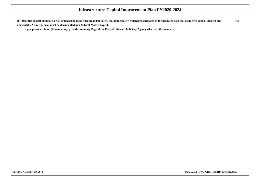**(h) Does the project eliminate a risk or hazard to public health and/or safety that immediately endangers occupants of the premises such that corrective action is urgent andunavoidable? Emergencies must be documented by a Subject Matter Expert.**No

**If yes, please explain. (If mandatory, provide Summary Page of the Federal, State or Judiciary Agency who issed the mandate.)**

**Thursday, November 29, 2018 Dona Ana MDWCA/ICIP 07031Project ID:28257**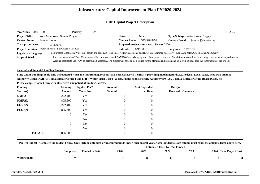| <b>Year/Rank</b><br>2020   | 005                                                 | <b>Priority:</b> | High |                       |                                                                                                                                                             |                             |                                                                                                                                                                                  | ID:25468 |
|----------------------------|-----------------------------------------------------|------------------|------|-----------------------|-------------------------------------------------------------------------------------------------------------------------------------------------------------|-----------------------------|----------------------------------------------------------------------------------------------------------------------------------------------------------------------------------|----------|
| <b>Project Title:</b>      | West Mesa Water Service Project                     |                  |      | <b>Class:</b>         | New                                                                                                                                                         |                             | <b>Type/Subtype:</b> Water - Water Supply                                                                                                                                        |          |
| <b>Contact Name:</b>       | Jennifer Horton                                     |                  |      | <b>Contact Phone:</b> | 575-526-3491                                                                                                                                                | <b>Contact E-mail:</b>      | jennifer@dawater.org                                                                                                                                                             |          |
| <b>Total project cost:</b> | 8.056.000                                           |                  |      |                       | Proposed project start date:<br>January 2020                                                                                                                |                             |                                                                                                                                                                                  |          |
|                            | Project Location: Weinrich Road Las Cruces NM 88005 |                  |      | Latitude: .           | 32'17'38                                                                                                                                                    | <b>Longitude:</b> 106'51'36 |                                                                                                                                                                                  |          |
| Legislative Language:      |                                                     |                  |      |                       | To purchase West Mesa Water Co., design and construct water lines. Acquire easements and ROW as determined necessary. - Dona Ana MDWCA, in Dona Ana County. |                             |                                                                                                                                                                                  |          |
| <b>Scope of Work:</b>      |                                                     |                  |      |                       |                                                                                                                                                             |                             | Purchase West Mesa Water Co to connect Fairview system and DAMDWCA's existing system. Design and construct 12- and 8-inch water lines for existing customers and expand service. |          |
|                            |                                                     |                  |      |                       |                                                                                                                                                             |                             | Acquire easements and ROW as determined necessary. The project will have an RFP issued for the planning and design and a bid will be issued for the construction of the project. |          |

**Secured and Potential Funding Budget:**

**State Grant Funding should only be requested when all other funding sources have been exhausted if entity is providing matching funds, i.e. Federal, Local Taxes, Fees, NM FinanceAuthority Loans (NMFA), Tribal Infrastructure Fund (TIF), Water Trust Board (WTB), Public School Facility Authority (PSFA), Colonia's Infrastructure Board (CIB), etc.**

**Please complete table below with all secured and potential funding sources.**

| <b>Funding</b> |               | <b>Funding</b> | <b>Applied For?</b> | Amount         | <b>Amt Expended</b> | Date(s)          |  |
|----------------|---------------|----------------|---------------------|----------------|---------------------|------------------|--|
| Source(s)      |               | Amount         | <b>Yes or No</b>    | <b>Secured</b> | to Date             | Received Comment |  |
| <b>NMFA</b>    |               | 3,222,400      | Yes                 | $\overline{0}$ | $\overline{0}$      |                  |  |
| <b>NMFAL</b>   |               | 805,600        | Yes                 | $\Omega$       | $\overline{0}$      |                  |  |
| <b>FGRANT</b>  |               | 3,222,400      | Yes                 | $\overline{0}$ | $\overline{0}$      |                  |  |
| <b>FLOAN</b>   |               | 805,600        | Yes                 | $\overline{0}$ | $\theta$            |                  |  |
|                |               | $\overline{0}$ | N <sub>0</sub>      | $\Omega$       | $\overline{0}$      |                  |  |
|                |               | $\overline{0}$ | N <sub>o</sub>      | $\overline{0}$ | $\overline{0}$      |                  |  |
|                |               | 0              | N <sub>o</sub>      | $\Omega$       | $\Omega$            |                  |  |
|                |               | $\overline{0}$ | N <sub>o</sub>      | $\overline{0}$ | $\overline{0}$      |                  |  |
|                | <b>TOTALS</b> | 8.056.000      |                     |                |                     |                  |  |

|              | Project Budget - Complete the Budget below. Only include unfunded or unsecured funds under each project year. Note: Funded to Date column must equal the amounts listed above here. |                       |             |                                       |      |      |                         |  |  |  |
|--------------|-------------------------------------------------------------------------------------------------------------------------------------------------------------------------------------|-----------------------|-------------|---------------------------------------|------|------|-------------------------|--|--|--|
|              |                                                                                                                                                                                     |                       |             | <b>Estimated Costs Not Yet Funded</b> |      |      |                         |  |  |  |
|              | Completed                                                                                                                                                                           | <b>Funded to Date</b> | <b>2020</b> | 2021                                  | 2022 | 2023 | 2024 Total Project Cost |  |  |  |
| Water Rights | No                                                                                                                                                                                  |                       |             |                                       |      |      |                         |  |  |  |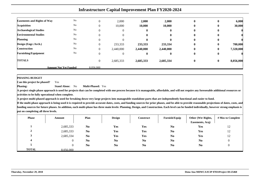|                                    | <b>Infrastructure Capital Improvement Plan FY2020-2024</b> |                |           |              |              |          |          |           |  |  |  |  |
|------------------------------------|------------------------------------------------------------|----------------|-----------|--------------|--------------|----------|----------|-----------|--|--|--|--|
| <b>Easements and Rights of Way</b> | No                                                         |                | 2,000     | 2,000        | 2,000        | $\bf{0}$ | $\bf{0}$ | 6,000     |  |  |  |  |
| <b>Acquisition</b>                 | No                                                         |                | 10,000    | 10,000       | 10,000       | 0        | $\bf{0}$ | 30,000    |  |  |  |  |
| <b>Archaeological Studies</b>      | No                                                         |                | 0         | o            | 0            | 0        | $\bf{0}$ |           |  |  |  |  |
| <b>Environmental Studies</b>       | No                                                         |                | 0         | 0            | 0            | $\bf{0}$ | 0        |           |  |  |  |  |
| <b>Planning</b>                    | No                                                         |                | 0         | $\mathbf{0}$ | $\mathbf{0}$ | 0        | 0        |           |  |  |  |  |
| Design (Engr./Arch.)               | No                                                         |                | 233,333   | 233,333      | 233,334      | $\bf{0}$ | $\bf{0}$ | 700,000   |  |  |  |  |
| <b>Construction</b>                | No                                                         |                | 2,440,000 | 2,440,000    | 2,440,000    | $\bf{0}$ | $\bf{0}$ | 7,320,000 |  |  |  |  |
| <b>Furnishing/Equipment</b>        | No                                                         |                | 0         | o            | $\mathbf{0}$ | $\bf{0}$ | $\bf{0}$ |           |  |  |  |  |
| <b>TOTALS</b>                      |                                                            | $\overline{0}$ | 2,685,333 | 2,685,333    | 2,685,334    | $\bf{0}$ | $\bf{0}$ | 8,056,000 |  |  |  |  |
|                                    | <b>Amount Not Yet Funded</b>                               | 8,056,000      |           |              |              |          |          |           |  |  |  |  |

**PHASING BUDGET**

 **Can this project be phased?**Yes

**Phasing: Stand Alone:** No**Multi-Phased:** Yes

**A project single phase approach is used for projects that can be completed with one process because it is manageable, affordable, and will not require any foreseeable additional resources oractivities to be fully operational when complete.**

**A project multi-phased approach is used for breaking down very large projects into manageable standalone parts that are independently functional and easier to fund.**

| <b>Phase</b> | Amount         | Plan           | <b>Design</b>  | Construct      | Furnish/Equip          | Other (Wtr Rights,<br>Easements, Acq) | # Mos to Complete |
|--------------|----------------|----------------|----------------|----------------|------------------------|---------------------------------------|-------------------|
|              | 2,685,333      | N <sub>0</sub> | Yes            | Yes            | $\mathbf{N}\mathbf{0}$ | Yes                                   | 12                |
| $\mathbf{2}$ | 2,685,333      | N <sub>0</sub> | Yes            | Yes            | N <sub>0</sub>         | Yes                                   | 12                |
|              | 2,685,334      | N <sub>0</sub> | Yes            | Yes            | N <sub>0</sub>         | Yes                                   | 12                |
| 4            | $\overline{0}$ | N <sub>0</sub> | N <sub>0</sub> | N <sub>0</sub> | N <sub>0</sub>         | N <sub>0</sub>                        |                   |
|              | v              | N <sub>0</sub> | N <sub>0</sub> | N <sub>0</sub> | N <sub>0</sub>         | N <sub>0</sub>                        |                   |
| <b>TOTAL</b> | 8.056.000      |                |                |                |                        |                                       |                   |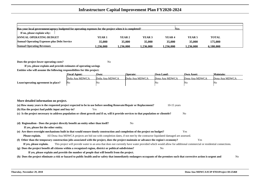| Has your local government/agency budgeted for operating expenses for the project when it is completed?<br><b>Yes</b> |          |          |          |                   |                   |              |  |  |
|----------------------------------------------------------------------------------------------------------------------|----------|----------|----------|-------------------|-------------------|--------------|--|--|
| If no, please explain why:                                                                                           |          |          |          |                   |                   |              |  |  |
| <b>ANNUAL OPERATING BUDGET</b>                                                                                       | YEAR 1   | YEAR 2   | YEAR 3   | YEAR <sub>4</sub> | YEAR <sub>5</sub> | <b>TOTAL</b> |  |  |
| <b>Annual Operating Expenses plus Debt Service</b>                                                                   | 35,000   | 35,000   | 35,000   | 35,000            | 35,000            | 175,000      |  |  |
| <b>Annual Operating Revenues</b>                                                                                     | .236.000 | .236.000 | .236.000 | 1.236.000         | 1.236.000         | 6.180.000    |  |  |

**Does the project lower operating costs?**<sup>2</sup> No

**If yes, please explain and provide estimates of operating savingsEntities who will assume the following responsibilites for this project:**

|                                     | <b>Fiscal Agent:</b> | Own:           | <b>Operate:</b> | Own Land:      | <b>Own Asset:</b> | Maintain:      |
|-------------------------------------|----------------------|----------------|-----------------|----------------|-------------------|----------------|
|                                     | Doña Ana MDWCA       | Doña Ana MDWCA | Doña Ana MDWCA  | Dona Ana MDWCA | Dona Ana MDWCA    | Dona Ana MDWCA |
| Lease/operating agreement in place? | No                   | 'Nu            |                 | NO             | 'No               | ΙNΟ            |

| More detailed information on project.                                                                                                                                                     |    |
|-------------------------------------------------------------------------------------------------------------------------------------------------------------------------------------------|----|
| (a) How many years is the requested project expected to be in use before needing Renovate/Repair or Replacement?<br>$10-15$ years                                                         |    |
| (b) Has the project had public input and buy-in?<br>Yes                                                                                                                                   |    |
| (c) Is the project necessary to address population or client growth and if so, will it provide services to that population or clientele?<br>N <sub>0</sub>                                |    |
|                                                                                                                                                                                           |    |
| (d) Regionalism - Does the project directly benefit an entity other than itself?<br>N <sub>0</sub>                                                                                        |    |
| If yes, please list the other entity.                                                                                                                                                     |    |
| (e) Are there oversight mechanisms built in that would ensure timely construction and completion of the project on budget?<br>Yes                                                         |    |
| All Dona Ana MDWCA projects are bid out with completion dates, if not met by the contractor liquidated damaged are assessed.<br>Please explain.                                           |    |
| (f) Other than the temporary construction jobs associated with the project, does the project maintain or advance the region's economy?<br>Yes                                             |    |
| This project will provide water to an area that does not currently have water provided which would allow for additional commercial or residential connections.<br>If yes, please explain. |    |
| (g) Does the project benefit all citizens within a recognized region, district or political subdivision?<br>N <sub>0</sub>                                                                |    |
| If yes, please explain and provide the number of people that will benefit from the project.                                                                                               |    |
| (h) Does the project eliminate a risk or hazard to public health and/or safety that immediately endangers occupants of the premises such that corrective action is urgent and             | No |
|                                                                                                                                                                                           |    |
|                                                                                                                                                                                           |    |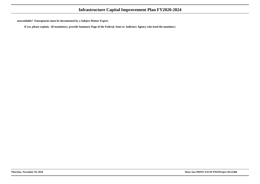**unavoidable? Emergencies must be documented by a Subject Matter Expert.**

**If yes, please explain. (If mandatory, provide Summary Page of the Federal, State or Judiciary Agency who issed the mandate.)**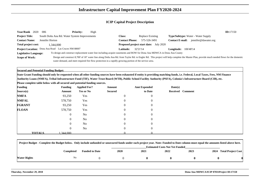| Year/Rank 2020        | 006                                                 | <b>Priority:</b> | High                                                                                                   |                       |                                                                                                                          |                             |                                                                                                                                                                                            | ID:17150 |
|-----------------------|-----------------------------------------------------|------------------|--------------------------------------------------------------------------------------------------------|-----------------------|--------------------------------------------------------------------------------------------------------------------------|-----------------------------|--------------------------------------------------------------------------------------------------------------------------------------------------------------------------------------------|----------|
| <b>Project Title:</b> | South Doña Ana Rd. Water System Improvements        |                  |                                                                                                        | Class:                | Replace Existing                                                                                                         |                             | <b>Type/Subtype:</b> Water - Water Supply                                                                                                                                                  |          |
| <b>Contact Name:</b>  | Jennifer Horton                                     |                  |                                                                                                        | <b>Contact Phone:</b> | 575-526-3491                                                                                                             | Contact <b>E-mail:</b>      | jennifer@dawater.org                                                                                                                                                                       |          |
| Total project cost:   | 1.344.000                                           |                  |                                                                                                        |                       | <b>Proposed project start date:</b> July 2020                                                                            |                             |                                                                                                                                                                                            |          |
|                       | Project Location: Dona Ana Road Las Cruces NM 88007 |                  |                                                                                                        | <b>Latitude:</b>      | 32'21'14                                                                                                                 | <b>Longitude:</b> 106'48'14 |                                                                                                                                                                                            |          |
| Legislative Language: |                                                     |                  |                                                                                                        |                       | To design and construct replacement water line including acquire easements and ROW for Dona Ana MDWCA in Dona Ana County |                             |                                                                                                                                                                                            |          |
| <b>Scope of Work:</b> |                                                     |                  |                                                                                                        |                       |                                                                                                                          |                             | Design and construct 8,700' of 18" water line along Doña Ana Rd. from Taylor Rd. to Engler Rd. This project will help complete the Master Plan, provide much needed flows for the domestic |          |
|                       |                                                     |                  | water demand, and meet required fire flow protection in a rapidly growing portion of the service area. |                       |                                                                                                                          |                             |                                                                                                                                                                                            |          |

**Secured and Potential Funding Budget:**

 **State Grant Funding should only be requested when all other funding sources have been exhausted if entity is providing matching funds, i.e. Federal, Local Taxes, Fees, NM FinanceAuthority Loans (NMFA), Tribal Infrastructure Fund (TIF), Water Trust Board (WTB), Public School Facility Authority (PSFA), Colonia's Infrastructure Board (CIB), etc.**

**Please complete table below with all secured and potential funding sources.**

| <b>Funding</b> |               | <b>Funding</b> | <b>Applied For?</b> | Amount         | <b>Amt Expended</b> | Date(s) |                  |
|----------------|---------------|----------------|---------------------|----------------|---------------------|---------|------------------|
| Source(s)      |               | Amount         | <b>Yes or No</b>    | <b>Secured</b> | to Date             |         | Received Comment |
| <b>NMFA</b>    |               | 93,250         | Yes                 | $\theta$       | $\overline{0}$      |         |                  |
| <b>NMFAL</b>   |               | 578,750        | Yes                 |                | $\overline{0}$      |         |                  |
| <b>FGRANT</b>  |               | 93,250         | Yes                 |                | $\overline{0}$      |         |                  |
| <b>FLOAN</b>   |               | 578,750        | Yes                 | $\Omega$       | $\overline{0}$      |         |                  |
|                |               | $\mathbf{0}$   | N <sub>o</sub>      |                | $\overline{0}$      |         |                  |
|                |               | $\mathbf{0}$   | N <sub>o</sub>      | $\Omega$       | $\overline{0}$      |         |                  |
|                |               | $\mathbf{0}$   | N <sub>o</sub>      |                | $\overline{0}$      |         |                  |
|                |               | $\mathbf{0}$   | N <sub>o</sub>      | $\Omega$       | $\overline{0}$      |         |                  |
|                | <b>TOTALS</b> | .344,000       |                     |                |                     |         |                  |

| Project Budget - Complete the Budget below. Only include unfunded or unsecured funds under each project year. Note: Funded to Date column must equal the amounts listed above here. |           |                       |                                       |      |      |      |  |                         |
|-------------------------------------------------------------------------------------------------------------------------------------------------------------------------------------|-----------|-----------------------|---------------------------------------|------|------|------|--|-------------------------|
|                                                                                                                                                                                     |           |                       | <b>Estimated Costs Not Yet Funded</b> |      |      |      |  |                         |
|                                                                                                                                                                                     | Completed | <b>Funded to Date</b> | <b>2020</b>                           | 2021 | 2022 | 2023 |  | 2024 Total Project Cost |
| <b>Water Rights</b>                                                                                                                                                                 | No        |                       |                                       |      |      |      |  |                         |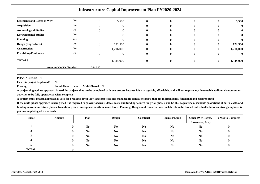| <b>Easements and Rights of Way</b> | $\rm No$                     | $\theta$       | 5,500     | 0            | $\mathbf{0}$ | $\bf{0}$     | $\bf{0}$     | 5,500     |
|------------------------------------|------------------------------|----------------|-----------|--------------|--------------|--------------|--------------|-----------|
| <b>Acquisition</b>                 | No                           | $\theta$       |           |              | $\mathbf{0}$ | $\bf{0}$     | $\bf{0}$     |           |
| <b>Archaeological Studies</b>      | No                           |                |           |              | $\mathbf{0}$ | $\bf{0}$     | 0            |           |
| <b>Environmental Studies</b>       | No                           |                |           |              | $\bf{0}$     | 0            | v            |           |
| <b>Planning</b>                    | Yes                          | $\theta$       |           |              | $\bf{0}$     | $\mathbf{0}$ | $\mathbf{0}$ |           |
| Design (Engr./Arch.)               | $\rm No$                     | $\Omega$       | 122,500   | o            | $\mathbf{0}$ | $\mathbf{0}$ | $\bf{0}$     | 122,500   |
| <b>Construction</b>                | No                           | $\Omega$       | 1,216,000 | 0            | $\mathbf{0}$ | $\bf{0}$     | $\bf{0}$     | 1,216,000 |
| <b>Furnishing/Equipment</b>        | $\rm No$                     | $\theta$       |           | 0            | $\mathbf{0}$ | $\bf{0}$     | $\bf{0}$     |           |
| <b>TOTALS</b>                      |                              | $\overline{0}$ | 1,344,000 | $\mathbf{0}$ | $\mathbf{0}$ | $\bf{0}$     | $\bf{0}$     | 1,344,000 |
|                                    | <b>Amount Not Yet Funded</b> | .344.000       |           |              |              |              |              |           |

**PHASING BUDGET**

 **Can this project be phased?**No

**Phasing: Stand Alone:** Yes**Multi-Phased:** No

**A project single phase approach is used for projects that can be completed with one process because it is manageable, affordable, and will not require any foreseeable additional resources oractivities to be fully operational when complete.**

**A project multi-phased approach is used for breaking down very large projects into manageable standalone parts that are independently functional and easier to fund.**

| <b>Phase</b> | Amount       | Plan           | <b>Design</b>  | <b>Construct</b> | Furnish/Equip  | Other (Wtr Rights,<br>Easements, Acq) | # Mos to Complete |
|--------------|--------------|----------------|----------------|------------------|----------------|---------------------------------------|-------------------|
|              | $\mathbf{0}$ | N <sub>0</sub> | N <sub>0</sub> | N <sub>0</sub>   | N <sub>0</sub> | N <sub>0</sub>                        | U                 |
|              | 0            | N <sub>0</sub> | N <sub>0</sub> | N <sub>0</sub>   | N <sub>0</sub> | N <sub>0</sub>                        |                   |
|              | 0            | N <sub>0</sub> | N <sub>0</sub> | N <sub>0</sub>   | N <sub>0</sub> | N <sub>0</sub>                        | U                 |
|              | 0            | N <sub>0</sub> | N <sub>0</sub> | N <sub>0</sub>   | N <sub>0</sub> | N <sub>0</sub>                        |                   |
|              | $\Omega$     | N <sub>0</sub> | N <sub>0</sub> | N <sub>0</sub>   | N <sub>0</sub> | N <sub>0</sub>                        |                   |
| <b>TOTAL</b> |              |                |                |                  |                |                                       |                   |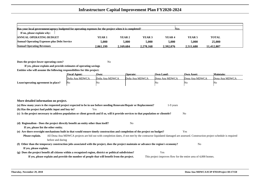| Has your local government/agency budgeted for operating expenses for the project when it is completed?<br><b>Nes</b> |                   |           |                   |           |                   |              |  |  |
|----------------------------------------------------------------------------------------------------------------------|-------------------|-----------|-------------------|-----------|-------------------|--------------|--|--|
| If no, please explain why:                                                                                           |                   |           |                   |           |                   |              |  |  |
| <b>ANNUAL OPERATING BUDGET</b>                                                                                       | YEAR <sub>1</sub> | YEAR 2    | YEAR <sub>3</sub> | YEAR 4    | YEAR <sub>5</sub> | <b>TOTAL</b> |  |  |
| <b>Annual Operating Expenses plus Debt Service</b>                                                                   | 5.000             | 5,000     | 5.000             | 5,000     | 5.000             | 25,000       |  |  |
| <b>Annual Operating Revenues</b>                                                                                     | 2.061.199         | 2.169.684 | 2.278.168         | 2.392.076 | 2.511.680         | 11.412.807   |  |  |

**Does the project lower operating costs?**<sup>2</sup> No

**If yes, please explain and provide estimates of operating savingsEntities who will assume the following responsibilites for this project:**

|                                     | <b>Fiscal Agent:</b> | Own:           | <b>Operate:</b> | <b>Own Land:</b> | Own Asset:     | <b>Maintain:</b> |
|-------------------------------------|----------------------|----------------|-----------------|------------------|----------------|------------------|
|                                     | Doña Ana MDWCA       | Doña Ana MDWCA | Doña Ana MDWCA  | Dona Ana MDWCA   | Dona Ana MDWCA | Dona Ana MDWCA   |
| Lease/operating agreement in place? | <b>No</b>            | 'NG            |                 | NO.              | 'NG            | No               |

| More detailed information on project. |                                                                                                                                                                        |                                                                |                |
|---------------------------------------|------------------------------------------------------------------------------------------------------------------------------------------------------------------------|----------------------------------------------------------------|----------------|
|                                       | (a) How many years is the requested project expected to be in use before needing Renovate/Repair or Replacement?                                                       | 1-9 years                                                      |                |
|                                       | (b) Has the project had public input and buy-in?<br>Yes                                                                                                                |                                                                |                |
|                                       | (c) Is the project necessary to address population or client growth and if so, will it provide services to that population or clientele?                               |                                                                | N <sub>0</sub> |
|                                       |                                                                                                                                                                        |                                                                |                |
|                                       | (d) Regionalism - Does the project directly benefit an entity other than itself?<br>N <sub>0</sub>                                                                     |                                                                |                |
| If yes, please list the other entity. |                                                                                                                                                                        |                                                                |                |
|                                       | (e) Are there oversight mechanisms built in that would ensure timely construction and completion of the project on budget?                                             |                                                                | Yes            |
| Please explain.                       | All Dona Ana MDWCA projects are bid out with completion dates, if not met by the contractor liquidated damaged are assessed. Construction project schedule is required |                                                                |                |
|                                       | before and during                                                                                                                                                      |                                                                |                |
|                                       | (f) Other than the temporary construction jobs associated with the project, does the project maintain or advance the region's economy?                                 |                                                                | N <sub>o</sub> |
| If yes, please explain.               |                                                                                                                                                                        |                                                                |                |
|                                       | (g) Does the project benefit all citizens within a recognized region, district or political subdivision?                                                               | Yes                                                            |                |
|                                       | If yes, please explain and provide the number of people that will benefit from the project.                                                                            | This project improves flow for the entire area of 4,000 homes. |                |
|                                       |                                                                                                                                                                        |                                                                |                |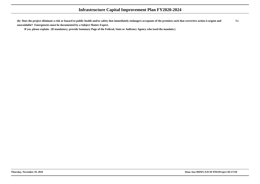**(h) Does the project eliminate a risk or hazard to public health and/or safety that immediately endangers occupants of the premises such that corrective action is urgent andunavoidable? Emergencies must be documented by a Subject Matter Expert.**No

**If yes, please explain. (If mandatory, provide Summary Page of the Federal, State or Judiciary Agency who issed the mandate.)**

**Thursday, November 29, 2018 Dona Ana MDWCA/ICIP 07031Project ID:17150**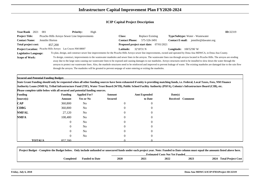| Year/Rank 2021<br>001                                                       |                | <b>Priority:</b><br>High                     |                                                                                                                 |                                         | ID:32319                                                                                                                                                                                                                                                                                                                                                                                                                                                                                                                                                                          |
|-----------------------------------------------------------------------------|----------------|----------------------------------------------|-----------------------------------------------------------------------------------------------------------------|-----------------------------------------|-----------------------------------------------------------------------------------------------------------------------------------------------------------------------------------------------------------------------------------------------------------------------------------------------------------------------------------------------------------------------------------------------------------------------------------------------------------------------------------------------------------------------------------------------------------------------------------|
| <b>Project Title:</b>                                                       |                | Picacho Hills Arroyo Sewer Line Improvements | <b>Class:</b>                                                                                                   | <b>Replace Existing</b>                 | Type/Subtype: Water - Wastewater                                                                                                                                                                                                                                                                                                                                                                                                                                                                                                                                                  |
| <b>Contact Name:</b><br>Jennifer Horton                                     |                |                                              | <b>Contact Phone:</b>                                                                                           | 575-526-3491                            | Contact E-mail: jennifer@dawater.org                                                                                                                                                                                                                                                                                                                                                                                                                                                                                                                                              |
| Total project cost:<br>857,200                                              |                |                                              |                                                                                                                 | Proposed project start date: 07/01/2021 |                                                                                                                                                                                                                                                                                                                                                                                                                                                                                                                                                                                   |
| Project Location: Picacho Hills Arroyo Las Cruces NM 88007                  |                |                                              | Latitude:                                                                                                       | 32'18'31 N                              | <b>Longitude:</b> 106'52'06' W                                                                                                                                                                                                                                                                                                                                                                                                                                                                                                                                                    |
| <b>Legislative Language:</b>                                                |                |                                              |                                                                                                                 |                                         | To plan, design, and construct sewer line improvements for the Picacho Hills Arroyo sewer line improvements, owned and operated by Dona Ana MDWCA, in Dona Ana County.                                                                                                                                                                                                                                                                                                                                                                                                            |
| <b>Scope of Work:</b>                                                       |                |                                              | through the arroyos. The manholes will be grouted to prevent seepage of water entering or exiting the manholes. |                                         | To design, construct, improvements to the wastewater manholes and sewer lines in the arroyos. The wastewater lines run through arroyos located in Picacho Hills. The arroyos are eroding<br>away due to the large rains causing our wastewater lines to be exposed and causing damages to our manholes. Arroyo structures need to be installed to slow down the water through the<br>arroyos to protect our wastewater lines. Also, the manhole structures need to be reinforced and improved to prevent leakage of waste. The existing manholes are damaged due to the rain flow |
| <b>Secured and Potential Funding Budget:</b>                                |                |                                              |                                                                                                                 |                                         |                                                                                                                                                                                                                                                                                                                                                                                                                                                                                                                                                                                   |
|                                                                             |                |                                              |                                                                                                                 |                                         | State Grant Funding should only be requested when all other funding sources have been exhausted if entity is providing matching funds, i.e. Federal, Local Taxes, Fees, NM Finance                                                                                                                                                                                                                                                                                                                                                                                                |
|                                                                             |                |                                              |                                                                                                                 |                                         | Authority Loans (NMFA), Tribal Infrastructure Fund (TIF), Water Trust Board (WTB), Public School Facility Authority (PSFA), Colonia's Infrastructure Board (CIB), etc.                                                                                                                                                                                                                                                                                                                                                                                                            |
| Please complete table below with all secured and potential funding sources. |                |                                              |                                                                                                                 |                                         |                                                                                                                                                                                                                                                                                                                                                                                                                                                                                                                                                                                   |
| <b>Funding</b>                                                              | <b>Funding</b> | <b>Applied For?</b>                          | Amount                                                                                                          | <b>Amt Expended</b>                     | Date(s)                                                                                                                                                                                                                                                                                                                                                                                                                                                                                                                                                                           |
| Source(s)                                                                   | Amount         | Yes or No                                    | <b>Secured</b>                                                                                                  | to Date                                 | Received Comment                                                                                                                                                                                                                                                                                                                                                                                                                                                                                                                                                                  |
| <b>CAP</b>                                                                  | 360,800        | N <sub>o</sub>                               |                                                                                                                 |                                         |                                                                                                                                                                                                                                                                                                                                                                                                                                                                                                                                                                                   |
| <b>CDBG</b>                                                                 | 360,800        | N <sub>0</sub>                               |                                                                                                                 |                                         |                                                                                                                                                                                                                                                                                                                                                                                                                                                                                                                                                                                   |
| <b>NMFAL</b>                                                                | 27,120         | N <sub>0</sub>                               |                                                                                                                 |                                         |                                                                                                                                                                                                                                                                                                                                                                                                                                                                                                                                                                                   |
| <b>NMFA</b>                                                                 | 108,480        | N <sub>0</sub>                               |                                                                                                                 |                                         |                                                                                                                                                                                                                                                                                                                                                                                                                                                                                                                                                                                   |
|                                                                             | 0              | N <sub>0</sub>                               |                                                                                                                 |                                         |                                                                                                                                                                                                                                                                                                                                                                                                                                                                                                                                                                                   |
|                                                                             | 0              | N <sub>0</sub>                               |                                                                                                                 |                                         |                                                                                                                                                                                                                                                                                                                                                                                                                                                                                                                                                                                   |
|                                                                             | $\Omega$       | N <sub>o</sub>                               |                                                                                                                 |                                         |                                                                                                                                                                                                                                                                                                                                                                                                                                                                                                                                                                                   |
|                                                                             | $\theta$       | N <sub>0</sub>                               |                                                                                                                 | $\theta$                                |                                                                                                                                                                                                                                                                                                                                                                                                                                                                                                                                                                                   |
| <b>TOTALS</b>                                                               | 857.200        |                                              |                                                                                                                 |                                         |                                                                                                                                                                                                                                                                                                                                                                                                                                                                                                                                                                                   |

| Project Budget - Complete the Budget below. Only include unfunded or unsecured funds under each project year. Note: Funded to Date column must equal the amounts listed above here. |                       |                                       |      |      |      |                         |  |  |  |  |  |
|-------------------------------------------------------------------------------------------------------------------------------------------------------------------------------------|-----------------------|---------------------------------------|------|------|------|-------------------------|--|--|--|--|--|
|                                                                                                                                                                                     |                       | <b>Estimated Costs Not Yet Funded</b> |      |      |      |                         |  |  |  |  |  |
| <b>Completed</b>                                                                                                                                                                    | <b>Funded to Date</b> | 2020                                  | 2021 | 2022 | 2023 | 2024 Total Project Cost |  |  |  |  |  |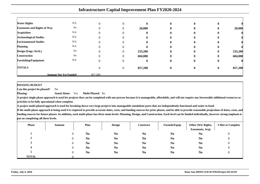|                                    |                              |          |          | <b>Infrastructure Capital Improvement Plan FY2020-2024</b> |                  |             |              |         |
|------------------------------------|------------------------------|----------|----------|------------------------------------------------------------|------------------|-------------|--------------|---------|
| <b>Water Rights</b>                | N/A                          |          |          | $\mathbf{0}$                                               | $\bf{0}$         |             |              |         |
| <b>Easements and Rights of Way</b> | No                           |          |          | 20,000                                                     | 0                | $\mathbf 0$ | $\bf{0}$     | 20,000  |
| <b>Acquisition</b>                 | N/A                          |          |          | o                                                          |                  |             | O            |         |
| <b>Archaeological Studies</b>      | N/A                          |          |          | 0                                                          | 0                |             | $\mathbf 0$  |         |
| <b>Environmental Studies</b>       | N/A                          |          |          |                                                            |                  |             | u            |         |
| <b>Planning</b>                    | N/A                          |          |          | 0                                                          | 0                |             | $\mathbf{0}$ |         |
| Design (Engr./Arch.)               | No                           |          |          | 233,200                                                    | 0                |             | $\bf{0}$     | 233,200 |
| <b>Construction</b>                | No                           |          |          | 604,000                                                    | $\mathbf 0$      |             | $\mathbf{0}$ | 604,000 |
| <b>Furnishing/Equipment</b>        | N/A                          | $\theta$ |          | $\bf{0}$                                                   | $\bf{0}$         | $\bf{0}$    | $\bf{0}$     |         |
| <b>TOTALS</b>                      |                              |          | $\theta$ | 857,200                                                    | $\boldsymbol{0}$ | $\bf{0}$    | $\bf{0}$     | 857,200 |
|                                    | <b>Amount Not Yet Funded</b> | 857.200  |          |                                                            |                  |             |              |         |

**Amount Not Yet Funded**

#### **PHASING BUDGET**

**Phasing:**

 **Can this project be phased?**No

> **Stand Alone:** Yes**Multi-Phased:** No

 **A project single phase approach is used for projects that can be completed with one process because it is manageable, affordable, and will not require any foreseeable additional resources oractivities to be fully operational when complete.**

**A project multi-phased approach is used for breaking down very large projects into manageable standalone parts that are independently functional and easier to fund.**

| <b>Phase</b> | Amount   | Plan           | <b>Design</b>  | <b>Construct</b> | <b>Furnish/Equip</b> | Other (Wtr Rights,<br>Easements, Acq) | # Mos to Complete |
|--------------|----------|----------------|----------------|------------------|----------------------|---------------------------------------|-------------------|
|              | $\Omega$ | N <sub>0</sub> | N <sub>0</sub> | N <sub>0</sub>   | N <sub>0</sub>       | N <sub>0</sub>                        | 0                 |
|              | $\theta$ | N <sub>0</sub> | N <sub>0</sub> | N <sub>0</sub>   | N <sub>0</sub>       | N <sub>0</sub>                        | $\theta$          |
|              |          | N <sub>0</sub> | N <sub>0</sub> | N <sub>0</sub>   | N <sub>0</sub>       | N <sub>0</sub>                        | 0                 |
|              | $\theta$ | N <sub>0</sub> | N <sub>0</sub> | N <sub>0</sub>   | N <sub>0</sub>       | N <sub>0</sub>                        | 0                 |
|              |          | N <sub>0</sub> | N <sub>0</sub> | N <sub>0</sub>   | N <sub>0</sub>       | N <sub>0</sub>                        | 0                 |
| <b>TOTAL</b> |          |                |                |                  |                      |                                       |                   |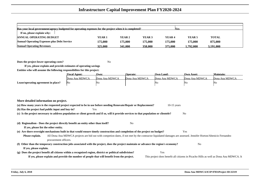| Has your local government/agency budgeted for operating expenses for the project when it is completed?<br><b>Nes</b> |                   |         |                   |                   |                   |              |  |  |  |  |  |
|----------------------------------------------------------------------------------------------------------------------|-------------------|---------|-------------------|-------------------|-------------------|--------------|--|--|--|--|--|
| If no, please explain why:                                                                                           |                   |         |                   |                   |                   |              |  |  |  |  |  |
| <b>ANNUAL OPERATING BUDGET</b>                                                                                       | YEAR <sub>1</sub> | YEAR 2  | YEAR <sub>3</sub> | YEAR <sub>4</sub> | YEAR <sub>5</sub> | <b>TOTAL</b> |  |  |  |  |  |
| <b>Annual Operating Expenses plus Debt Service</b>                                                                   | 175,000           | 175.000 | 175.000           | 175,000           | 175,000           | 875,000      |  |  |  |  |  |
| <b>Annual Operating Revenues</b>                                                                                     | 325,000           | 341,000 | 358.000           | 375,000           | .792.000          | ۔ 191.000    |  |  |  |  |  |

**Does the project lower operating costs?**<sup>2</sup> No

**If yes, please explain and provide estimates of operating savingsEntities who will assume the following responsibilites for this project:**

|                                     | <b>Fiscal Agent:</b> | Own:           | Operate:       | <b>Own Land:</b> | <b>Own Asset:</b> | Maintain:      |
|-------------------------------------|----------------------|----------------|----------------|------------------|-------------------|----------------|
|                                     | Dona Ana MDWCA       | Dona Ana MDWCA | Dona Ana MDWCA | Dona Ana MDWCA   | Dona Ana MDWCA    | Dona Ana MDWCA |
| Lease/operating agreement in place? | - No                 | No             |                | No               | 'NG               | 'Nο            |

| More detailed information on project.            |                                                                                                                                          |     |                |               |                                                                                                                                                                |
|--------------------------------------------------|------------------------------------------------------------------------------------------------------------------------------------------|-----|----------------|---------------|----------------------------------------------------------------------------------------------------------------------------------------------------------------|
|                                                  | (a) How many years is the requested project expected to be in use before needing Renovate/Repair or Replacement?                         |     |                | $10-15$ years |                                                                                                                                                                |
| (b) Has the project had public input and buy-in? |                                                                                                                                          | Yes |                |               |                                                                                                                                                                |
|                                                  | (c) Is the project necessary to address population or client growth and if so, will it provide services to that population or clientele? |     |                |               | N <sub>o</sub>                                                                                                                                                 |
|                                                  |                                                                                                                                          |     |                |               |                                                                                                                                                                |
|                                                  | (d) Regionalism - Does the project directly benefit an entity other than itself?                                                         |     | N <sub>0</sub> |               |                                                                                                                                                                |
| If yes, please list the other entity.            |                                                                                                                                          |     |                |               |                                                                                                                                                                |
|                                                  | (e) Are there oversight mechanisms built in that would ensure timely construction and completion of the project on budget?               |     |                |               | Yes                                                                                                                                                            |
| Please explain.                                  |                                                                                                                                          |     |                |               | All Dona Ana MDWCA projects are bid out with competion dates, if not met by the contractor liquidated damages are assessed. Jennifer Horton/Abenicio Fernandez |
|                                                  | procurement officers.                                                                                                                    |     |                |               |                                                                                                                                                                |
|                                                  | (f) Other than the temporary construction jobs associated with the project, does the project maintain or advance the region's economy?   |     |                |               | N <sub>0</sub>                                                                                                                                                 |
| If yes, please explain.                          |                                                                                                                                          |     |                |               |                                                                                                                                                                |
|                                                  | (g) Does the project benefit all citizens within a recognized region, district or political subdivision?                                 |     | Yes            |               |                                                                                                                                                                |
|                                                  | If yes, please explain and provide the number of people that will benefit from the project.                                              |     |                |               | This project does benefit all citizens in Picacho Hills as well as Dona Ana MDWCA. It                                                                          |
|                                                  |                                                                                                                                          |     |                |               |                                                                                                                                                                |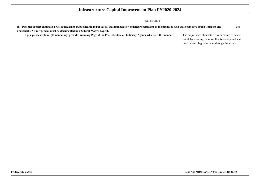#### will prevent e

| (h) Does the project eliminate a risk or hazard to public health and/or safety that immediately endangers occupants of the premises such that corrective action is urgent and          |                                                      | Yes |  |  |  |
|----------------------------------------------------------------------------------------------------------------------------------------------------------------------------------------|------------------------------------------------------|-----|--|--|--|
| unavoidable? Emergencies must be documented by a Subject Matter Expert.                                                                                                                |                                                      |     |  |  |  |
| If yes, please explain. (If mandatory, provide Summary Page of the Federal, State or Judiciary Agency who issed the mandate.)<br>The project does eliminate a risk or hazard to public |                                                      |     |  |  |  |
|                                                                                                                                                                                        | health by ensuring the sewer line is not exposed and |     |  |  |  |
|                                                                                                                                                                                        | break when a big rain comes through the arroyo.      |     |  |  |  |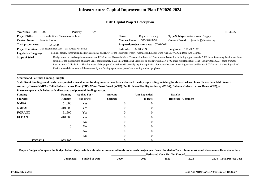| Year/Rank 2021                                                                                                                                                                                                                                                           | 002                               | <b>Priority:</b> | High                                                                                                       |                              |                  |                        |                                                                                                                                                                                                                                                                                                                                                                                                                                                                                                                                                                                  | ID:32327 |  |
|--------------------------------------------------------------------------------------------------------------------------------------------------------------------------------------------------------------------------------------------------------------------------|-----------------------------------|------------------|------------------------------------------------------------------------------------------------------------|------------------------------|------------------|------------------------|----------------------------------------------------------------------------------------------------------------------------------------------------------------------------------------------------------------------------------------------------------------------------------------------------------------------------------------------------------------------------------------------------------------------------------------------------------------------------------------------------------------------------------------------------------------------------------|----------|--|
| <b>Project Title:</b>                                                                                                                                                                                                                                                    | Riverwalk Water Transmission Line |                  |                                                                                                            | <b>Class:</b>                | Replace Existing |                        | <b>Type/Subtype:</b> Water - Water Supply                                                                                                                                                                                                                                                                                                                                                                                                                                                                                                                                        |          |  |
| <b>Contact Name:</b>                                                                                                                                                                                                                                                     | Jennifer Horton                   |                  |                                                                                                            | <b>Contact Phone:</b>        | 575-526-3491     | <b>Contact E-mail:</b> | jennifer@dawater.org                                                                                                                                                                                                                                                                                                                                                                                                                                                                                                                                                             |          |  |
| Total project cost:                                                                                                                                                                                                                                                      | 923,200                           |                  |                                                                                                            | Proposed project start date: | 07/01/2021       |                        |                                                                                                                                                                                                                                                                                                                                                                                                                                                                                                                                                                                  |          |  |
|                                                                                                                                                                                                                                                                          |                                   |                  |                                                                                                            | <b>Latitude:</b>             | 32 18 55 N       |                        |                                                                                                                                                                                                                                                                                                                                                                                                                                                                                                                                                                                  |          |  |
| Project Location: 1705 Roadrunner Lane Las Cruces NM 88005<br><b>Longitude:</b> $1064929W$<br>To plan, design, construct and acquire easements and ROW for the Riverwalk Water Transmission Line for Dona Ana MDWCA, in Dona Ana County.<br><b>Legislative Language:</b> |                                   |                  |                                                                                                            |                              |                  |                        |                                                                                                                                                                                                                                                                                                                                                                                                                                                                                                                                                                                  |          |  |
| <b>Scope of Work:</b>                                                                                                                                                                                                                                                    |                                   |                  | Environmental documents will be required by the funding agencies as part of the planning and design phase. |                              |                  |                        | Design, construct and acquire easements and ROW for the Riverwalk Water Transmission Line. A 12-inch transmission line including approximately 3,900 linear feet along Roadrunner Lane<br>south near the intersections of Bruins Lane, approximately 1,600 linear feet along Calle de Fira and approximately 1400 linear feet along Burk Road (County Road C507) south from the<br>intersection at Calle de Fira. The alignment of the proposed waterline will possibly require acquisition of property because of existing utilities and limited ROW access. Archaeological and |          |  |

**Secured and Potential Funding Budget:**

 **State Grant Funding should only be requested when all other funding sources have been exhausted if entity is providing matching funds, i.e. Federal, Local Taxes, Fees, NM FinanceAuthority Loans (NMFA), Tribal Infrastructure Fund (TIF), Water Trust Board (WTB), Public School Facility Authority (PSFA), Colonia's Infrastructure Board (CIB), etc.Please complete table below with all secured and potential funding sources.**

| <b>Funding</b> | <b>Funding</b>           |                | <b>Applied For?</b> | Amount         | <b>Amt Expended</b> | Date(s) |                  |
|----------------|--------------------------|----------------|---------------------|----------------|---------------------|---------|------------------|
| Source(s)      | Amount                   |                | <b>Yes or No</b>    | <b>Secured</b> | to Date             |         | Received Comment |
| <b>NMFA</b>    | 51,600                   |                | Yes                 | $\theta$       | $\overline{0}$      |         |                  |
| <b>NMFAL</b>   | 410,000                  |                | Yes                 | $\mathbf{0}$   | $\overline{0}$      |         |                  |
| <b>FGRANT</b>  | 51,600                   |                | Yes                 | $\Omega$       | $\left($            |         |                  |
| <b>FLOAN</b>   | 410,000                  |                | Yes                 | $\theta$       | $\overline{0}$      |         |                  |
|                |                          | $\overline{0}$ | No                  |                | $\left($            |         |                  |
|                |                          | $\overline{0}$ | N <sub>o</sub>      | $\overline{0}$ | $\Omega$            |         |                  |
|                |                          | $\overline{0}$ | N <sub>o</sub>      |                | $\Omega$            |         |                  |
|                |                          | $\overline{0}$ | N <sub>o</sub>      | $\Omega$       | $\Omega$            |         |                  |
|                | <b>TOTALS</b><br>923,200 |                |                     |                |                     |         |                  |

| Project Budget - Complete the Budget below. Only include unfunded or unsecured funds under each project year. Note: Funded to Date column must equal the amounts listed above here. |                       |                                       |      |      |      |                         |  |  |  |  |
|-------------------------------------------------------------------------------------------------------------------------------------------------------------------------------------|-----------------------|---------------------------------------|------|------|------|-------------------------|--|--|--|--|
|                                                                                                                                                                                     |                       | <b>Estimated Costs Not Yet Funded</b> |      |      |      |                         |  |  |  |  |
| <b>Completed</b>                                                                                                                                                                    | <b>Funded to Date</b> | 2020                                  | 2021 | 2022 | 2023 | 2024 Total Project Cost |  |  |  |  |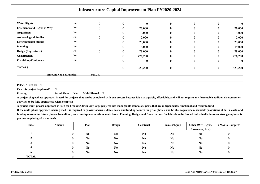| <b>Acquisition</b>                              | No                           | $\Omega$ | 0                | 5,000            | $\mathbf{0}$             | $\bf{0}$             | $\bf{0}$             | 5,000            |
|-------------------------------------------------|------------------------------|----------|------------------|------------------|--------------------------|----------------------|----------------------|------------------|
| <b>Archaeological Studies</b>                   | No<br>No                     | $\Omega$ | 0                | 2,000            | $\bf{0}$                 | $\bf{0}$             | $\bf{0}$             | 2,000            |
| <b>Environmental Studies</b><br><b>Planning</b> | No                           | $\theta$ | 0<br>0           | 23,000<br>19,000 | $\bf{0}$<br>$\mathbf{0}$ | $\bf{0}$<br>$\bf{0}$ | $\bf{0}$<br>$\bf{0}$ | 23,000<br>19,000 |
| Design (Engr./Arch.)                            | N <sub>o</sub>               |          | $\overline{0}$   | 78,000           | $\mathbf{0}$             | $\bf{0}$             | $\bf{0}$             | 78,000           |
| <b>Construction</b>                             | No                           | $\Omega$ | $\Omega$         | 776,200          | $\mathbf{0}$             | $\mathbf{0}$         | $\mathbf{0}$         | 776,200          |
| <b>Furnishing/Equipment</b>                     | N <sub>o</sub>               | $\Omega$ | $\theta$         | $\bf{0}$         | $\bf{0}$                 | $\bf{0}$             | $\bf{0}$             |                  |
| <b>TOTALS</b>                                   |                              | $\theta$ | $\boldsymbol{0}$ | 923,200          | $\bf{0}$                 | $\bf{0}$             | $\bf{0}$             | 923,200          |
|                                                 | <b>Amount Not Yet Funded</b> | 923,200  |                  |                  |                          |                      |                      |                  |

#### **PHASING BUDGET**

**Phasing:**

 **Can this project be phased?**No

> **Stand Alone:** Yes**Multi-Phased:** No

 **A project single phase approach is used for projects that can be completed with one process because it is manageable, affordable, and will not require any foreseeable additional resources oractivities to be fully operational when complete.**

**A project multi-phased approach is used for breaking down very large projects into manageable standalone parts that are independently functional and easier to fund.**

| <b>Phase</b> | Amount   | Plan           | <b>Design</b>  | <b>Construct</b> | Furnish/Equip  | Other (Wtr Rights,<br>Easements, Acq) | # Mos to Complete |
|--------------|----------|----------------|----------------|------------------|----------------|---------------------------------------|-------------------|
|              | $\theta$ | N <sub>0</sub> | N <sub>0</sub> | N <sub>0</sub>   | N <sub>0</sub> | N <sub>0</sub>                        | $\theta$          |
| π.           |          | N <sub>0</sub> | N <sub>0</sub> | N <sub>0</sub>   | N <sub>0</sub> | N <sub>0</sub>                        | $\boldsymbol{0}$  |
|              |          | N <sub>0</sub> | N <sub>0</sub> | N <sub>0</sub>   | N <sub>0</sub> | N <sub>0</sub>                        | 0                 |
|              | $\theta$ | N <sub>0</sub> | N <sub>0</sub> | N <sub>0</sub>   | N <sub>0</sub> | N <sub>0</sub>                        | 0                 |
|              | $\theta$ | N <sub>0</sub> | N <sub>0</sub> | N <sub>0</sub>   | N <sub>0</sub> | N <sub>0</sub>                        | $\theta$          |
| <b>TOTAL</b> |          |                |                |                  |                |                                       |                   |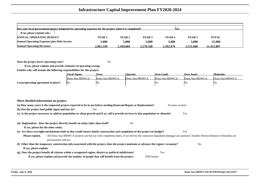| Has your local government/agency budgeted for operating expenses for the project when it is completed?<br><b>Yes</b> |           |           |           |                   |                   |              |  |  |  |  |
|----------------------------------------------------------------------------------------------------------------------|-----------|-----------|-----------|-------------------|-------------------|--------------|--|--|--|--|
| If no, please explain why:                                                                                           |           |           |           |                   |                   |              |  |  |  |  |
| <b>ANNUAL OPERATING BUDGET</b>                                                                                       | YEAR 1    | YEAR 2    | YEAR 3    | YEAR <sub>4</sub> | YEAR <sub>5</sub> | <b>TOTAL</b> |  |  |  |  |
| <b>Annual Operating Expenses plus Debt Service</b>                                                                   | 5.000     | 5,000     | 5.000     | 5.000             | 5.000             | 25,000       |  |  |  |  |
| <b>Annual Operating Revenues</b>                                                                                     | 2.061.199 | 2.169.684 | 2.278.168 | 2.392.076         | 2.511.680         | 11.412.807   |  |  |  |  |

**Does the project lower operating costs?**<sup>2</sup> No

**If yes, please explain and provide estimates of operating savingsEntities who will assume the following responsibilites for this project:**

|                                     | <b>Fiscal Agent:</b> | Own:           | <b>Operate:</b> | <b>Own Land:</b> | <b>Own Asset:</b> | Maintain:      |
|-------------------------------------|----------------------|----------------|-----------------|------------------|-------------------|----------------|
|                                     | Dona Ana MDWCA       | Dona Ana MDWCA | Dona Ana MDWCA  | Dona Ana MDWCA   | Dona Ana MDWCA    | Dona Ana MDWCA |
| Lease/operating agreement in place? | No                   | 'Nu            |                 | NΟ               | 'No               | 'No            |

| 16 years or more                                                                                                                                                    |
|---------------------------------------------------------------------------------------------------------------------------------------------------------------------|
|                                                                                                                                                                     |
| Yes                                                                                                                                                                 |
|                                                                                                                                                                     |
|                                                                                                                                                                     |
|                                                                                                                                                                     |
| Yes                                                                                                                                                                 |
| All Dona Ana MDWCA projects are bid out with completion dates, if not met by the contractor liquidated damages are assessed. Jennifer Horton/Abenicio Fernandez are |
|                                                                                                                                                                     |
| N <sub>0</sub><br>(f) Other than the temporary construction jobs associated with the project, does the project maintain or advance the region's economy?            |
|                                                                                                                                                                     |
|                                                                                                                                                                     |
|                                                                                                                                                                     |
|                                                                                                                                                                     |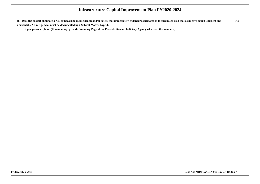**(h) Does the project eliminate a risk or hazard to public health and/or safety that immediately endangers occupants of the premises such that corrective action is urgent andunavoidable? Emergencies must be documented by a Subject Matter Expert.**No

**If yes, please explain. (If mandatory, provide Summary Page of the Federal, State or Judiciary Agency who issed the mandate.)**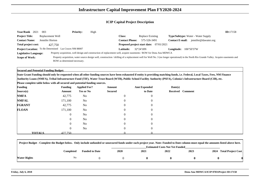| Year/Rank 2021                                                                                                                                     | 003                                                    | <b>Priority:</b> | High |                       |                                         |                                                                                                                                                                                            | ID:17158 |  |
|----------------------------------------------------------------------------------------------------------------------------------------------------|--------------------------------------------------------|------------------|------|-----------------------|-----------------------------------------|--------------------------------------------------------------------------------------------------------------------------------------------------------------------------------------------|----------|--|
| <b>Project Title:</b>                                                                                                                              | Replacement Well                                       |                  |      | <b>Class:</b>         | Replace Existing                        | <b>Type/Subtype:</b> Water - Water Supply                                                                                                                                                  |          |  |
| <b>Contact Name:</b>                                                                                                                               | Jennifer Horton                                        |                  |      | <b>Contact Phone:</b> | 575-526-3491                            | jennifer@dawater.org<br><b>Contact E-mail:</b>                                                                                                                                             |          |  |
| Total project cost:                                                                                                                                | 427,750                                                |                  |      |                       | Proposed project start date: 07/01/2021 |                                                                                                                                                                                            |          |  |
|                                                                                                                                                    | Project Location: To Be Determined Las Cruces NM 88007 |                  |      | <b>Latitude:</b>      | $32^{\circ}24'18N$                      | $106^{\circ}50'37W$<br>Longitude:                                                                                                                                                          |          |  |
| Property acquisition, well design and construction of replacement well, acquire easements / ROW for Dona Ana MDWCA<br><b>Legislative Language:</b> |                                                        |                  |      |                       |                                         |                                                                                                                                                                                            |          |  |
| <b>Scope of Work:</b>                                                                                                                              |                                                        |                  |      |                       |                                         | Property acquisition, water source design well, construction / drilling of a replacement well for Well No. 3 (no longer operational) in the North Rio Grande Valley. Acquire easements and |          |  |
|                                                                                                                                                    | ROW as determined necessary.                           |                  |      |                       |                                         |                                                                                                                                                                                            |          |  |

**Secured and Potential Funding Budget:**

**State Grant Funding should only be requested when all other funding sources have been exhausted if entity is providing matching funds, i.e. Federal, Local Taxes, Fees, NM FinanceAuthority Loans (NMFA), Tribal Infrastructure Fund (TIF), Water Trust Board (WTB), Public School Facility Authority (PSFA), Colonia's Infrastructure Board (CIB), etc.**

**Please complete table below with all secured and potential funding sources.**

| <b>Funding</b> |               | <b>Funding</b> | <b>Applied For?</b> | Amount         | <b>Amt Expended</b> | Date(s) |                  |
|----------------|---------------|----------------|---------------------|----------------|---------------------|---------|------------------|
| Source(s)      |               | Amount         | <b>Yes or No</b>    | <b>Secured</b> | to Date             |         | Received Comment |
| <b>NMFA</b>    |               | 42,775         | No                  | $\overline{0}$ | $\mathbf{0}$        |         |                  |
| <b>NMFAL</b>   |               | 171,100        | No                  | $\overline{0}$ | $\overline{0}$      |         |                  |
| <b>FGRANT</b>  |               | 42,775         | No                  | $\overline{0}$ | $\overline{0}$      |         |                  |
| <b>FLOAN</b>   |               | 171,100        | No                  | $\overline{0}$ | $\overline{0}$      |         |                  |
|                |               | $\overline{0}$ | No                  | $\overline{0}$ | $\overline{0}$      |         |                  |
|                |               | $\overline{0}$ | No                  | $\overline{0}$ | $\overline{0}$      |         |                  |
|                |               | $\overline{0}$ | No                  | $\theta$       | $\overline{0}$      |         |                  |
|                |               | $\overline{0}$ | No                  | $\overline{0}$ | $\overline{0}$      |         |                  |
|                | <b>TOTALS</b> | 427,750        |                     |                |                     |         |                  |

| Project Budget - Complete the Budget below. Only include unfunded or unsecured funds under each project year. Note: Funded to Date column must equal the amounts listed above here. |           |                       |             |                                       |      |      |  |                         |
|-------------------------------------------------------------------------------------------------------------------------------------------------------------------------------------|-----------|-----------------------|-------------|---------------------------------------|------|------|--|-------------------------|
|                                                                                                                                                                                     |           |                       |             | <b>Estimated Costs Not Yet Funded</b> |      |      |  |                         |
|                                                                                                                                                                                     | Completed | <b>Funded to Date</b> | <b>2020</b> | 2021                                  | 2022 | 2023 |  | 2024 Total Project Cost |
| <b>Water Rights</b>                                                                                                                                                                 | No        |                       |             |                                       |      |      |  |                         |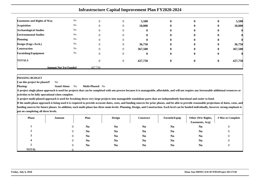|                                    | <b>Infrastructure Capital Improvement Plan FY2020-2024</b> |         |          |              |              |              |              |         |  |  |  |
|------------------------------------|------------------------------------------------------------|---------|----------|--------------|--------------|--------------|--------------|---------|--|--|--|
|                                    | No                                                         |         |          |              |              |              |              |         |  |  |  |
| <b>Easements and Rights of Way</b> |                                                            |         |          | 5,500        | $\mathbf{0}$ | $\bf{0}$     | $\bf{0}$     | 5,500   |  |  |  |
| <b>Acquisition</b>                 | No                                                         |         | $_{0}$   | 18,000       | $\mathbf{0}$ | $\mathbf{0}$ | $\bf{0}$     | 18,000  |  |  |  |
| <b>Archaeological Studies</b>      | No                                                         |         |          |              |              |              | o            |         |  |  |  |
| <b>Environmental Studies</b>       | No                                                         |         |          |              | o            |              |              |         |  |  |  |
| <b>Planning</b>                    | No                                                         |         |          |              | $\mathbf{0}$ | 0            | 0            |         |  |  |  |
| Design (Engr./Arch.)               | No                                                         |         | $^{(1)}$ | 36,750       | $\mathbf{0}$ | $\mathbf{0}$ | $\mathbf{0}$ | 36,750  |  |  |  |
| <b>Construction</b>                | No                                                         |         | 0        | 367,500      | 0            | $\mathbf{0}$ | $\mathbf{0}$ | 367,500 |  |  |  |
| <b>Furnishing/Equipment</b>        | No                                                         |         |          | $\mathbf{u}$ | $\mathbf{0}$ | 0            | $\bf{0}$     |         |  |  |  |
| <b>TOTALS</b>                      |                                                            |         | $\theta$ | 427,750      | $\mathbf{0}$ | 0            | $\mathbf{0}$ | 427,750 |  |  |  |
|                                    | <b>Amount Not Yet Funded</b>                               | 427,750 |          |              |              |              |              |         |  |  |  |

### **PHASING BUDGET**

 **Can this project be phased?**No

**Phasing: Stand Alone:** No**Multi-Phased:** No

**A project single phase approach is used for projects that can be completed with one process because it is manageable, affordable, and will not require any foreseeable additional resources oractivities to be fully operational when complete.**

**A project multi-phased approach is used for breaking down very large projects into manageable standalone parts that are independently functional and easier to fund.**

| <b>Phase</b> | Amount | Plan           | <b>Design</b>  | <b>Construct</b> | Furnish/Equip  | Other (Wtr Rights,<br>Easements, Acq) | # Mos to Complete |
|--------------|--------|----------------|----------------|------------------|----------------|---------------------------------------|-------------------|
|              |        | N <sub>0</sub> | N <sub>0</sub> | N <sub>0</sub>   | N <sub>0</sub> | N <sub>0</sub>                        | υ                 |
|              |        | N <sub>0</sub> | N <sub>0</sub> | N <sub>0</sub>   | N <sub>0</sub> | N <sub>0</sub>                        |                   |
|              |        | N <sub>0</sub> | N <sub>0</sub> | N <sub>0</sub>   | N <sub>0</sub> | N <sub>0</sub>                        |                   |
|              |        | N <sub>0</sub> | N <sub>0</sub> | N <sub>0</sub>   | N <sub>0</sub> | N <sub>0</sub>                        |                   |
|              |        | N <sub>0</sub> | N <sub>0</sub> | N <sub>0</sub>   | N <sub>0</sub> | N <sub>0</sub>                        |                   |
| <b>TOTAL</b> |        |                |                |                  |                |                                       |                   |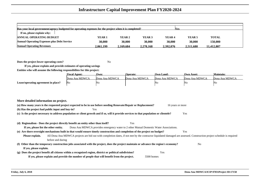| Has your local government/agency budgeted for operating expenses for the project when it is completed?<br><b>Yes</b> |           |          |           |                   |                   |              |  |  |  |  |
|----------------------------------------------------------------------------------------------------------------------|-----------|----------|-----------|-------------------|-------------------|--------------|--|--|--|--|
| If no, please explain why:                                                                                           |           |          |           |                   |                   |              |  |  |  |  |
| <b>ANNUAL OPERATING BUDGET</b>                                                                                       | YEAR 1    | YEAR 2   | YEAR 3    | YEAR <sub>4</sub> | YEAR <sub>5</sub> | <b>TOTAL</b> |  |  |  |  |
| <b>Annual Operating Expenses plus Debt Service</b>                                                                   | 30,000    | 30,000   | 30.000    | 30,000            | 30,000            | 150,000      |  |  |  |  |
| <b>Annual Operating Revenues</b>                                                                                     | 2.061.199 | .169.684 | 2.278.168 | 2.392.076         | 2.511.680         | 11.412.807   |  |  |  |  |

**Does the project lower operating costs?**<sup>2</sup> No

**If yes, please explain and provide estimates of operating savingsEntities who will assume the following responsibilites for this project:**

|                                     | <b>Fiscal Agent:</b> | Own:           | Operate:       | <b>Own Land:</b> | Own Asset:     | Maintain:      |
|-------------------------------------|----------------------|----------------|----------------|------------------|----------------|----------------|
|                                     | Dona Ana MDWCA       | Dona Ana MDWCA | Dona Ana MDWCA | Dona Ana MDWCA   | Dona Ana MDWCA | Dona Ana MDWCA |
| Lease/operating agreement in place? | No                   | 'No            |                | 'Nο              | IN G           | N٥             |

| More detailed information on project.                                                                                                           |                                                                                                                                                                        |                |  |  |  |  |  |  |  |  |  |
|-------------------------------------------------------------------------------------------------------------------------------------------------|------------------------------------------------------------------------------------------------------------------------------------------------------------------------|----------------|--|--|--|--|--|--|--|--|--|
|                                                                                                                                                 | (a) How many years is the requested project expected to be in use before needing Renovate/Repair or Replacement?<br>16 years or more                                   |                |  |  |  |  |  |  |  |  |  |
|                                                                                                                                                 | (b) Has the project had public input and buy-in?<br>Yes                                                                                                                |                |  |  |  |  |  |  |  |  |  |
| (c) Is the project necessary to address population or client growth and if so, will it provide services to that population or clientele?<br>Yes |                                                                                                                                                                        |                |  |  |  |  |  |  |  |  |  |
|                                                                                                                                                 |                                                                                                                                                                        |                |  |  |  |  |  |  |  |  |  |
|                                                                                                                                                 | (d) Regionalism - Does the project directly benefit an entity other than itself?<br>Yes                                                                                |                |  |  |  |  |  |  |  |  |  |
| If yes, please list the other entity.                                                                                                           | Dona Ana MDWCA provides emergency water to 2 other Mutual Domestic Water Associations.                                                                                 |                |  |  |  |  |  |  |  |  |  |
|                                                                                                                                                 | (e) Are there oversight mechanisms built in that would ensure timely construction and completion of the project on budget?                                             | Yes            |  |  |  |  |  |  |  |  |  |
| Please explain.                                                                                                                                 | All Dona Ana MDWCA projects are bid out with completion dates, if not met by the contractor liquidated damaged are assessed. Construction project schedule is required |                |  |  |  |  |  |  |  |  |  |
|                                                                                                                                                 | before and during                                                                                                                                                      |                |  |  |  |  |  |  |  |  |  |
|                                                                                                                                                 | (f) Other than the temporary construction jobs associated with the project, does the project maintain or advance the region's economy?                                 | N <sub>0</sub> |  |  |  |  |  |  |  |  |  |
| If yes, please explain.                                                                                                                         |                                                                                                                                                                        |                |  |  |  |  |  |  |  |  |  |
|                                                                                                                                                 | (g) Does the project benefit all citizens within a recognized region, district or political subdivision?<br>Yes                                                        |                |  |  |  |  |  |  |  |  |  |
|                                                                                                                                                 | If yes, please explain and provide the number of people that will benefit from the project.<br>5500 homes                                                              |                |  |  |  |  |  |  |  |  |  |
|                                                                                                                                                 |                                                                                                                                                                        |                |  |  |  |  |  |  |  |  |  |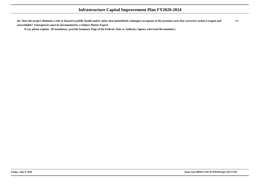**(h) Does the project eliminate a risk or hazard to public health and/or safety that immediately endangers occupants of the premises such that corrective action is urgent andunavoidable? Emergencies must be documented by a Subject Matter Expert.**No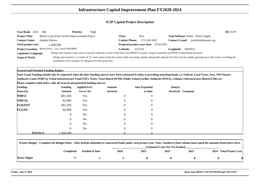| <b>Year/Rank</b><br>2021     | -004                                               | <b>Priority:</b> | High                                                             |                                                |              |                                                                                                                                                                                         | ID:15197 |  |
|------------------------------|----------------------------------------------------|------------------|------------------------------------------------------------------|------------------------------------------------|--------------|-----------------------------------------------------------------------------------------------------------------------------------------------------------------------------------------|----------|--|
| <b>Project Title:</b>        | Barela Loop Water System Improvements Project      |                  |                                                                  | <b>Class:</b>                                  | <b>New</b>   | <b>Type/Subtype:</b> Water - Water Supply                                                                                                                                               |          |  |
| <b>Contact Name:</b>         | Jennifer Horton                                    |                  |                                                                  | <b>Contact Phone:</b>                          | 575-526-3491 | jennifer@dawater.org<br><b>Contact E-mail:</b>                                                                                                                                          |          |  |
| Total project cost:          | 1.368.500                                          |                  |                                                                  | <b>Proposed project start date:</b> 07/01/2021 |              |                                                                                                                                                                                         |          |  |
|                              | Project Location: Barela Drive Las Cruces NM 88007 |                  |                                                                  | Latitude: .                                    | 32'23'34     | Longitude:<br>106'49'23                                                                                                                                                                 |          |  |
| <b>Legislative Language:</b> |                                                    |                  |                                                                  |                                                |              | Design and construct water main to loop the north east section of the Dona Ana MDWCA system. Acquire easements and ROW as determined necessary.                                         |          |  |
| <b>Scope of Work:</b>        |                                                    |                  |                                                                  |                                                |              | Design and construct a 1.5 miles of 12" water main to loop the system while increasing volume and provide adequate fire flows for the rapidly growing area of the system; including the |          |  |
|                              |                                                    |                  | installation of fire hydrants for adequate fire flow protection. |                                                |              |                                                                                                                                                                                         |          |  |

**Secured and Potential Funding Budget:**

 **State Grant Funding should only be requested when all other funding sources have been exhausted if entity is providing matching funds, i.e. Federal, Local Taxes, Fees, NM FinanceAuthority Loans (NMFA), Tribal Infrastructure Fund (TIF), Water Trust Board (WTB), Public School Facility Authority (PSFA), Colonia's Infrastructure Board (CIB), etc.**

| <b>Funding</b> |               | <b>Funding</b> | <b>Applied For?</b> | Amount         | <b>Amt Expended</b> | Date(s) |                  |
|----------------|---------------|----------------|---------------------|----------------|---------------------|---------|------------------|
| Source(s)      |               | Amount         | <b>Yes or No</b>    | <b>Secured</b> | to Date             |         | Received Comment |
| <b>NMFA</b>    |               | 601,350        | Yes                 | $\mathbf{0}$   | $\mathbf{0}$        |         |                  |
| <b>NMFAL</b>   |               | 82,900         | Yes                 | $\overline{0}$ | $\overline{0}$      |         |                  |
| <b>FGRANT</b>  |               | 601,350        | Yes                 | $\overline{0}$ | $\overline{0}$      |         |                  |
| <b>FLOAN</b>   |               | 82,900         | Yes                 | $\overline{0}$ | $\overline{0}$      |         |                  |
|                |               | $\overline{0}$ | No                  | $\overline{0}$ | $\overline{0}$      |         |                  |
|                |               | $\overline{0}$ | No                  | $\overline{0}$ | $\overline{0}$      |         |                  |
|                |               | $\overline{0}$ | No                  | $\Omega$       | $\overline{0}$      |         |                  |
|                |               | $\overline{0}$ | No                  | $\overline{0}$ | $\overline{0}$      |         |                  |
|                | <b>TOTALS</b> | .368.500       |                     |                |                     |         |                  |

| Project Budget - Complete the Budget below. Only include unfunded or unsecured funds under each project year. Note: Funded to Date column must equal the amounts listed above here. |           |                       |             |      |      |      |                         |
|-------------------------------------------------------------------------------------------------------------------------------------------------------------------------------------|-----------|-----------------------|-------------|------|------|------|-------------------------|
|                                                                                                                                                                                     |           |                       |             |      |      |      |                         |
|                                                                                                                                                                                     | Completed | <b>Funded to Date</b> | <b>2020</b> | 2021 | 2022 | 2023 | 2024 Total Project Cost |
| <b>Water Rights</b>                                                                                                                                                                 | No        |                       |             |      |      |      |                         |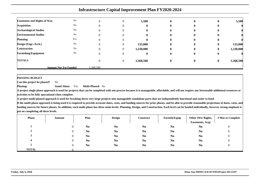|                                    | <b>Infrastructure Capital Improvement Plan FY2020-2024</b> |          |                |              |              |              |              |           |  |  |  |  |
|------------------------------------|------------------------------------------------------------|----------|----------------|--------------|--------------|--------------|--------------|-----------|--|--|--|--|
| <b>Easements and Rights of Way</b> | N <sub>o</sub>                                             | 0        | $\Omega$       | 5,500        | $\mathbf{0}$ | $\mathbf{0}$ | $\mathbf{0}$ | 5,500     |  |  |  |  |
| <b>Acquisition</b>                 | N <sub>o</sub>                                             |          | 0              | 0            | $\mathbf{0}$ | $\mathbf{0}$ | $\mathbf{0}$ |           |  |  |  |  |
| <b>Archaeological Studies</b>      | N <sub>o</sub>                                             |          | 0              | 0            | 0            | o            | o            |           |  |  |  |  |
| <b>Environmental Studies</b>       | No                                                         |          | 0              | 0            | 0            | o            | o            |           |  |  |  |  |
| <b>Planning</b>                    | Yes                                                        |          | 0              | 0            | 0            | 0            | $\bf{0}$     |           |  |  |  |  |
| Design (Engr./Arch.)               | N <sub>o</sub>                                             |          | $\Omega$       | 133,000      | $\mathbf{0}$ | $\mathbf{0}$ | $\bf{0}$     | 133,000   |  |  |  |  |
| <b>Construction</b>                | N <sub>o</sub>                                             |          | $\Omega$       | 1,230,000    | $\mathbf{0}$ | $\mathbf{0}$ | $\mathbf{0}$ | 1,230,000 |  |  |  |  |
| <b>Furnishing/Equipment</b>        | N <sub>o</sub>                                             |          | $\theta$       | $\mathbf{0}$ | $\bf{0}$     | $\bf{0}$     | $\bf{0}$     |           |  |  |  |  |
| <b>TOTALS</b>                      |                                                            |          | $\overline{0}$ | 1,368,500    | $\bf{0}$     | $\mathbf{0}$ | $\bf{0}$     | 1,368,500 |  |  |  |  |
|                                    | <b>Amount Not Yet Funded</b>                               | .368.500 |                |              |              |              |              |           |  |  |  |  |

### **PHASING BUDGET**

 **Can this project be phased?**No

**Phasing: Stand Alone:** Yes**Multi-Phased:** No

 **A project single phase approach is used for projects that can be completed with one process because it is manageable, affordable, and will not require any foreseeable additional resources oractivities to be fully operational when complete.**

**A project multi-phased approach is used for breaking down very large projects into manageable standalone parts that are independently functional and easier to fund.**

| <b>Phase</b> | Amount | Plan           | <b>Design</b>  | <b>Construct</b> | Furnish/Equip  | Other (Wtr Rights,<br>Easements, Acq) | # Mos to Complete |
|--------------|--------|----------------|----------------|------------------|----------------|---------------------------------------|-------------------|
|              |        | N <sub>0</sub> | N <sub>0</sub> | N <sub>0</sub>   | N <sub>0</sub> | N <sub>0</sub>                        | υ                 |
|              |        | N <sub>0</sub> | N <sub>0</sub> | N <sub>0</sub>   | N <sub>0</sub> | N <sub>0</sub>                        |                   |
|              |        | N <sub>0</sub> | N <sub>0</sub> | N <sub>0</sub>   | N <sub>0</sub> | N <sub>0</sub>                        |                   |
|              |        | N <sub>0</sub> | N <sub>0</sub> | N <sub>0</sub>   | N <sub>0</sub> | N <sub>0</sub>                        |                   |
|              |        | N <sub>0</sub> | N <sub>0</sub> | N <sub>0</sub>   | N <sub>0</sub> | N <sub>0</sub>                        |                   |
| <b>TOTAL</b> |        |                |                |                  |                |                                       |                   |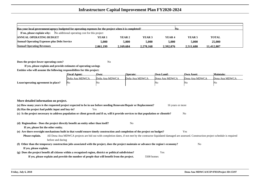| Has your local government/agency budgeted for operating expenses for the project when it is completed?<br>No. |           |           |                   |                   |                   |              |  |  |  |  |
|---------------------------------------------------------------------------------------------------------------|-----------|-----------|-------------------|-------------------|-------------------|--------------|--|--|--|--|
| If no, please explain why:<br>No additional operating cost for this project                                   |           |           |                   |                   |                   |              |  |  |  |  |
| <b>ANNUAL OPERATING BUDGET</b>                                                                                | YEAR 1    | YEAR 2    | YEAR <sub>3</sub> | YEAR <sub>4</sub> | YEAR <sub>5</sub> | <b>TOTAL</b> |  |  |  |  |
| <b>Annual Operating Expenses plus Debt Service</b>                                                            | 5.000     | 5.000     | 5.000             | 5.000             | 5.000             | 25,000       |  |  |  |  |
| <b>Annual Operating Revenues</b>                                                                              | 2.061.199 | 2.169.684 | 2.278.168         | 2.392.076         | 2.511.680         | 11.412.807   |  |  |  |  |

**Does the project lower operating costs?**<sup>2</sup> No

**If yes, please explain and provide estimates of operating savingsEntities who will assume the following responsibilites for this project:**

|                                     | <b>Fiscal Agent:</b> | Own:           | <b>Operate:</b> | <b>Own Land:</b> | <b>Own Asset:</b> | <b>Maintain:</b> |
|-------------------------------------|----------------------|----------------|-----------------|------------------|-------------------|------------------|
|                                     | Doña Ana MDWCA       | Doña Ana MDWCA | Doña Ana MDWCA  | Dona Ana MDWCA   | Dona Ana MDWCA    | Dona Ana MDWCA   |
| Lease/operating agreement in place? | No                   | 'Nu            |                 | 'NΩ              | No                | IΝo              |

| More detailed information on project. |                                                                                                                                                                        |  |
|---------------------------------------|------------------------------------------------------------------------------------------------------------------------------------------------------------------------|--|
|                                       | (a) How many years is the requested project expected to be in use before needing Renovate/Repair or Replacement?<br>16 years or more                                   |  |
|                                       | (b) Has the project had public input and buy-in?<br>Yes                                                                                                                |  |
|                                       | (c) Is the project necessary to address population or client growth and if so, will it provide services to that population or clientele?<br>N <sub>0</sub>             |  |
|                                       |                                                                                                                                                                        |  |
|                                       | (d) Regionalism - Does the project directly benefit an entity other than itself?<br>No                                                                                 |  |
| If yes, please list the other entity. |                                                                                                                                                                        |  |
|                                       | (e) Are there oversight mechanisms built in that would ensure timely construction and completion of the project on budget?<br>Yes                                      |  |
| Please explain.                       | All Dona Ana MDWCA projects are bid out with completion dates, if not met by the contractor liquidated damaged are assessed. Construction project schedule is required |  |
|                                       | before and during                                                                                                                                                      |  |
|                                       | (f) Other than the temporary construction jobs associated with the project, does the project maintain or advance the region's economy?<br>N <sub>0</sub>               |  |
| If yes, please explain.               |                                                                                                                                                                        |  |
|                                       | (g) Does the project benefit all citizens within a recognized region, district or political subdivision?<br>Yes                                                        |  |
|                                       | If yes, please explain and provide the number of people that will benefit from the project.<br>5500 homes                                                              |  |
|                                       |                                                                                                                                                                        |  |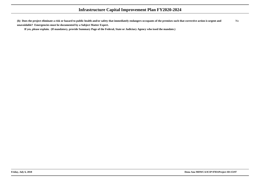**(h) Does the project eliminate a risk or hazard to public health and/or safety that immediately endangers occupants of the premises such that corrective action is urgent andunavoidable? Emergencies must be documented by a Subject Matter Expert.**No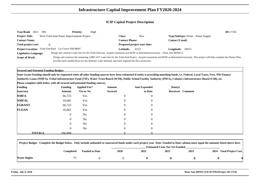| <b>Year/Rank</b><br>2021                                                                                                                                                                                            | 005                                                   | <b>Priority:</b> | High                                                                                             |                  |                                                                                                                              |                                           | ID:17156 |  |
|---------------------------------------------------------------------------------------------------------------------------------------------------------------------------------------------------------------------|-------------------------------------------------------|------------------|--------------------------------------------------------------------------------------------------|------------------|------------------------------------------------------------------------------------------------------------------------------|-------------------------------------------|----------|--|
| <b>Project Title:</b>                                                                                                                                                                                               | West Trails End Water Improvements Project            |                  |                                                                                                  | <b>Class:</b>    | <b>New</b>                                                                                                                   | <b>Type/Subtype:</b> Water - Water Supply |          |  |
| <b>Contact Name:</b>                                                                                                                                                                                                |                                                       |                  | <b>Contact Phone:</b>                                                                            |                  | <b>Contact E-mail:</b>                                                                                                       |                                           |          |  |
| <b>Total project cost:</b>                                                                                                                                                                                          |                                                       |                  |                                                                                                  |                  | Proposed project start date:                                                                                                 |                                           |          |  |
|                                                                                                                                                                                                                     | Project Location: Trails End Road Las Cruces NM 88007 |                  |                                                                                                  | <b>Latitude:</b> | 32'23                                                                                                                        | 106'51<br>Longitude:                      |          |  |
| <b>Legislative Language:</b>                                                                                                                                                                                        |                                                       |                  |                                                                                                  |                  | Design and construct water line for the Trails End area. Acquire easements and ROW as determined necessary. - Dona Ana MDWCA |                                           |          |  |
| Design and construct the remaining 3,000' of 8" water line for the Trails End Project. Acquire easements and ROW as determined necessary. This project will help complete the Master Plan,<br><b>Scope of Work:</b> |                                                       |                  |                                                                                                  |                  |                                                                                                                              |                                           |          |  |
|                                                                                                                                                                                                                     |                                                       |                  | provide much needed flows for the domestic water demand, and meet required fire flow protection. |                  |                                                                                                                              |                                           |          |  |

**Secured and Potential Funding Budget:**

 **State Grant Funding should only be requested when all other funding sources have been exhausted if entity is providing matching funds, i.e. Federal, Local Taxes, Fees, NM FinanceAuthority Loans (NMFA), Tribal Infrastructure Fund (TIF), Water Trust Board (WTB), Public School Facility Authority (PSFA), Colonia's Infrastructure Board (CIB), etc.**

| <b>Funding</b> |               | <b>Funding</b> | <b>Applied For?</b> | Amount         | <b>Amt Expended</b> | Date(s) |                  |
|----------------|---------------|----------------|---------------------|----------------|---------------------|---------|------------------|
| Source(s)      |               | Amount         | <b>Yes or No</b>    | <b>Secured</b> | to Date             |         | Received Comment |
| <b>NMFA</b>    |               | 66,723         | Yes                 | $\mathbf{0}$   | $\mathbf{0}$        |         |                  |
| <b>NMFAL</b>   |               | 16,681         | Yes                 | $\overline{0}$ | $\overline{0}$      |         |                  |
| <b>FGRANT</b>  |               | 66,723         | Yes                 | $\overline{0}$ | $\overline{0}$      |         |                  |
| <b>FLOAN</b>   |               | 16,681         | Yes                 | $\overline{0}$ | $\overline{0}$      |         |                  |
|                |               | $\overline{0}$ | No                  | $\overline{0}$ | $\overline{0}$      |         |                  |
|                |               | $\overline{0}$ | No                  | $\overline{0}$ | $\overline{0}$      |         |                  |
|                |               | $\overline{0}$ | No                  | $\Omega$       | $\overline{0}$      |         |                  |
|                |               | $\overline{0}$ | No                  | $\overline{0}$ | $\overline{0}$      |         |                  |
|                | <b>TOTALS</b> | 166.808        |                     |                |                     |         |                  |

| Project Budget - Complete the Budget below. Only include unfunded or unsecured funds under each project year. Note: Funded to Date column must equal the amounts listed above here. |           |                       |             |      |                                       |      |      |                           |
|-------------------------------------------------------------------------------------------------------------------------------------------------------------------------------------|-----------|-----------------------|-------------|------|---------------------------------------|------|------|---------------------------|
|                                                                                                                                                                                     |           |                       |             |      | <b>Estimated Costs Not Yet Funded</b> |      |      |                           |
|                                                                                                                                                                                     | Completed | <b>Funded to Date</b> | <b>2020</b> | 2021 | 2022                                  | 2023 | 2024 | <b>Total Project Cost</b> |
| Water Rights                                                                                                                                                                        | No        |                       |             |      |                                       |      |      |                           |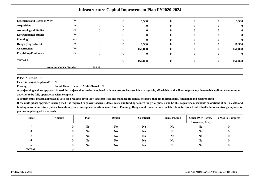| <b>Easements and Rights of Way</b> | No                           |              | 5,500        | $\bf{0}$     | $\mathbf{0}$ | $\bf{0}$ | 5,500   |
|------------------------------------|------------------------------|--------------|--------------|--------------|--------------|----------|---------|
| <b>Acquisition</b>                 | $\rm No$                     |              |              | $\mathbf{0}$ | $\bf{0}$     | o        |         |
| <b>Archaeological Studies</b>      | No                           | U            |              | $\mathbf{0}$ | o            | v        |         |
| <b>Environmental Studies</b>       | $\rm No$                     | $\mathbf{U}$ | $\mathbf{u}$ | $\mathbf{0}$ | $\mathbf{0}$ | o        |         |
| <b>Planning</b>                    | Yes                          | $\mathbf{U}$ | $\mathbf{u}$ | $\mathbf{0}$ | $\mathbf{0}$ | o        |         |
| Design (Engr./Arch.)               | No                           | $\theta$     | 10,500       | $\mathbf{0}$ | $\bf{0}$     | $\bf{0}$ | 10,500  |
| Construction                       | No                           | $\theta$     | 150,808      | $\bf{0}$     | $\bf{0}$     | $\bf{0}$ | 150,808 |
| <b>Furnishing/Equipment</b>        | No                           | $\theta$     | o            | $\bf{0}$     | $\bf{0}$     | $\bf{0}$ |         |
| <b>TOTALS</b>                      |                              |              | 166,808      | $\bf{0}$     | $\bf{0}$     | $\bf{0}$ | 166,808 |
|                                    | <b>Amount Not Yet Funded</b> | 166,808      |              |              |              |          |         |

**PHASING BUDGET**

 **Can this project be phased?**No

**Phasing: Stand Alone:** Yes**Multi-Phased:** No

 **A project single phase approach is used for projects that can be completed with one process because it is manageable, affordable, and will not require any foreseeable additional resources oractivities to be fully operational when complete.**

**A project multi-phased approach is used for breaking down very large projects into manageable standalone parts that are independently functional and easier to fund.**

| <b>Phase</b> | Amount | Plan           | <b>Design</b>  | Construct      | Furnish/Equip  | Other (Wtr Rights,<br>Easements, Acq) | # Mos to Complete |
|--------------|--------|----------------|----------------|----------------|----------------|---------------------------------------|-------------------|
|              |        | N <sub>0</sub> | N <sub>0</sub> | N <sub>0</sub> | N <sub>0</sub> | N <sub>0</sub>                        | U                 |
|              |        | N <sub>0</sub> | N <sub>0</sub> | N <sub>0</sub> | N <sub>0</sub> | N <sub>0</sub>                        |                   |
|              |        | N <sub>0</sub> | N <sub>0</sub> | N <sub>0</sub> | N <sub>0</sub> | N <sub>0</sub>                        |                   |
|              |        | N <sub>0</sub> | N <sub>0</sub> | N <sub>0</sub> | N <sub>0</sub> | N <sub>0</sub>                        |                   |
|              |        | N <sub>0</sub> | N <sub>0</sub> | N <sub>0</sub> | N <sub>0</sub> | N <sub>0</sub>                        |                   |
| <b>TOTAL</b> |        |                |                |                |                |                                       |                   |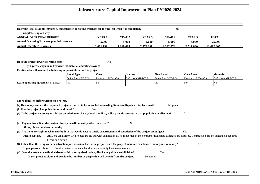| Has your local government/agency budgeted for operating expenses for the project when it is completed?<br><b>Nes</b> |                   |        |                   |        |                   |              |  |  |  |  |  |
|----------------------------------------------------------------------------------------------------------------------|-------------------|--------|-------------------|--------|-------------------|--------------|--|--|--|--|--|
| If no, please explain why:                                                                                           |                   |        |                   |        |                   |              |  |  |  |  |  |
| <b>ANNUAL OPERATING BUDGET</b>                                                                                       | YEAR <sub>1</sub> | YEAR 2 | YEAR <sub>3</sub> | YEAR 4 | YEAR <sub>5</sub> | <b>TOTAL</b> |  |  |  |  |  |
| <b>Annual Operating Expenses plus Debt Service</b>                                                                   | 5.000             | 5,000  | 5.000             | 5,000  | 5.000             | 25,000       |  |  |  |  |  |
| <b>Annual Operating Revenues</b><br>2.278.168<br>2.392.076<br>2.511.680<br>2.169.684<br>11.412.807<br>2.061.199      |                   |        |                   |        |                   |              |  |  |  |  |  |

**Does the project lower operating costs?**<sup>2</sup> No

**If yes, please explain and provide estimates of operating savingsEntities who will assume the following responsibilites for this project:**

|                                     | <b>Fiscal Agent:</b> | Own:           | <b>Operate:</b> | <b>Own Land:</b> | <b>Own Asset:</b> | <b>Maintain:</b> |
|-------------------------------------|----------------------|----------------|-----------------|------------------|-------------------|------------------|
|                                     | Doña Ana MDWCA       | Doña Ana MDWCA | Doña Ana MDWCA  | Dona Ana MDWCA   | Doña Ana MDWCA    | Doña Ana MDWCA   |
| Lease/operating agreement in place? | - INO                | 'NC            |                 | Νo               | 'NO               | Νo               |

| More detailed information on project.                                                                                                                                                     |  |  |  |  |  |  |  |  |  |  |
|-------------------------------------------------------------------------------------------------------------------------------------------------------------------------------------------|--|--|--|--|--|--|--|--|--|--|
| (a) How many years is the requested project expected to be in use before needing Renovate/Repair or Replacement?<br>1-9 years                                                             |  |  |  |  |  |  |  |  |  |  |
| (b) Has the project had public input and buy-in?<br>Yes                                                                                                                                   |  |  |  |  |  |  |  |  |  |  |
| (c) Is the project necessary to address population or client growth and if so, will it provide services to that population or clientele?<br>N <sub>o</sub>                                |  |  |  |  |  |  |  |  |  |  |
|                                                                                                                                                                                           |  |  |  |  |  |  |  |  |  |  |
| (d) Regionalism - Does the project directly benefit an entity other than itself?<br>N <sub>0</sub>                                                                                        |  |  |  |  |  |  |  |  |  |  |
| If yes, please list the other entity.                                                                                                                                                     |  |  |  |  |  |  |  |  |  |  |
| (e) Are there oversight mechanisms built in that would ensure timely construction and completion of the project on budget?<br>Yes                                                         |  |  |  |  |  |  |  |  |  |  |
| All Dona Ana MDWCA projects are bid out with completion dates, if not met by the contractor liquidated damaged are assessed. Construction project schedule is required<br>Please explain. |  |  |  |  |  |  |  |  |  |  |
| before and during                                                                                                                                                                         |  |  |  |  |  |  |  |  |  |  |
| (f) Other than the temporary construction jobs associated with the project, does the project maintain or advance the region's economy?<br>Yes                                             |  |  |  |  |  |  |  |  |  |  |
| Provides water to an area that does not currently have water service.<br>If yes, please explain.                                                                                          |  |  |  |  |  |  |  |  |  |  |
| (g) Does the project benefit all citizens within a recognized region, district or political subdivision?<br>Yes                                                                           |  |  |  |  |  |  |  |  |  |  |
| If yes, please explain and provide the number of people that will benefit from the project.<br>50 homes                                                                                   |  |  |  |  |  |  |  |  |  |  |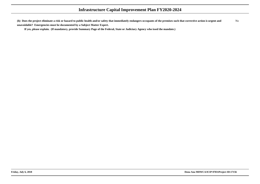**(h) Does the project eliminate a risk or hazard to public health and/or safety that immediately endangers occupants of the premises such that corrective action is urgent andunavoidable? Emergencies must be documented by a Subject Matter Expert.**No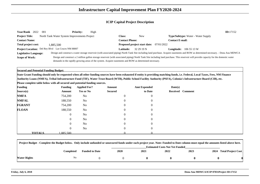| Year/Rank 2022               | 001                                                | <b>Priority:</b> | High                                                                                                   |                       |                                                |                                                                                                                                                                                         | ID:17152 |
|------------------------------|----------------------------------------------------|------------------|--------------------------------------------------------------------------------------------------------|-----------------------|------------------------------------------------|-----------------------------------------------------------------------------------------------------------------------------------------------------------------------------------------|----------|
| <b>Project Title:</b>        | North Tank Water System Improvements Project       |                  |                                                                                                        | Class:                | <b>New</b>                                     | <b>Type/Subtype:</b> Water - Water Supply                                                                                                                                               |          |
| <b>Contact Name:</b>         |                                                    |                  |                                                                                                        | <b>Contact Phone:</b> |                                                | <b>Contact E-mail:</b>                                                                                                                                                                  |          |
| Total project cost:          | 1.885.500                                          |                  |                                                                                                        |                       | <b>Proposed project start date:</b> 07/01/2022 |                                                                                                                                                                                         |          |
|                              | Project Location: Del Rey Blvd Las Cruces NM 88007 |                  |                                                                                                        | <b>Latitude:</b>      | 32 29 19 N                                     | <b>Longitude:</b> $1065513W$                                                                                                                                                            |          |
| <b>Legislative Language:</b> |                                                    |                  |                                                                                                        |                       |                                                | Design and construct a water storage reservoir (with associated piping) North Tank Site including land purchase. Acquire easements and ROW as determined necessary. - Dona Ana MDWCA    |          |
| <b>Scope of Work:</b>        |                                                    |                  |                                                                                                        |                       |                                                | Design and construct a 2 million gallon storage reservoir (with associated piping) North Tank Site including land purchase. This reservoir will provide capacity for the domestic water |          |
|                              |                                                    |                  | demands in the rapidly growing areas of the system. Acquire easements and ROW as determined necessary. |                       |                                                |                                                                                                                                                                                         |          |

**Secured and Potential Funding Budget:**

 **State Grant Funding should only be requested when all other funding sources have been exhausted if entity is providing matching funds, i.e. Federal, Local Taxes, Fees, NM FinanceAuthority Loans (NMFA), Tribal Infrastructure Fund (TIF), Water Trust Board (WTB), Public School Facility Authority (PSFA), Colonia's Infrastructure Board (CIB), etc.**

| <b>Funding</b> |               | <b>Funding</b> | <b>Applied For?</b> | Amount         | <b>Amt Expended</b> | Date(s) |                  |
|----------------|---------------|----------------|---------------------|----------------|---------------------|---------|------------------|
| Source(s)      |               | Amount         | <b>Yes or No</b>    | <b>Secured</b> | to Date             |         | Received Comment |
| <b>NMFA</b>    |               | 754,200        | No                  | $\mathbf{0}$   | $\overline{0}$      |         |                  |
| <b>NMFAL</b>   |               | 188,550        | No                  |                | $\overline{0}$      |         |                  |
| <b>FGRANT</b>  |               | 754,200        | No                  |                | $\Omega$            |         |                  |
| <b>FLOAN</b>   |               | 188,550        | No                  | $\theta$       | $\overline{0}$      |         |                  |
|                |               | $\overline{0}$ | N <sub>o</sub>      |                | $\theta$            |         |                  |
|                |               | $\overline{0}$ | N <sub>o</sub>      | $\mathbf{0}$   | $\Omega$            |         |                  |
|                |               | $\overline{0}$ | N <sub>o</sub>      |                | $\Omega$            |         |                  |
|                |               | $\overline{0}$ | N <sub>o</sub>      | $\Omega$       | $\Omega$            |         |                  |
|                | <b>TOTALS</b> | 1.885.500      |                     |                |                     |         |                  |

| Project Budget - Complete the Budget below. Only include unfunded or unsecured funds under each project year. Note: Funded to Date column must equal the amounts listed above here. |           |                       |             |                                       |      |      |  |                         |  |  |  |
|-------------------------------------------------------------------------------------------------------------------------------------------------------------------------------------|-----------|-----------------------|-------------|---------------------------------------|------|------|--|-------------------------|--|--|--|
|                                                                                                                                                                                     |           |                       |             | <b>Estimated Costs Not Yet Funded</b> |      |      |  |                         |  |  |  |
|                                                                                                                                                                                     | Completed | <b>Funded to Date</b> | <b>2020</b> | 2021                                  | 2022 | 2023 |  | 2024 Total Project Cost |  |  |  |
| Water Rights                                                                                                                                                                        | No        |                       |             |                                       |      |      |  |                         |  |  |  |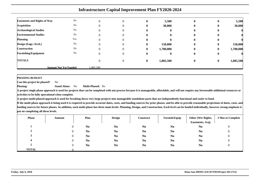|                                    |                              |          |          |              | <b>Infrastructure Capital Improvement Plan FY2020-2024</b> |                  |              |           |
|------------------------------------|------------------------------|----------|----------|--------------|------------------------------------------------------------|------------------|--------------|-----------|
| <b>Easements and Rights of Way</b> | No                           |          |          |              |                                                            |                  |              |           |
|                                    |                              |          | 0        | $\mathbf{0}$ | 5,500                                                      | $\mathbf{0}$     |              | 5,500     |
| <b>Acquisition</b>                 | No                           |          |          | 0            | 30,000                                                     | 0                | o            | 30,000    |
| <b>Archaeological Studies</b>      | No                           |          |          | 0            |                                                            |                  |              |           |
| <b>Environmental Studies</b>       | No                           |          |          | o            |                                                            |                  |              |           |
| <b>Planning</b>                    | Yes                          |          | 0        | 0            | 0                                                          | O                |              |           |
| Design (Engr./Arch.)               | No                           |          | 0        | $\mathbf{0}$ | 150,000                                                    | $\mathbf{0}$     | $\mathbf{0}$ | 150,000   |
| <b>Construction</b>                | No                           |          | 0        | $\mathbf{0}$ | 1,700,000                                                  | $\mathbf{0}$     | 0            | 1,700,000 |
| <b>Furnishing/Equipment</b>        | N <sub>o</sub>               |          | $\Omega$ | $\mathbf{0}$ | $\mathbf{0}$                                               | 0                | v            |           |
| <b>TOTALS</b>                      |                              |          | $\Omega$ | $\mathbf{0}$ | 1,885,500                                                  | $\boldsymbol{0}$ | $\bf{0}$     | 1,885,500 |
|                                    | <b>Amount Not Yet Funded</b> | .885.500 |          |              |                                                            |                  |              |           |

**PHASING BUDGET**

 **Can this project be phased?**No

**Phasing: Stand Alone:** No**Multi-Phased:** No

**A project single phase approach is used for projects that can be completed with one process because it is manageable, affordable, and will not require any foreseeable additional resources oractivities to be fully operational when complete.**

**A project multi-phased approach is used for breaking down very large projects into manageable standalone parts that are independently functional and easier to fund.**

| <b>Phase</b> | Amount | Plan           | <b>Design</b>  | Construct      | Furnish/Equip  | Other (Wtr Rights,<br>Easements, Acq) | # Mos to Complete |
|--------------|--------|----------------|----------------|----------------|----------------|---------------------------------------|-------------------|
|              |        | N <sub>0</sub> | N <sub>0</sub> | N <sub>0</sub> | N <sub>0</sub> | N <sub>0</sub>                        |                   |
|              |        | N <sub>0</sub> | N <sub>0</sub> | N <sub>0</sub> | N <sub>0</sub> | N <sub>0</sub>                        |                   |
|              |        | N <sub>0</sub> | N <sub>0</sub> | N <sub>0</sub> | N <sub>0</sub> | N <sub>0</sub>                        |                   |
|              |        | N <sub>0</sub> | N <sub>0</sub> | N <sub>0</sub> | N <sub>0</sub> | N <sub>0</sub>                        |                   |
|              |        | N <sub>0</sub> | N <sub>0</sub> | N <sub>0</sub> | N <sub>0</sub> | N <sub>0</sub>                        |                   |
| <b>TOTAL</b> |        |                |                |                |                |                                       |                   |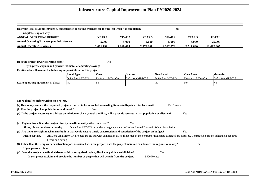| Has your local government/agency budgeted for operating expenses for the project when it is completed?<br><b>Nes</b> |                   |           |                   |           |                   |              |  |  |  |  |  |  |
|----------------------------------------------------------------------------------------------------------------------|-------------------|-----------|-------------------|-----------|-------------------|--------------|--|--|--|--|--|--|
| If no, please explain why:                                                                                           |                   |           |                   |           |                   |              |  |  |  |  |  |  |
| <b>ANNUAL OPERATING BUDGET</b>                                                                                       | YEAR <sub>1</sub> | YEAR 2    | YEAR <sub>3</sub> | YEAR 4    | YEAR <sub>5</sub> | <b>TOTAL</b> |  |  |  |  |  |  |
| <b>Annual Operating Expenses plus Debt Service</b>                                                                   | 5.000             | 5,000     | 5.000             | 5,000     | 5.000             | 25,000       |  |  |  |  |  |  |
| <b>Annual Operating Revenues</b>                                                                                     | 2.061.199         | 2.169.684 | 2.278.168         | 2.392.076 | 2.511.680         | 11.412.807   |  |  |  |  |  |  |

**Does the project lower operating costs?**<sup>2</sup> No

**If yes, please explain and provide estimates of operating savingsEntities who will assume the following responsibilites for this project:**

|                                     | <b>Fiscal Agent:</b> | Own:           | <b>Operate:</b> | Own Land:      | <b>Own Asset:</b> | Maintain:      |
|-------------------------------------|----------------------|----------------|-----------------|----------------|-------------------|----------------|
|                                     | Doña Ana MDWCA       | Doña Ana MDWCA | Doña Ana MDWCA  | Doña Ana MDWCA | Doña Ana MDWCA    | Doña Ana MDWCA |
| Lease/operating agreement in place? | No                   | 'No            |                 | 'NΩ            | 'No               | ΙNΟ            |

| More detailed information on project.                                                                                                                                                     |     |
|-------------------------------------------------------------------------------------------------------------------------------------------------------------------------------------------|-----|
| (a) How many years is the requested project expected to be in use before needing Renovate/Repair or Replacement?<br>$10-15$ years                                                         |     |
| (b) Has the project had public input and buy-in?<br>Yes                                                                                                                                   |     |
| (c) Is the project necessary to address population or client growth and if so, will it provide services to that population or clientele?                                                  | Yes |
|                                                                                                                                                                                           |     |
| (d) Regionalism - Does the project directly benefit an entity other than itself?<br>Yes                                                                                                   |     |
| Dona Ana MDWCA provides emergency water to 2 other Mutual Domestic Water Associations.<br>If yes, please list the other entity.                                                           |     |
| (e) Are there oversight mechanisms built in that would ensure timely construction and completion of the project on budget?                                                                | Yes |
| All Dona Ana MDWCA projects are bid out with completion dates, if not met by the contractor liquidated damaged are assessed. Construction project schedule is required<br>Please explain. |     |
| before and during                                                                                                                                                                         |     |
| (f) Other than the temporary construction jobs associated with the project, does the project maintain or advance the region's economy?                                                    | on  |
| If yes, please explain.                                                                                                                                                                   |     |
| (g) Does the project benefit all citizens within a recognized region, district or political subdivision?<br>Yes                                                                           |     |
| If yes, please explain and provide the number of people that will benefit from the project.<br>5500 Homes                                                                                 |     |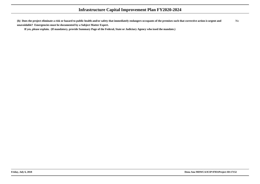**(h) Does the project eliminate a risk or hazard to public health and/or safety that immediately endangers occupants of the premises such that corrective action is urgent andunavoidable? Emergencies must be documented by a Subject Matter Expert.**No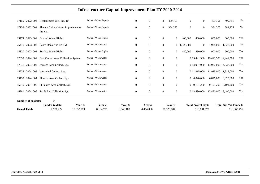| 17159               | 2022 003 | Replacement Well No. 10                            |            | Water - Water Supply |           | $\mathbf{0}$     | $\overline{0}$ | $\boldsymbol{0}$ | 409,751          | $\mathbf{0}$ | $\mathbf{0}$               | 409,751               | 409,751                      | No          |
|---------------------|----------|----------------------------------------------------|------------|----------------------|-----------|------------------|----------------|------------------|------------------|--------------|----------------------------|-----------------------|------------------------------|-------------|
| 17153               | 2022 004 | <b>Shalem Colony Water Improvements</b><br>Project |            | Water - Water Supply |           | $\overline{0}$   | $\overline{0}$ | $\overline{0}$   | 384,275          | $\theta$     | $\overline{0}$             | 384,275               | 384,275                      | $\rm No$    |
| 15774               | 2023 001 | <b>Ground Water Rights</b>                         |            | Water - Water Rights |           | $\mathbf{0}$     | $\overline{0}$ | $\overline{0}$   | $\overline{0}$   | 400,000      | 400,000                    | 800,000               | 800,000                      | Yes         |
| 25470               | 2023 002 | South Doña Ana Rd FM                               |            | Water - Wastewater   |           | $\mathbf{0}$     | $\mathbf{0}$   | $\overline{0}$   |                  | 0 1,928,000  | $\overline{0}$             | 1,928,000             | 1,928,000                    | No          |
| 15820               | 2023 003 | <b>Surface Water Rights</b>                        |            | Water - Water Rights |           | $\mathbf{0}$     | $\overline{0}$ | $\mathbf{0}$     | $\overline{0}$   | 450,000      | 450,000                    | 900,000               | 900,000                      | Yes         |
| 17053               | 2024 001 | East Central Area Collection System                |            | Water - Wastewater   |           | $\mathbf{0}$     | $\overline{0}$ | $\mathbf{0}$     | $\mathbf{0}$     |              | 0 19,441,500               | 19,441,500 19,441,500 |                              | Yes         |
| 17046 2024 002      |          | Jornada Area Collect. Sys.                         |            | Water - Wastewater   |           | $\boldsymbol{0}$ | $\overline{0}$ | $\mathbf{0}$     | $\boldsymbol{0}$ |              | 0 14,937,000               | 14,937,000 14,937,000 |                              | Yes         |
| 15738               | 2024 003 | Westwind Collect. Sys.                             |            | Water - Wastewater   |           | $\mathbf{0}$     | $\overline{0}$ | $\overline{0}$   | $\mathbf{0}$     |              | 0 11,915,000               | 11,915,000 11,915,000 |                              | Yes         |
| 15739               | 2024 004 | Picacho Area Collect. Sys.                         |            | Water - Wastewater   |           | $\overline{0}$   | $\Omega$       | $\overline{0}$   | $\overline{0}$   |              | 0 6,820,000                | 6,820,000             | 6,820,000                    | Yes         |
| 15740               | 2024 005 | Ft Selden Area Collect. Sys.                       |            | Water - Wastewater   |           | $\mathbf{0}$     | $\Omega$       | $\mathbf{0}$     | $\mathbf{0}$     |              | 0 9,191,200                |                       | 9,191,200 9,191,200          | Yes         |
| 16981               | 2024 006 | Trails End Collection Sys.                         |            | Water - Wastewater   |           | $\overline{0}$   | $\overline{0}$ | $\overline{0}$   | $\overline{0}$   |              | 0 13,490,000               | 13,490,000 13,490,000 |                              | Yes         |
| Number of projects: |          | 24<br><b>Funded to date:</b>                       | Year 1:    | Year 2:              | Year 3:   |                  | Year 4:        |                  | Year 5:          |              | <b>Total Project Cost:</b> |                       | <b>Total Not Yet Funded:</b> |             |
| <b>Grand Totals</b> |          | 2,771,222                                          | 10,932,783 | 8,104,791            | 9,048,180 |                  | 4,454,000      |                  | 78,320,704       |              | 113,631,672                |                       |                              | 110,860,456 |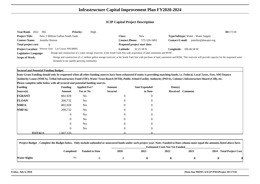| Year/Rank 2022               | 002                                                | <b>Priority:</b> | High |                              |                                                                                                                           |                        |                                                                                                                                                                                                | ID:17118 |
|------------------------------|----------------------------------------------------|------------------|------|------------------------------|---------------------------------------------------------------------------------------------------------------------------|------------------------|------------------------------------------------------------------------------------------------------------------------------------------------------------------------------------------------|----------|
| <b>Project Title:</b>        | New 2 Million Gallon South Tank                    |                  |      | Class:                       | New                                                                                                                       |                        | <b>Type/Subtype:</b> Water - Water Supply                                                                                                                                                      |          |
| <b>Contact Name:</b>         | Jennifer Horton                                    |                  |      | <b>Contact Phone:</b>        | 575-526-3491                                                                                                              | <b>Contact E-mail:</b> | jennifer@dawater.org                                                                                                                                                                           |          |
| Total project cost:          |                                                    |                  |      | Proposed project start date: |                                                                                                                           |                        |                                                                                                                                                                                                |          |
|                              | Project Location: Weaver Trail Las Cruces NM 88005 |                  |      | <b>Latitude:</b>             | 32.21.58 N                                                                                                                | Longitude:             | 106.46.58 W                                                                                                                                                                                    |          |
| <b>Legislative Language:</b> |                                                    |                  |      |                              | Design and construction of a water storage reservoir, at the South Tank Site with acquisition of land, easements and ROW. |                        |                                                                                                                                                                                                |          |
| <b>Scope of Work:</b>        |                                                    |                  |      |                              |                                                                                                                           |                        | Design and construction of a 2 million gallon storage reservoir, at the South Tank Site with purchase of land, easements and ROW. This reservoir will provide capacity for the requested water |          |
|                              | demands in our rapidly growing community.          |                  |      |                              |                                                                                                                           |                        |                                                                                                                                                                                                |          |

**Secured and Potential Funding Budget:**

 **State Grant Funding should only be requested when all other funding sources have been exhausted if entity is providing matching funds, i.e. Federal, Local Taxes, Fees, NM FinanceAuthority Loans (NMFA), Tribal Infrastructure Fund (TIF), Water Trust Board (WTB), Public School Facility Authority (PSFA), Colonia's Infrastructure Board (CIB), etc.**

| <b>Funding</b> |               | <b>Funding</b> | <b>Applied For?</b> | Amount         | <b>Amt Expended</b> | Date(s) |                  |
|----------------|---------------|----------------|---------------------|----------------|---------------------|---------|------------------|
| Source(s)      |               | Amount         | <b>Yes or No</b>    | <b>Secured</b> | to Date             |         | Received Comment |
| <b>FGRANT</b>  |               | 802,928        | No                  | $\overline{0}$ | $\boldsymbol{0}$    |         |                  |
| <b>FLOAN</b>   |               | 200,732        | No                  | $\overline{0}$ | $\overline{0}$      |         |                  |
| <b>NMFA</b>    |               | 802,928        | No                  | $\overline{0}$ | $\overline{0}$      |         |                  |
| <b>NMFAL</b>   |               | 200,732        | No                  | $\overline{0}$ | $\overline{0}$      |         |                  |
|                |               | $\overline{0}$ | No                  | $\overline{0}$ | $\overline{0}$      |         |                  |
|                |               | $\overline{0}$ | No                  | $\overline{0}$ | $\overline{0}$      |         |                  |
|                |               | $\overline{0}$ | N <sub>0</sub>      | $\Omega$       | $\overline{0}$      |         |                  |
|                |               | $\overline{0}$ | No                  | $\overline{0}$ | $\overline{0}$      |         |                  |
|                | <b>TOTALS</b> | 2.007.320      |                     |                |                     |         |                  |

| Project Budget - Complete the Budget below. Only include unfunded or unsecured funds under each project year. Note: Funded to Date column must equal the amounts listed above here. |           |                       |             |      |                                       |      |                         |
|-------------------------------------------------------------------------------------------------------------------------------------------------------------------------------------|-----------|-----------------------|-------------|------|---------------------------------------|------|-------------------------|
|                                                                                                                                                                                     |           |                       |             |      | <b>Estimated Costs Not Yet Funded</b> |      |                         |
|                                                                                                                                                                                     | Completed | <b>Funded to Date</b> | <b>2020</b> | 2021 | 2022                                  | 2023 | 2024 Total Project Cost |
| <b>Water Rights</b>                                                                                                                                                                 | No        |                       |             |      |                                       |      |                         |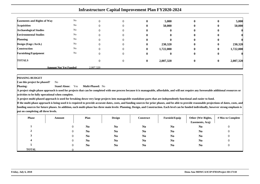|                                    |                              |           |   |              | <b>Infrastructure Capital Improvement Plan FY2020-2024</b> |              |              |           |
|------------------------------------|------------------------------|-----------|---|--------------|------------------------------------------------------------|--------------|--------------|-----------|
| <b>Easements and Rights of Way</b> | No                           |           |   | 0            | 5,000                                                      | $\bf{0}$     | $\bf{0}$     | 5,000     |
| <b>Acquisition</b>                 | No                           |           |   |              | 50,000                                                     | 0            | $\bf{0}$     | 50,000    |
| <b>Archaeological Studies</b>      | No                           |           |   | o            | $\mathbf{0}$                                               | $\mathbf{0}$ | $\mathbf{0}$ |           |
| <b>Environmental Studies</b>       | No                           |           |   | 0            | 0                                                          | 0            | 0            |           |
| <b>Planning</b>                    | No                           |           |   | 0            | $\mathbf{0}$                                               | $\bf{0}$     | $\mathbf{0}$ |           |
| Design (Engr./Arch.)               | No                           |           |   | 0            | 230,320                                                    | $\mathbf{0}$ | $\mathbf{0}$ | 230,320   |
| <b>Construction</b>                | No                           |           |   | 0            | 1,722,000                                                  | 0            | $\bf{0}$     | 1,722,000 |
| <b>Furnishing/Equipment</b>        | No                           |           | 0 | 0            | $\mathbf{0}$                                               | $\bf{0}$     | $\bf{0}$     |           |
| <b>TOTALS</b>                      |                              |           | 0 | $\mathbf{0}$ | 2,007,320                                                  | $\bf{0}$     | $\bf{0}$     | 2,007,320 |
|                                    | <b>Amount Not Yet Funded</b> | 2.007.320 |   |              |                                                            |              |              |           |

**PHASING BUDGET**

 **Can this project be phased?**No

**Phasing: Stand Alone:** Yes**Multi-Phased:** No

 **A project single phase approach is used for projects that can be completed with one process because it is manageable, affordable, and will not require any foreseeable additional resources oractivities to be fully operational when complete.**

**A project multi-phased approach is used for breaking down very large projects into manageable standalone parts that are independently functional and easier to fund.**

| <b>Phase</b> | Amount | Plan           | <b>Design</b>  | <b>Construct</b> | Furnish/Equip  | Other (Wtr Rights,<br>Easements, Acq) | # Mos to Complete |
|--------------|--------|----------------|----------------|------------------|----------------|---------------------------------------|-------------------|
|              |        | N <sub>0</sub> | N <sub>0</sub> | N <sub>0</sub>   | N <sub>0</sub> | N <sub>0</sub>                        | υ                 |
|              |        | N <sub>0</sub> | N <sub>0</sub> | N <sub>0</sub>   | N <sub>0</sub> | N <sub>0</sub>                        |                   |
|              |        | N <sub>0</sub> | N <sub>0</sub> | N <sub>0</sub>   | N <sub>0</sub> | N <sub>0</sub>                        |                   |
|              |        | N <sub>0</sub> | N <sub>0</sub> | N <sub>0</sub>   | N <sub>0</sub> | N <sub>0</sub>                        |                   |
|              |        | N <sub>0</sub> | N <sub>0</sub> | N <sub>0</sub>   | N <sub>0</sub> | N <sub>0</sub>                        |                   |
| <b>TOTAL</b> |        |                |                |                  |                |                                       |                   |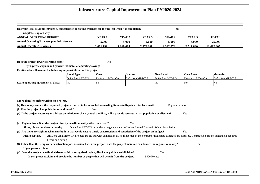| Has your local government/agency budgeted for operating expenses for the project when it is completed?<br><b>Nes</b> |               |           |                   |                   |           |              |  |  |  |  |  |
|----------------------------------------------------------------------------------------------------------------------|---------------|-----------|-------------------|-------------------|-----------|--------------|--|--|--|--|--|
| If no, please explain why:                                                                                           |               |           |                   |                   |           |              |  |  |  |  |  |
| <b>ANNUAL OPERATING BUDGET</b>                                                                                       | <b>YEAR 1</b> | YEAR 2    | YEAR <sub>3</sub> | YEAR <sub>4</sub> | YEAR 5    | <b>TOTAL</b> |  |  |  |  |  |
| <b>Annual Operating Expenses plus Debt Service</b>                                                                   | 5.000         | 5.000     | 5.000             | 5.000             | 5.000     | 25,000       |  |  |  |  |  |
| <b>Annual Operating Revenues</b>                                                                                     | 2.061.199     | 2.169.684 | 2.278.168         | 2.392.076         | 2.511.680 | 11.412.807   |  |  |  |  |  |

**Does the project lower operating costs?**<sup>2</sup> No

**If yes, please explain and provide estimates of operating savingsEntities who will assume the following responsibilites for this project:**

|                                     | <b>Fiscal Agent:</b> | Own:           | <b>Operate:</b> | <b>Own Land:</b> | <b>Own Asset:</b> | Maintain:      |
|-------------------------------------|----------------------|----------------|-----------------|------------------|-------------------|----------------|
|                                     | Doña Ana MDWCA       | Doña Ana MDWCA | Doña Ana MDWCA  | Doña Ana MDWCA   | Dona Ana MDWCA    | Doña Ana MDWCA |
| Lease/operating agreement in place? | No                   | 'Nu            |                 | NΟ               | No.               | 'No            |

| More detailed information on project.                                                                                                                                                     |  |
|-------------------------------------------------------------------------------------------------------------------------------------------------------------------------------------------|--|
| (a) How many years is the requested project expected to be in use before needing Renovate/Repair or Replacement?<br>16 years or more                                                      |  |
| (b) Has the project had public input and buy-in?<br>Yes                                                                                                                                   |  |
| (c) Is the project necessary to address population or client growth and if so, will it provide services to that population or clientele?<br>Yes                                           |  |
|                                                                                                                                                                                           |  |
| (d) Regionalism - Does the project directly benefit an entity other than itself?<br>Yes                                                                                                   |  |
| Dona Ana MDWCA provides emergency water to 2 other Mutual Domestic Water Associations.<br>If yes, please list the other entity.                                                           |  |
| (e) Are there oversight mechanisms built in that would ensure timely construction and completion of the project on budget?<br>Yes                                                         |  |
| All Dona Ana MDWCA projects are bid out with completion dates, if not met by the contractor liquidated damaged are assessed. Construction project schedule is required<br>Please explain. |  |
| before and during                                                                                                                                                                         |  |
| (f) Other than the temporary construction jobs associated with the project, does the project maintain or advance the region's economy?<br>on                                              |  |
| If yes, please explain.                                                                                                                                                                   |  |
| (g) Does the project benefit all citizens within a recognized region, district or political subdivision?<br>Yes                                                                           |  |
| If yes, please explain and provide the number of people that will benefit from the project.<br>5500 Homes                                                                                 |  |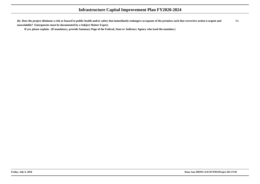**(h) Does the project eliminate a risk or hazard to public health and/or safety that immediately endangers occupants of the premises such that corrective action is urgent andunavoidable? Emergencies must be documented by a Subject Matter Expert.**No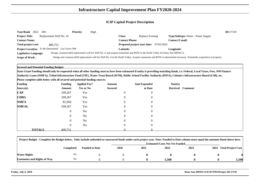| <b>Year/Rank</b><br>2022<br>003                  |                         | <b>Priority:</b> | High |                              |                                                                                                                                |                                                                                                                                                                         | ID:17159 |
|--------------------------------------------------|-------------------------|------------------|------|------------------------------|--------------------------------------------------------------------------------------------------------------------------------|-------------------------------------------------------------------------------------------------------------------------------------------------------------------------|----------|
| <b>Project Title:</b>                            | Replacement Well No. 10 |                  |      | <b>Class:</b>                | Replace Existing                                                                                                               | <b>Type/Subtype:</b> Water - Water Supply                                                                                                                               |          |
| <b>Contact Name:</b>                             |                         |                  |      | <b>Contact Phone:</b>        |                                                                                                                                | <b>Contact E-mail:</b>                                                                                                                                                  |          |
| <b>Total project cost:</b>                       | 409.751                 |                  |      | Proposed project start date: | 07/01/2022                                                                                                                     |                                                                                                                                                                         |          |
| Project Location: To Be Determined Las Cruces NM |                         |                  |      | <b>Latitude:</b>             |                                                                                                                                | <b>Longitude:</b>                                                                                                                                                       |          |
| <b>Legislative Language:</b>                     |                         |                  |      |                              | Design, construct/drill replacement well for Well No. 4, and acquire easements and ROW in the North Valley for Dona Ana MDWCA. |                                                                                                                                                                         |          |
| Scope of Work:                                   |                         |                  |      |                              |                                                                                                                                | Design and construct/drill replacement well for Well No. 4 in the North Valley. Acquire easements and ROW as determined necessary. Potentially acquisition of property. |          |

**Secured and Potential Funding Budget:**

**State Grant Funding should only be requested when all other funding sources have been exhausted if entity is providing matching funds, i.e. Federal, Local Taxes, Fees, NM FinanceAuthority Loans (NMFA), Tribal Infrastructure Fund (TIF), Water Trust Board (WTB), Public School Facility Authority (PSFA), Colonia's Infrastructure Board (CIB), etc.**

| <b>Funding</b> |               | <b>Funding</b> | <b>Applied For?</b> | Amount         | <b>Amt Expended</b> | Date(s)          |  |
|----------------|---------------|----------------|---------------------|----------------|---------------------|------------------|--|
| Source(s)      |               | Amount         | <b>Yes or No</b>    | <b>Secured</b> | to Date             | Received Comment |  |
| $\bf CAP$      |               | 109,267        | Yes                 | $\overline{0}$ | $\boldsymbol{0}$    |                  |  |
| <b>CDBG</b>    |               | 109,267        | Yes                 | $\overline{0}$ | $\boldsymbol{0}$    |                  |  |
| <b>NMFA</b>    |               | 81,950         | Yes                 | $\overline{0}$ | $\overline{0}$      |                  |  |
| <b>NMFAL</b>   |               | 109,267        | Yes                 | $\overline{0}$ | $\overline{0}$      |                  |  |
|                |               | $\overline{0}$ | No                  | $\overline{0}$ | $\overline{0}$      |                  |  |
|                |               | $\overline{0}$ | No                  | $\overline{0}$ | $\overline{0}$      |                  |  |
|                |               | $\overline{0}$ | N <sub>o</sub>      | $\Omega$       | $\overline{0}$      |                  |  |
|                |               | $\overline{0}$ | No                  | $\theta$       | $\overline{0}$      |                  |  |
|                | <b>TOTALS</b> | 409.751        |                     |                |                     |                  |  |

| Project Budget - Complete the Budget below. Only include unfunded or unsecured funds under each project year. Note: Funded to Date column must equal the amounts listed above here. |                |                       |      |      |                                       |      |      |                           |
|-------------------------------------------------------------------------------------------------------------------------------------------------------------------------------------|----------------|-----------------------|------|------|---------------------------------------|------|------|---------------------------|
|                                                                                                                                                                                     |                |                       |      |      | <b>Estimated Costs Not Yet Funded</b> |      |      |                           |
|                                                                                                                                                                                     | Completed      | <b>Funded to Date</b> | 2020 | 2021 | 2022                                  | 2023 | 2024 | <b>Total Project Cost</b> |
| Water Rights                                                                                                                                                                        | No             |                       |      |      |                                       |      |      |                           |
| <b>Easements and Rights of Way</b>                                                                                                                                                  | N <sub>o</sub> |                       |      |      | 5.500                                 |      |      | 5,500                     |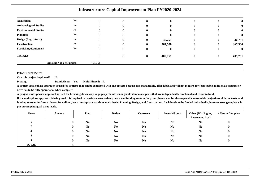|                               |                              |         |          |   | <b>Infrastructure Capital Improvement Plan FY2020-2024</b> |                  |              |         |
|-------------------------------|------------------------------|---------|----------|---|------------------------------------------------------------|------------------|--------------|---------|
|                               |                              |         |          |   |                                                            |                  |              |         |
| <b>Acquisition</b>            | No                           | 0       | 0        |   |                                                            |                  |              |         |
| <b>Archaeological Studies</b> | No                           |         | $\Omega$ |   |                                                            |                  |              |         |
| <b>Environmental Studies</b>  | No                           |         | 0        |   |                                                            |                  |              |         |
| <b>Planning</b>               | No                           |         | $\theta$ |   |                                                            |                  |              |         |
| Design (Engr./Arch.)          | No                           |         | 0        |   | 36,751                                                     |                  | $\mathbf{0}$ | 36,751  |
| <b>Construction</b>           | No                           |         | $\Omega$ | o | 367,500                                                    |                  | $\bf{0}$     | 367,500 |
| <b>Furnishing/Equipment</b>   | No                           | 0       | $\Omega$ |   |                                                            |                  |              |         |
| <b>TOTALS</b>                 |                              |         | $\Omega$ | 0 | 409,751                                                    | $\boldsymbol{0}$ | $\bf{0}$     | 409,751 |
|                               | <b>Amount Not Yet Funded</b> | 409.751 |          |   |                                                            |                  |              |         |

### **PHASING BUDGET**

 **Can this project be phased?**No

**Phasing: Stand Alone:** Yes**Multi-Phased:** No

 **A project single phase approach is used for projects that can be completed with one process because it is manageable, affordable, and will not require any foreseeable additional resources oractivities to be fully operational when complete.**

**A project multi-phased approach is used for breaking down very large projects into manageable standalone parts that are independently functional and easier to fund.**

| <b>Phase</b>   | Amount | Plan           | <b>Design</b>  | Construct      | Furnish/Equip  | Other (Wtr Rights,<br>Easements, Acq) | # Mos to Complete |
|----------------|--------|----------------|----------------|----------------|----------------|---------------------------------------|-------------------|
|                |        | N <sub>0</sub> | N <sub>0</sub> | N <sub>0</sub> | N <sub>0</sub> | N <sub>0</sub>                        |                   |
| $\overline{ }$ |        | N <sub>0</sub> | N <sub>0</sub> | N <sub>0</sub> | N <sub>0</sub> | N <sub>0</sub>                        |                   |
|                |        | N <sub>0</sub> | N <sub>0</sub> | N <sub>0</sub> | N <sub>0</sub> | N <sub>0</sub>                        |                   |
|                |        | N <sub>0</sub> | N <sub>0</sub> | N <sub>0</sub> | N <sub>0</sub> | N <sub>0</sub>                        |                   |
|                |        | N <sub>0</sub> | N <sub>0</sub> | N <sub>0</sub> | N <sub>0</sub> | N <sub>0</sub>                        |                   |
| <b>TOTAL</b>   |        |                |                |                |                |                                       |                   |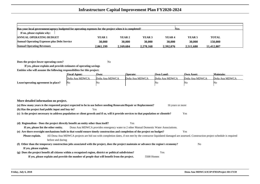| Has your local government/agency budgeted for operating expenses for the project when it is completed? |           |          |           | <b>Yes</b>        |                   |              |  |
|--------------------------------------------------------------------------------------------------------|-----------|----------|-----------|-------------------|-------------------|--------------|--|
| If no, please explain why:                                                                             |           |          |           |                   |                   |              |  |
| <b>ANNUAL OPERATING BUDGET</b>                                                                         | YEAR 1    | YEAR 2   | YEAR 3    | YEAR <sub>4</sub> | YEAR <sub>5</sub> | <b>TOTAL</b> |  |
| <b>Annual Operating Expenses plus Debt Service</b>                                                     | 30,000    | 30,000   | 30.000    | 30,000            | 30,000            | 150,000      |  |
| <b>Annual Operating Revenues</b>                                                                       | 2.061.199 | .169.684 | 2.278.168 | 2.392.076         | 2.511.680         | 11.412.807   |  |

**Does the project lower operating costs?**<sup>2</sup> No

**If yes, please explain and provide estimates of operating savingsEntities who will assume the following responsibilites for this project:**

|                                     | <b>Fiscal Agent:</b> | Own:           | <b>Operate:</b> | <b>Own Land:</b> | <b>Own Asset:</b> | Maintain:      |
|-------------------------------------|----------------------|----------------|-----------------|------------------|-------------------|----------------|
|                                     | Doña Ana MDWCA       | Doña Ana MDWCA | Doña Ana MDWCA  | Doña Ana MDWCA   | Doña Ana MDWCA    | Doña Ana MDWCA |
| Lease/operating agreement in place? | <b>No</b>            | 'NΩ            |                 | No               | - No              | 'No            |

| (a) How many years is the requested project expected to be in use before needing Renovate/Repair or Replacement?<br>16 years or more<br>(b) Has the project had public input and buy-in?<br>Yes<br>(c) Is the project necessary to address population or client growth and if so, will it provide services to that population or clientele?<br>Yes<br>(d) Regionalism - Does the project directly benefit an entity other than itself?<br>Yes<br>Dona Ana MDWCA provides emergency water to 2 other Mutual Domestic Water Associations.<br>If yes, please list the other entity.<br>(e) Are there oversight mechanisms built in that would ensure timely construction and completion of the project on budget?<br>Yes<br>All Dona Ana MDWCA projects are bid out with completion dates, if not met by the contractor liquidated damaged are assessed. Construction project schedule is required<br>Please explain. |
|--------------------------------------------------------------------------------------------------------------------------------------------------------------------------------------------------------------------------------------------------------------------------------------------------------------------------------------------------------------------------------------------------------------------------------------------------------------------------------------------------------------------------------------------------------------------------------------------------------------------------------------------------------------------------------------------------------------------------------------------------------------------------------------------------------------------------------------------------------------------------------------------------------------------|
|                                                                                                                                                                                                                                                                                                                                                                                                                                                                                                                                                                                                                                                                                                                                                                                                                                                                                                                    |
|                                                                                                                                                                                                                                                                                                                                                                                                                                                                                                                                                                                                                                                                                                                                                                                                                                                                                                                    |
|                                                                                                                                                                                                                                                                                                                                                                                                                                                                                                                                                                                                                                                                                                                                                                                                                                                                                                                    |
|                                                                                                                                                                                                                                                                                                                                                                                                                                                                                                                                                                                                                                                                                                                                                                                                                                                                                                                    |
|                                                                                                                                                                                                                                                                                                                                                                                                                                                                                                                                                                                                                                                                                                                                                                                                                                                                                                                    |
|                                                                                                                                                                                                                                                                                                                                                                                                                                                                                                                                                                                                                                                                                                                                                                                                                                                                                                                    |
|                                                                                                                                                                                                                                                                                                                                                                                                                                                                                                                                                                                                                                                                                                                                                                                                                                                                                                                    |
|                                                                                                                                                                                                                                                                                                                                                                                                                                                                                                                                                                                                                                                                                                                                                                                                                                                                                                                    |
| before and during                                                                                                                                                                                                                                                                                                                                                                                                                                                                                                                                                                                                                                                                                                                                                                                                                                                                                                  |
| (f) Other than the temporary construction jobs associated with the project, does the project maintain or advance the region's economy?<br>N <sub>0</sub>                                                                                                                                                                                                                                                                                                                                                                                                                                                                                                                                                                                                                                                                                                                                                           |
| If yes, please explain.                                                                                                                                                                                                                                                                                                                                                                                                                                                                                                                                                                                                                                                                                                                                                                                                                                                                                            |
| (g) Does the project benefit all citizens within a recognized region, district or political subdivision?<br>Yes                                                                                                                                                                                                                                                                                                                                                                                                                                                                                                                                                                                                                                                                                                                                                                                                    |
| If yes, please explain and provide the number of people that will benefit from the project.<br>5500 Homes                                                                                                                                                                                                                                                                                                                                                                                                                                                                                                                                                                                                                                                                                                                                                                                                          |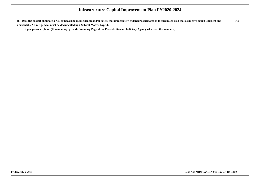**(h) Does the project eliminate a risk or hazard to public health and/or safety that immediately endangers occupants of the premises such that corrective action is urgent andunavoidable? Emergencies must be documented by a Subject Matter Expert.**No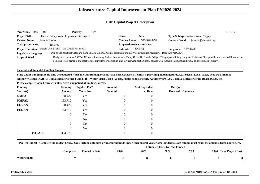| Year/Rank 2022        | -004                                                      | <b>Priority:</b> | High |                              |                                                                                                                          |                                                                                                                                                                                            | ID:17153 |
|-----------------------|-----------------------------------------------------------|------------------|------|------------------------------|--------------------------------------------------------------------------------------------------------------------------|--------------------------------------------------------------------------------------------------------------------------------------------------------------------------------------------|----------|
| <b>Project Title:</b> | Shalem Colony Water Improvements Project                  |                  |      | Class:                       | New                                                                                                                      | <b>Type/Subtype:</b> Water - Water Supply                                                                                                                                                  |          |
| <b>Contact Name:</b>  | Jennifer Horton                                           |                  |      | <b>Contact Phone:</b>        | 575-526-3491                                                                                                             | jennifer@dawater.org<br>Contact <b>E-mail:</b>                                                                                                                                             |          |
| Total project cost:   | 384,275                                                   |                  |      | Proposed project start date: |                                                                                                                          |                                                                                                                                                                                            |          |
|                       | Project Location: Shalem Colony Trail Las Cruces NM 88007 |                  |      | <b>Latitude:</b>             | 32'22'50                                                                                                                 | <b>Longitude:</b> 106'50'49                                                                                                                                                                |          |
| Legislative Language: |                                                           |                  |      |                              | Design and construct water line along Shalem Colony. Acquire easements and ROW as determined necessary. - Dona Ana MDWCA |                                                                                                                                                                                            |          |
| <b>Scope of Work:</b> |                                                           |                  |      |                              |                                                                                                                          | Design and construct 5,000' of 12" water line along Shalem Colony from Valley Dr. to Rio Grande Bridge. This project will help complete the Master Plan, provide much needed flows for the |          |
|                       |                                                           |                  |      |                              |                                                                                                                          | domestic water demand, and meet required fire flow protection in a rapidly growing portion of the service area. Acquire easements and ROW as determined necessary.                         |          |

**Secured and Potential Funding Budget:**

 **State Grant Funding should only be requested when all other funding sources have been exhausted if entity is providing matching funds, i.e. Federal, Local Taxes, Fees, NM FinanceAuthority Loans (NMFA), Tribal Infrastructure Fund (TIF), Water Trust Board (WTB), Public School Facility Authority (PSFA), Colonia's Infrastructure Board (CIB), etc.**

| <b>Funding</b> |               | <b>Funding</b> | <b>Applied For?</b> | Amount         | <b>Amt Expended</b> | Date(s)          |  |
|----------------|---------------|----------------|---------------------|----------------|---------------------|------------------|--|
| Source(s)      |               | Amount         | <b>Yes or No</b>    | <b>Secured</b> | to Date             | Received Comment |  |
| <b>NMFA</b>    |               | 38,427         | Yes                 | $\mathbf{0}$   | $\overline{0}$      |                  |  |
| <b>NMFAL</b>   |               | 153,710        | Yes                 |                | $\overline{0}$      |                  |  |
| <b>FGRANT</b>  |               | 38,428         | Yes                 | 0              | $\overline{0}$      |                  |  |
| <b>FLOAN</b>   |               | 153,710        | Yes                 | $\mathbf{0}$   | $\overline{0}$      |                  |  |
|                |               | $\overline{0}$ | No                  | $\Omega$       | $\overline{0}$      |                  |  |
|                |               | $\overline{0}$ | N <sub>o</sub>      | $\theta$       | $\overline{0}$      |                  |  |
|                |               | $\overline{0}$ | N <sub>o</sub>      |                | $\Omega$            |                  |  |
|                |               | $\overline{0}$ | N <sub>o</sub>      | $\mathbf{0}$   | $\overline{0}$      |                  |  |
|                | <b>TOTALS</b> | 384,275        |                     |                |                     |                  |  |

| Project Budget - Complete the Budget below. Only include unfunded or unsecured funds under each project year. Note: Funded to Date column must equal the amounts listed above here. |           |                       |                                       |      |      |      |  |                         |  |  |  |
|-------------------------------------------------------------------------------------------------------------------------------------------------------------------------------------|-----------|-----------------------|---------------------------------------|------|------|------|--|-------------------------|--|--|--|
|                                                                                                                                                                                     |           |                       | <b>Estimated Costs Not Yet Funded</b> |      |      |      |  |                         |  |  |  |
|                                                                                                                                                                                     | Completed | <b>Funded to Date</b> | <b>2020</b>                           | 2021 | 2022 | 2023 |  | 2024 Total Project Cost |  |  |  |
| <b>Water Rights</b>                                                                                                                                                                 | No        |                       |                                       |      |      |      |  |                         |  |  |  |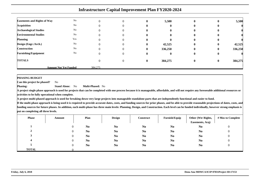|                                    | <b>Infrastructure Capital Improvement Plan FY2020-2024</b> |          |  |              |              |              |              |         |  |  |  |  |  |
|------------------------------------|------------------------------------------------------------|----------|--|--------------|--------------|--------------|--------------|---------|--|--|--|--|--|
| <b>Easements and Rights of Way</b> | No                                                         |          |  |              | 5,500        | $\bf{0}$     | $\bf{0}$     | 5,500   |  |  |  |  |  |
| <b>Acquisition</b>                 | No                                                         |          |  |              | $\mathbf{0}$ |              |              |         |  |  |  |  |  |
| <b>Archaeological Studies</b>      | No                                                         |          |  |              | $\mathbf{0}$ |              | v            |         |  |  |  |  |  |
| <b>Environmental Studies</b>       | No                                                         |          |  |              | $\mathbf{0}$ | 0            |              |         |  |  |  |  |  |
| <b>Planning</b>                    | Yes                                                        |          |  |              | 0            | $\mathbf{0}$ | $\mathbf{0}$ |         |  |  |  |  |  |
| Design (Engr./Arch.)               | No                                                         |          |  | 0            | 42,525       | $\bf{0}$     | $\bf{0}$     | 42,525  |  |  |  |  |  |
| <b>Construction</b>                | No                                                         |          |  |              | 336,250      | $\bf{0}$     | $\bf{0}$     | 336,250 |  |  |  |  |  |
| <b>Furnishing/Equipment</b>        | No                                                         | $\theta$ |  | v            | $\mathbf{0}$ | $\mathbf{0}$ | $\bf{0}$     |         |  |  |  |  |  |
| <b>TOTALS</b>                      |                                                            |          |  | $\mathbf{0}$ | 384,275      | $\bf{0}$     | $\bf{0}$     | 384,275 |  |  |  |  |  |
|                                    | <b>Amount Not Yet Funded</b>                               | 384,275  |  |              |              |              |              |         |  |  |  |  |  |

**PHASING BUDGET**

 **Can this project be phased?**No

**Phasing: Stand Alone:** No**Multi-Phased:** No

**A project single phase approach is used for projects that can be completed with one process because it is manageable, affordable, and will not require any foreseeable additional resources oractivities to be fully operational when complete.**

**A project multi-phased approach is used for breaking down very large projects into manageable standalone parts that are independently functional and easier to fund.**

| <b>Phase</b> | Amount | Plan           | <b>Design</b>  | <b>Construct</b> | Furnish/Equip  | Other (Wtr Rights,<br>Easements, Acq) | # Mos to Complete |
|--------------|--------|----------------|----------------|------------------|----------------|---------------------------------------|-------------------|
|              |        | N <sub>0</sub> | N <sub>0</sub> | N <sub>0</sub>   | N <sub>0</sub> | N <sub>0</sub>                        | U                 |
|              |        | N <sub>0</sub> | N <sub>o</sub> | N <sub>0</sub>   | N <sub>0</sub> | N <sub>0</sub>                        |                   |
|              |        | N <sub>0</sub> | N <sub>0</sub> | N <sub>0</sub>   | N <sub>0</sub> | N <sub>0</sub>                        |                   |
|              |        | N <sub>0</sub> | N <sub>0</sub> | N <sub>0</sub>   | N <sub>0</sub> | N <sub>0</sub>                        |                   |
|              |        | N <sub>0</sub> | N <sub>o</sub> | N <sub>0</sub>   | N <sub>0</sub> | N <sub>0</sub>                        |                   |
| <b>TOTAL</b> |        |                |                |                  |                |                                       |                   |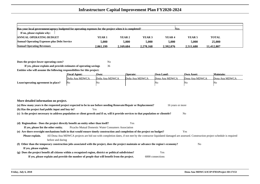| Has your local government/agency budgeted for operating expenses for the project when it is completed?<br><b>Nes</b> |              |           |           |           |                   |              |  |  |  |  |  |  |
|----------------------------------------------------------------------------------------------------------------------|--------------|-----------|-----------|-----------|-------------------|--------------|--|--|--|--|--|--|
| If no, please explain why:                                                                                           |              |           |           |           |                   |              |  |  |  |  |  |  |
| <b>ANNUAL OPERATING BUDGET</b>                                                                                       | <b>YEAR1</b> | YEAR 2    | YEAR 3    | YEAR 4    | YEAR <sub>5</sub> | <b>TOTAL</b> |  |  |  |  |  |  |
| <b>Annual Operating Expenses plus Debt Service</b>                                                                   | 5.000        | 5.000     | 5.000     | 5.000     | 5.000             | 25,000       |  |  |  |  |  |  |
| <b>Annual Operating Revenues</b>                                                                                     | 2.061.199    | 2.169.684 | 2.278.168 | 2.392.076 | 2.511.680         | 11.412.807   |  |  |  |  |  |  |

**Does the project lower operating costs?**<sup>2</sup> No

**If yes, please explain and provide estimates of operating savings** <sup>36</sup>**Entities who will assume the following responsibilites for this project:**

|                                     | <b>Fiscal Agent:</b> | Own:           | <b>Operate:</b> | Own Land:      | <b>Own Asset:</b> | Maintain:      |
|-------------------------------------|----------------------|----------------|-----------------|----------------|-------------------|----------------|
|                                     | Doña Ana MDWCA       | Doña Ana MDWCA | Doña Ana MDWCA  | Dona Ana MDWCA | Dona Ana MDWCA    | Dona Ana MDWCA |
| Lease/operating agreement in place? | ΙNο                  | 'N (           |                 | NC             | ™u.               | 'NG            |

| More detailed information on project.                                                                                                                                                     |
|-------------------------------------------------------------------------------------------------------------------------------------------------------------------------------------------|
| (a) How many years is the requested project expected to be in use before needing Renovate/Repair or Replacement?<br>16 years or more                                                      |
| (b) Has the project had public input and buy-in?<br><b>Yes</b>                                                                                                                            |
| (c) Is the project necessary to address population or client growth and if so, will it provide services to that population or clientele?<br>N <sub>o</sub>                                |
|                                                                                                                                                                                           |
| (d) Regionalism - Does the project directly benefit an entity other than itself?<br>Yes                                                                                                   |
| Picacho Mutual Domestic Water Consumers Association<br>If yes, please list the other entity.                                                                                              |
| (e) Are there oversight mechanisms built in that would ensure timely construction and completion of the project on budget?<br>Yes                                                         |
| All Dona Ana MDWCA projects are bid out with completion dates, if not met by the contractor liquidated damaged are assessed. Construction project schedule is required<br>Please explain. |
| before and during                                                                                                                                                                         |
| (f) Other than the temporary construction jobs associated with the project, does the project maintain or advance the region's economy?<br>N <sub>0</sub>                                  |
| If yes, please explain.                                                                                                                                                                   |
| (g) Does the project benefit all citizens within a recognized region, district or political subdivision?<br>Yes                                                                           |
| If yes, please explain and provide the number of people that will benefit from the project.<br>6000 connections                                                                           |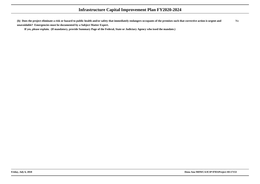**(h) Does the project eliminate a risk or hazard to public health and/or safety that immediately endangers occupants of the premises such that corrective action is urgent andunavoidable? Emergencies must be documented by a Subject Matter Expert.**No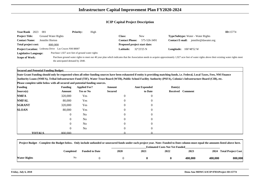| Year/Rank 2023               | <b>Priority:</b><br>-001                            | High |                              |                     |                                                                                                                                                                                                  | ID:15774 |
|------------------------------|-----------------------------------------------------|------|------------------------------|---------------------|--------------------------------------------------------------------------------------------------------------------------------------------------------------------------------------------------|----------|
| <b>Project Title:</b>        | Ground Water Rights                                 |      | Class:                       | New                 | <b>Type/Subtype:</b> Water - Water Rights                                                                                                                                                        |          |
| <b>Contact Name:</b>         | Jennifer Horton                                     |      | <b>Contact Phone:</b>        | 575-526-3491        | jennifer@dawater.org<br><b>Contact E-mail:</b>                                                                                                                                                   |          |
| <b>Total project cost:</b>   | 800,000                                             |      | Proposed project start date: |                     |                                                                                                                                                                                                  |          |
|                              | Project Location: Ledesma Drive Las Cruces NM 88007 |      | <b>Latitude:</b>             | $32^{\circ}23'25$ N | $106^{\circ}48'52$ W<br>Longitude:                                                                                                                                                               |          |
| <b>Legislative Language:</b> | Purchase 1,927 acre feet of ground water rights     |      |                              |                     |                                                                                                                                                                                                  |          |
| <b>Scope of Work:</b>        |                                                     |      |                              |                     | Purchase ground water rights to meet our 40 year plan which indicates that the Association needs to acquire approximately 1,927 acre feet of water rights above their existing water rights meet |          |
|                              | the anticipated demand by 2040.                     |      |                              |                     |                                                                                                                                                                                                  |          |

**Secured and Potential Funding Budget:**

**State Grant Funding should only be requested when all other funding sources have been exhausted if entity is providing matching funds, i.e. Federal, Local Taxes, Fees, NM FinanceAuthority Loans (NMFA), Tribal Infrastructure Fund (TIF), Water Trust Board (WTB), Public School Facility Authority (PSFA), Colonia's Infrastructure Board (CIB), etc.**

| <b>Funding</b> |               | <b>Funding</b> | <b>Applied For?</b> | Amount           | <b>Amt Expended</b> | Date(s) |                  |
|----------------|---------------|----------------|---------------------|------------------|---------------------|---------|------------------|
| Source(s)      |               | Amount         | <b>Yes or No</b>    | <b>Secured</b>   | to Date             |         | Received Comment |
| <b>NMFA</b>    |               | 320,000        | Yes                 | $\boldsymbol{0}$ | $\overline{0}$      |         |                  |
| <b>NMFAL</b>   |               | 80,000         | Yes                 | $\theta$         | $\overline{0}$      |         |                  |
| <b>SGRANT</b>  |               | 320,000        | Yes                 | $\theta$         | $\overline{0}$      |         |                  |
| <b>SLOAN</b>   |               | 80,000         | Yes                 | $\overline{0}$   | $\overline{0}$      |         |                  |
|                |               | $\overline{0}$ | N <sub>o</sub>      | $\theta$         | $\overline{0}$      |         |                  |
|                |               | $\overline{0}$ | N <sub>o</sub>      | $\overline{0}$   | $\overline{0}$      |         |                  |
|                |               | 0              | N <sub>0</sub>      | $\Omega$         | $\overline{0}$      |         |                  |
|                |               | $\overline{0}$ | N <sub>o</sub>      | $\overline{0}$   | $\overline{0}$      |         |                  |
|                | <b>TOTALS</b> | 800,000        |                     |                  |                     |         |                  |

| Project Budget - Complete the Budget below. Only include unfunded or unsecured funds under each project year. Note: Funded to Date column must equal the amounts listed above here. |           |                       |             |                                       |      |         |         |                         |  |  |  |
|-------------------------------------------------------------------------------------------------------------------------------------------------------------------------------------|-----------|-----------------------|-------------|---------------------------------------|------|---------|---------|-------------------------|--|--|--|
|                                                                                                                                                                                     |           |                       |             | <b>Estimated Costs Not Yet Funded</b> |      |         |         |                         |  |  |  |
|                                                                                                                                                                                     | Completed | <b>Funded to Date</b> | <b>2020</b> | 2021                                  | 2022 | 2023    |         | 2024 Total Project Cost |  |  |  |
| Water Rights                                                                                                                                                                        | No        |                       |             |                                       |      | 400,000 | 400,000 | 800,000                 |  |  |  |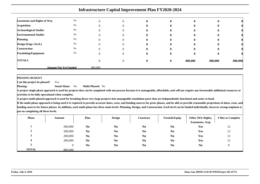|                                    | <b>Infrastructure Capital Improvement Plan FY2020-2024</b> |         |          |              |  |         |         |         |  |  |  |  |  |
|------------------------------------|------------------------------------------------------------|---------|----------|--------------|--|---------|---------|---------|--|--|--|--|--|
| <b>Easements and Rights of Way</b> | No                                                         |         | $\Omega$ | $\mathbf{u}$ |  |         | o       |         |  |  |  |  |  |
| <b>Acquisition</b>                 | No                                                         |         | $\Omega$ |              |  |         |         |         |  |  |  |  |  |
| <b>Archaeological Studies</b>      | No                                                         |         |          |              |  |         |         |         |  |  |  |  |  |
| <b>Environmental Studies</b>       | No                                                         |         |          |              |  |         |         |         |  |  |  |  |  |
| <b>Planning</b>                    | No                                                         |         | $\Omega$ |              |  |         | O       |         |  |  |  |  |  |
| Design (Engr./Arch.)               | No                                                         |         | $\Omega$ |              |  |         | 0       |         |  |  |  |  |  |
| <b>Construction</b>                | No                                                         |         | $\Omega$ |              |  |         |         |         |  |  |  |  |  |
| <b>Furnishing/Equipment</b>        | No                                                         |         | $\theta$ |              |  |         | o       |         |  |  |  |  |  |
| <b>TOTALS</b>                      |                                                            |         | $\theta$ | 0            |  | 400,000 | 400,000 | 800,000 |  |  |  |  |  |
|                                    | <b>Amount Not Yet Funded</b>                               | 800,000 |          |              |  |         |         |         |  |  |  |  |  |

**PHASING BUDGET**

 **Can this project be phased?**Yes

**Phasing: Stand Alone:** No**Multi-Phased:** No

**A project single phase approach is used for projects that can be completed with one process because it is manageable, affordable, and will not require any foreseeable additional resources oractivities to be fully operational when complete.**

**A project multi-phased approach is used for breaking down very large projects into manageable standalone parts that are independently functional and easier to fund.**

| <b>Phase</b> | Amount  | Plan           | <b>Design</b>  | Construct      | Furnish/Equip  | Other (Wtr Rights,<br>Easements, Acq) | # Mos to Complete |
|--------------|---------|----------------|----------------|----------------|----------------|---------------------------------------|-------------------|
|              | 200,000 | N <sub>0</sub> | N <sub>0</sub> | N <sub>0</sub> | N <sub>0</sub> | Yes                                   | 12                |
|              | 200,000 | N <sub>0</sub> | N <sub>0</sub> | N <sub>0</sub> | N <sub>0</sub> | Yes                                   | 12                |
|              | 200,000 | N <sub>0</sub> | N <sub>0</sub> | N <sub>0</sub> | N <sub>0</sub> | Yes                                   | 12                |
|              | 200,000 | N <sub>0</sub> | N <sub>0</sub> | N <sub>0</sub> | N <sub>0</sub> | Yes                                   | 12                |
|              |         | N <sub>0</sub> | N <sub>0</sub> | N <sub>0</sub> | N <sub>0</sub> | N <sub>0</sub>                        |                   |
| <b>TOTAL</b> | 800,000 |                |                |                |                |                                       |                   |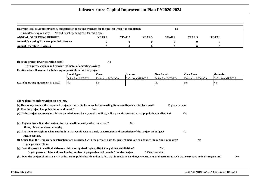| Has your local government/agency budgeted for operating expenses for the project when it is completed? |                   |        |        |                   |        |              |  |  |  |  |  |  |
|--------------------------------------------------------------------------------------------------------|-------------------|--------|--------|-------------------|--------|--------------|--|--|--|--|--|--|
| <b>If no, please explain why:</b> No additional operating cost for this project                        |                   |        |        |                   |        |              |  |  |  |  |  |  |
| <b>ANNUAL OPERATING BUDGET</b>                                                                         | YEAR <sub>1</sub> | YEAR 2 | YEAR 3 | YEAR <sub>4</sub> | YEAR 5 | <b>TOTAL</b> |  |  |  |  |  |  |
| <b>Annual Operating Expenses plus Debt Service</b>                                                     |                   |        |        |                   |        |              |  |  |  |  |  |  |
| <b>Annual Operating Revenues</b>                                                                       |                   |        |        |                   |        |              |  |  |  |  |  |  |

**Does the project lower operating costs?**

<sup>2</sup> No

**If yes, please explain and provide estimates of operating savingsEntities who will assume the following responsibilites for this project:**

|                                     | <b>Fiscal Agent:</b> | Own:           | <b>Operate:</b> | <b>Own Land:</b> | <b>Own Asset:</b> | <b>Maintain:</b> |
|-------------------------------------|----------------------|----------------|-----------------|------------------|-------------------|------------------|
|                                     | Doña Ana MDWCA       | Doña Ana MDWCA | Doña Ana MDWCA  | Doña Ana MDWCA   | Doña Ana MDWCA    | Doña Ana MDWCA   |
| Lease/operating agreement in place? | No                   | 'No            |                 | 'NG              | 4NG               | 'NG              |

|  |  | More detailed information on project. |  |  |
|--|--|---------------------------------------|--|--|
|--|--|---------------------------------------|--|--|

| 16 years or more                                                                                                                                                                     |
|--------------------------------------------------------------------------------------------------------------------------------------------------------------------------------------|
|                                                                                                                                                                                      |
| Yes                                                                                                                                                                                  |
|                                                                                                                                                                                      |
|                                                                                                                                                                                      |
|                                                                                                                                                                                      |
| No                                                                                                                                                                                   |
|                                                                                                                                                                                      |
| N <sub>0</sub>                                                                                                                                                                       |
|                                                                                                                                                                                      |
|                                                                                                                                                                                      |
|                                                                                                                                                                                      |
| (h) Does the project eliminate a risk or hazard to public health and/or safety that immediately endangers occupants of the premises such that corrective action is urgent and<br>No. |
|                                                                                                                                                                                      |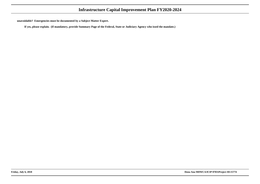**unavoidable? Emergencies must be documented by a Subject Matter Expert.**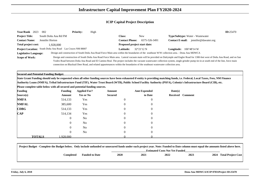| Year/Rank 2023               | 002                                                       | <b>Priority:</b> | High |                              |                                                                                                                                 |                                                                                                                                                                                     | ID:25470 |
|------------------------------|-----------------------------------------------------------|------------------|------|------------------------------|---------------------------------------------------------------------------------------------------------------------------------|-------------------------------------------------------------------------------------------------------------------------------------------------------------------------------------|----------|
| <b>Project Title:</b>        | South Doña Ana Rd FM                                      |                  |      | Class:                       | <b>New</b>                                                                                                                      | <b>Type/Subtype:</b> Water - Wastewater                                                                                                                                             |          |
| <b>Contact Name:</b>         | Jennifer Horton                                           |                  |      | <b>Contact Phone:</b>        | 6575-526-3491                                                                                                                   | jennifer@dawater.org<br><b>Contact E-mail:</b>                                                                                                                                      |          |
| Total project cost:          | 1.928.000                                                 |                  |      | Proposed project start date: |                                                                                                                                 |                                                                                                                                                                                     |          |
|                              | Project Location: South Doña Ana Road Las Cruces NM 88007 |                  |      | <b>Latitude:</b>             | $32^{\circ}21'12$ N                                                                                                             | <b>Longitude:</b> $106^{\circ}48'14$ W                                                                                                                                              |          |
| <b>Legislative Language:</b> |                                                           |                  |      |                              |                                                                                                                                 | Design and construction of South Doña Ana Road Force Main area within the boundaries of the southeast W/W collection area. - Dona Ana MDWCA                                         |          |
| <b>Scope of Work:</b>        |                                                           |                  |      |                              |                                                                                                                                 | Design and construction of South Doña Ana Road Force Main area. Lateral vacuum main will be provided on Dalrymple and Engler Road for 1300-feet west of Doña Ana Road, and on San   |          |
|                              |                                                           |                  |      |                              |                                                                                                                                 | Ysidro Road between Doña Ana Road and El Camino Real. The project includes the vacuum wastewater collection system, single grinder pump tie-in at south end of the line, force main |          |
|                              |                                                           |                  |      |                              | connection on Blacktail Deer Road, and related appurtenances within the boundaries of the southeast wastewater collection area. |                                                                                                                                                                                     |          |

**Secured and Potential Funding Budget:**

 **State Grant Funding should only be requested when all other funding sources have been exhausted if entity is providing matching funds, i.e. Federal, Local Taxes, Fees, NM FinanceAuthority Loans (NMFA), Tribal Infrastructure Fund (TIF), Water Trust Board (WTB), Public School Facility Authority (PSFA), Colonia's Infrastructure Board (CIB), etc.**

| <b>Funding</b>                             |               | <b>Funding</b> | <b>Applied For?</b> | Amount         | <b>Amt Expended</b> | Date(s)          |  |
|--------------------------------------------|---------------|----------------|---------------------|----------------|---------------------|------------------|--|
| Source(s)                                  |               | Amount         | <b>Yes or No</b>    | <b>Secured</b> | to Date             | Received Comment |  |
| <b>NMFA</b>                                |               | 514,133        | Yes                 | $\theta$       | $\overline{0}$      |                  |  |
| <b>NMFAL</b>                               |               | 385,600        | Yes                 | $\theta$       | $\theta$            |                  |  |
| $\mathbf{C}\mathbf{D}\mathbf{B}\mathbf{G}$ |               | 514,133        | Yes                 | 0              |                     |                  |  |
| $\mathbf{CAP}$                             |               | 514,134        | Yes                 | $\overline{0}$ | -0                  |                  |  |
|                                            |               | $\overline{0}$ | No                  | 0              |                     |                  |  |
|                                            |               | $\overline{0}$ | N <sub>o</sub>      | $\overline{0}$ | $\mathbf{r}$        |                  |  |
|                                            |               | $\overline{0}$ | N <sub>o</sub>      | 0              |                     |                  |  |
|                                            |               | 0              | No                  | $\Omega$       |                     |                  |  |
|                                            | <b>TOTALS</b> | .928.000       |                     |                |                     |                  |  |

| Project Budget - Complete the Budget below. Only include unfunded or unsecured funds under each project year. Note: Funded to Date column must equal the amounts listed above here. |                       |             |      |                                       |      |      |                           |
|-------------------------------------------------------------------------------------------------------------------------------------------------------------------------------------|-----------------------|-------------|------|---------------------------------------|------|------|---------------------------|
|                                                                                                                                                                                     |                       |             |      | <b>Estimated Costs Not Yet Funded</b> |      |      |                           |
| <b>Completed</b>                                                                                                                                                                    | <b>Funded to Date</b> | <b>2020</b> | 2021 | 2022                                  | 2023 | 2024 | <b>Total Project Cost</b> |
|                                                                                                                                                                                     |                       |             |      |                                       |      |      |                           |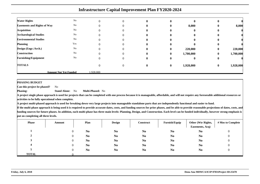|                                    | <b>Infrastructure Capital Improvement Plan FY2020-2024</b> |   |          |   |   |              |              |           |  |
|------------------------------------|------------------------------------------------------------|---|----------|---|---|--------------|--------------|-----------|--|
| <b>Water Rights</b>                | No                                                         | 0 | $\left($ | o | o | $\mathbf{0}$ | $\mathbf{0}$ |           |  |
| <b>Easements and Rights of Way</b> | No                                                         |   |          |   | 0 | 8,000        | $\mathbf{0}$ | 8,000     |  |
| <b>Acquisition</b>                 | No                                                         |   |          |   |   |              |              |           |  |
| <b>Archaeological Studies</b>      | No                                                         |   |          |   |   |              |              |           |  |
| <b>Environmental Studies</b>       | No                                                         |   |          |   | o | $\mathbf{0}$ | $\mathbf{0}$ |           |  |
| <b>Planning</b>                    | Yes                                                        |   |          | o | 0 |              | $\mathbf{0}$ |           |  |
| Design (Engr./Arch.)               | No                                                         |   |          |   | o | 220,000      | $\mathbf{0}$ | 220,000   |  |
| <b>Construction</b>                | No                                                         |   |          |   | 0 | 1,700,000    | 0            | 1,700,000 |  |
| <b>Furnishing/Equipment</b>        | No                                                         |   |          |   | 0 |              | $\mathbf{0}$ |           |  |
| <b>TOTALS</b>                      |                                                            |   |          |   | 0 | 1,928,000    | $\bf{0}$     | 1,928,000 |  |

**Amount Not Yet Funded**

**PHASING BUDGET**

**Phasing:**

**Can this project be phased?** No

 **Stand Alone:** No**Multi-Phased:** No

**A project single phase approach is used for projects that can be completed with one process because it is manageable, affordable, and will not require any foreseeable additional resources oractivities to be fully operational when complete.**

**A project multi-phased approach is used for breaking down very large projects into manageable standalone parts that are independently functional and easier to fund.**

1,928,000

| <b>Phase</b> | Amount         | Plan           | <b>Design</b>  | Construct      | Furnish/Equip  | Other (Wtr Rights,<br>Easements, Acq) | # Mos to Complete |
|--------------|----------------|----------------|----------------|----------------|----------------|---------------------------------------|-------------------|
|              | $\overline{0}$ | N <sub>0</sub> | N <sub>0</sub> | N <sub>0</sub> | N <sub>0</sub> | N <sub>0</sub>                        | 0                 |
|              | $\Omega$       | N <sub>0</sub> | N <sub>0</sub> | N <sub>0</sub> | N <sub>0</sub> | N <sub>0</sub>                        | 0                 |
| - 1          | $\Omega$       | N <sub>0</sub> | N <sub>o</sub> | N <sub>0</sub> | N <sub>0</sub> | N <sub>0</sub>                        | $\theta$          |
|              | $\Omega$       | N <sub>0</sub> | N <sub>0</sub> | N <sub>0</sub> | N <sub>0</sub> | N <sub>0</sub>                        | 0                 |
|              | $\overline{0}$ | N <sub>0</sub> | N <sub>o</sub> | N <sub>0</sub> | N <sub>0</sub> | N <sub>0</sub>                        |                   |
| <b>TOTAL</b> |                |                |                |                |                |                                       |                   |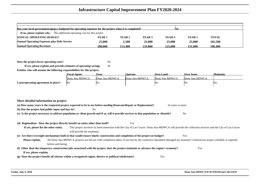| Has your local government/agency budgeted for operating expenses for the project when it is completed?<br>IN0. |         |              |                   |                   |                   |              |  |  |
|----------------------------------------------------------------------------------------------------------------|---------|--------------|-------------------|-------------------|-------------------|--------------|--|--|
| If no, please explain why:<br>No additional operating cost for this project                                    |         |              |                   |                   |                   |              |  |  |
| <b>ANNUAL OPERATING BUDGET</b>                                                                                 | YEAR 1  | YEAR 2       | YEAR <sub>3</sub> | YEAR <sub>4</sub> | YEAR <sub>5</sub> | <b>TOTAL</b> |  |  |
| <b>Annual Operating Expenses plus Debt Service</b>                                                             | 25,000  | <b>2.500</b> | 25,000            | 25,000            | 25,000            | 102,500      |  |  |
| <b>Annual Operating Revenues</b>                                                                               | 108.000 | 113.400      | 119.000           | 125.000           | 131.000           | 596.400      |  |  |

**Does the project lower operating costs?**<sup>2</sup> No

**If yes, please explain and provide estimates of operating savings** <sup>36</sup>**Entities who will assume the following responsibilites for this project:**

|                                     | <b>Fiscal Agent:</b> | Own:           | <b>Operate:</b> | <b>Own Land:</b> | Own Asset:     | Maintain: |
|-------------------------------------|----------------------|----------------|-----------------|------------------|----------------|-----------|
|                                     | Dona Ana MDWCA       | Dona Ana MDWCA | Dona Ana MDWCA  | Dona Ana MDWCA   | Dona Ana MDWCA |           |
| Lease/operating agreement in place? | - INO                | IN G           |                 | NC               | 'Nω            | ΙNΟ       |

### **More detailed information on project.**

| (a) How many years is the requested project expected to be in use before needing Renovate/Repair or Replacement? |     | 16 years or more |
|------------------------------------------------------------------------------------------------------------------|-----|------------------|
| (b) Has the project had public input and buy-in?                                                                 | No. |                  |

**(c) Is the project necessary to address population or client growth and if so, will it provide services to that population or clientele?**No

#### **(d) Regionalism - Does the project directly benefit an entity other than itself?**Yes

#### **If yes, please list the other entity.** This project involves in interconnection with the City of Las Cruces. Dona Ana MDWCA will provide the collection services and the City of Las Cruceswill provide the treatment.**(e) Are there oversight mechanisms built in that would ensure timely construction and completion of the project on budget?**Yes

#### **Please explain.** All Dona Ana MDWCA projects are bid out with completion dates, if not met by the contractor liquidated damaged are assessed. Construction project schedule is requiredbefore and during

### **(f) Other than the temporary construction jobs associated with the project, does the project maintain or advance the region's economy?** Yes **If yes, please explain.**

**(g) Does the project benefit all citizens within a recognized region, district or political subdivision?**Yes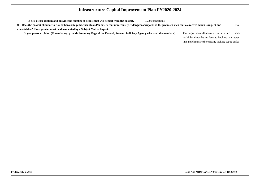| If yes, please explain and provide the number of people that will benefit from the project.                                                                                   | 1500 connections |                                                       |    |
|-------------------------------------------------------------------------------------------------------------------------------------------------------------------------------|------------------|-------------------------------------------------------|----|
| (h) Does the project eliminate a risk or hazard to public health and/or safety that immediately endangers occupants of the premises such that corrective action is urgent and |                  |                                                       | No |
| unavoidable? Emergencies must be documented by a Subject Matter Expert.                                                                                                       |                  |                                                       |    |
| If yes, please explain. (If mandatory, provide Summary Page of the Federal, State or Judiciary Agency who issed the mandate.)                                                 |                  | The project does eliminate a risk or hazard to public |    |
|                                                                                                                                                                               |                  | health by allow the residents to hook up to a sewer   |    |
|                                                                                                                                                                               |                  | line and eliminate the existing leaking septic tanks. |    |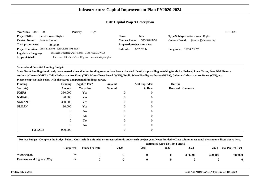| Year/Rank 2023               | 003                                                 | <b>Priority:</b> | High                                                      |                              |              |                                           |                      | ID:15820 |
|------------------------------|-----------------------------------------------------|------------------|-----------------------------------------------------------|------------------------------|--------------|-------------------------------------------|----------------------|----------|
| <b>Project Title:</b>        | Surface Water Rights                                |                  |                                                           | <b>Class:</b>                | <b>New</b>   | <b>Type/Subtype:</b> Water - Water Rights |                      |          |
| <b>Contact Name:</b>         | Jennifer Horton                                     |                  |                                                           | <b>Contact Phone:</b>        | 575-526-3491 | <b>Contact E-mail:</b>                    | jennifer@dawater.org |          |
| <b>Total project cost:</b>   | 900,000                                             |                  |                                                           | Proposed project start date: |              |                                           |                      |          |
|                              | Project Location: Ledesma Drive Las Cruces NM 88007 |                  |                                                           | <b>Latitude:</b>             | 32°23'25 N   | <b>Longitude:</b> $106^{\circ}48'52$ W    |                      |          |
| <b>Legislative Language:</b> | Purchase of surface water rights - Dona Ana MDWCA   |                  |                                                           |                              |              |                                           |                      |          |
| Scope of Work:               |                                                     |                  | Purchase of Surface Water Rights to meet our 40 year plan |                              |              |                                           |                      |          |

**Secured and Potential Funding Budget:**

**State Grant Funding should only be requested when all other funding sources have been exhausted if entity is providing matching funds, i.e. Federal, Local Taxes, Fees, NM FinanceAuthority Loans (NMFA), Tribal Infrastructure Fund (TIF), Water Trust Board (WTB), Public School Facility Authority (PSFA), Colonia's Infrastructure Board (CIB), etc.**

| <b>Funding</b> |               | <b>Funding</b> | <b>Applied For?</b> | Amount         | <b>Amt Expended</b> | Date(s) |                  |
|----------------|---------------|----------------|---------------------|----------------|---------------------|---------|------------------|
| Source(s)      |               | Amount         | <b>Yes or No</b>    | <b>Secured</b> | to Date             |         | Received Comment |
| <b>NMFA</b>    |               | 360,000        | Yes                 | $\overline{0}$ | $\overline{0}$      |         |                  |
| <b>NMFAL</b>   |               | 90,000         | Yes                 | $\overline{0}$ | $\overline{0}$      |         |                  |
| <b>SGRANT</b>  |               | 360,000        | Yes                 | $\overline{0}$ | $\overline{0}$      |         |                  |
| <b>SLOAN</b>   |               | 90,000         | Yes                 | $\overline{0}$ | $\overline{0}$      |         |                  |
|                |               | $\overline{0}$ | N <sub>0</sub>      | $\Omega$       | $\overline{0}$      |         |                  |
|                |               | $\overline{0}$ | N <sub>o</sub>      | $\overline{0}$ | $\overline{0}$      |         |                  |
|                |               | $\overline{0}$ | N <sub>o</sub>      | $\Omega$       | $\overline{0}$      |         |                  |
|                |               | $\overline{0}$ | N <sub>o</sub>      | $\Omega$       | $\overline{0}$      |         |                  |
|                | <b>TOTALS</b> | 900,000        |                     |                |                     |         |                  |

|                                    | Project Budget - Complete the Budget below. Only include unfunded or unsecured funds under each project year. Note: Funded to Date column must equal the amounts listed above here. |                       |      |      |                                       |         |         |                           |  |  |  |
|------------------------------------|-------------------------------------------------------------------------------------------------------------------------------------------------------------------------------------|-----------------------|------|------|---------------------------------------|---------|---------|---------------------------|--|--|--|
|                                    |                                                                                                                                                                                     |                       |      |      | <b>Estimated Costs Not Yet Funded</b> |         |         |                           |  |  |  |
|                                    | Completed                                                                                                                                                                           | <b>Funded to Date</b> | 2020 | 2021 | 2022                                  | 2023    | 2024    | <b>Total Project Cost</b> |  |  |  |
| <b>Water Rights</b>                | No                                                                                                                                                                                  |                       |      |      |                                       | 450,000 | 450,000 | 900,000                   |  |  |  |
| <b>Easements and Rights of Way</b> | N <sub>0</sub>                                                                                                                                                                      |                       |      |      |                                       |         |         |                           |  |  |  |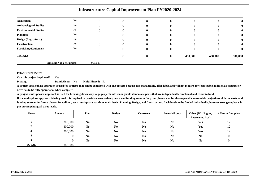|                               | <b>Infrastructure Capital Improvement Plan FY2020-2024</b> |         |          |   |              |              |         |         |  |  |  |  |  |
|-------------------------------|------------------------------------------------------------|---------|----------|---|--------------|--------------|---------|---------|--|--|--|--|--|
|                               |                                                            |         |          |   |              |              |         |         |  |  |  |  |  |
| <b>Acquisition</b>            | No                                                         |         | $\Omega$ |   |              | $\mathbf{0}$ |         |         |  |  |  |  |  |
| <b>Archaeological Studies</b> | No                                                         |         | $\Omega$ |   |              | $\mathbf{0}$ |         |         |  |  |  |  |  |
| <b>Environmental Studies</b>  | No                                                         |         | $\Omega$ |   |              | $\mathbf{0}$ |         |         |  |  |  |  |  |
| <b>Planning</b>               | No                                                         |         | $\Omega$ |   |              | $\mathbf{0}$ |         |         |  |  |  |  |  |
| Design (Engr./Arch.)          | No                                                         |         | $\Omega$ |   |              | o            |         |         |  |  |  |  |  |
| <b>Construction</b>           | No                                                         | 0       | $\Omega$ |   |              | $\mathbf{0}$ |         |         |  |  |  |  |  |
| <b>Furnishing/Equipment</b>   | No                                                         | 0       | $\Omega$ |   |              | $\mathbf{0}$ |         |         |  |  |  |  |  |
| <b>TOTALS</b>                 |                                                            |         | $\Omega$ | o | $\mathbf{0}$ | 450,000      | 450,000 | 900,000 |  |  |  |  |  |
|                               | <b>Amount Not Yet Funded</b>                               | 900,000 |          |   |              |              |         |         |  |  |  |  |  |

 **Can this project be phased?**Yes

**Phasing: Stand Alone:** No**Multi-Phased:** No

**A project single phase approach is used for projects that can be completed with one process because it is manageable, affordable, and will not require any foreseeable additional resources oractivities to be fully operational when complete.**

**A project multi-phased approach is used for breaking down very large projects into manageable standalone parts that are independently functional and easier to fund.**

| <b>Phase</b> | Amount  | Plan           | <b>Design</b>  | Construct      | Furnish/Equip  | Other (Wtr Rights, | # Mos to Complete |
|--------------|---------|----------------|----------------|----------------|----------------|--------------------|-------------------|
|              |         |                |                |                |                | Easements, Acq)    |                   |
|              | 300,000 | N <sub>0</sub> | N <sub>0</sub> | N <sub>0</sub> | N <sub>0</sub> | Yes                | 12                |
| ∠            | 300,000 | N <sub>o</sub> | N <sub>0</sub> | N <sub>0</sub> | N <sub>0</sub> | Yes                | 12                |
|              | 300,000 | N <sub>o</sub> | N <sub>0</sub> | N <sub>0</sub> | N <sub>0</sub> | Yes                | 12                |
|              |         | N <sub>0</sub> | N <sub>0</sub> | N <sub>0</sub> | N <sub>0</sub> | N <sub>o</sub>     |                   |
|              | U       | N <sub>0</sub> | N <sub>0</sub> | N <sub>0</sub> | N <sub>0</sub> | N <sub>0</sub>     |                   |
| <b>TOTAL</b> | 900.000 |                |                |                |                |                    |                   |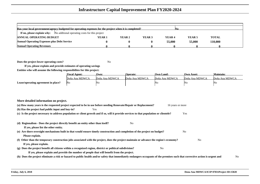| Has your local government/agency budgeted for operating expenses for the project when it is completed?<br>INO. |                   |        |        |                   |                   |              |  |  |  |  |  |
|----------------------------------------------------------------------------------------------------------------|-------------------|--------|--------|-------------------|-------------------|--------------|--|--|--|--|--|
| <b>If no, please explain why:</b> No additional operating costs for this project                               |                   |        |        |                   |                   |              |  |  |  |  |  |
| <b>ANNUAL OPERATING BUDGET</b>                                                                                 | YEAR <sub>1</sub> | YEAR 2 | YEAR 3 | YEAR <sub>4</sub> | YEAR <sub>5</sub> | <b>TOTAL</b> |  |  |  |  |  |
| <b>Annual Operating Expenses plus Debt Service</b>                                                             |                   |        |        | 55,000            | 55,000            | 110,000      |  |  |  |  |  |
| <b>Annual Operating Revenues</b>                                                                               |                   |        |        |                   |                   |              |  |  |  |  |  |

**Does the project lower operating costs?**

<sup>2</sup> No

|                                     | <b>Fiscal Agent:</b> | Own:           | <b>Operate:</b> | <b>Own Land:</b> | <b>Own Asset:</b> | <b>Maintain:</b> |
|-------------------------------------|----------------------|----------------|-----------------|------------------|-------------------|------------------|
|                                     | Doña Ana MDWCA       | Doña Ana MDWCA | Doña Ana MDWCA  | Doña Ana MDWCA   | Doña Ana MDWCA    | Doña Ana MDWCA   |
| Lease/operating agreement in place? | No                   | 'No            |                 | 'NG              | WO.               | 'NG              |

| (a) How many years is the requested project expected to be in use before needing Renovate/Repair or Replacement?                                                              | 16 years or more |                |
|-------------------------------------------------------------------------------------------------------------------------------------------------------------------------------|------------------|----------------|
| (b) Has the project had public input and buy-in?<br>Yes                                                                                                                       |                  |                |
| (c) Is the project necessary to address population or client growth and if so, will it provide services to that population or clientele?                                      | Yes              |                |
| (d) Regionalism - Does the project directly benefit an entity other than itself?<br>No                                                                                        |                  |                |
| If yes, please list the other entity.                                                                                                                                         |                  |                |
| (e) Are there oversight mechanisms built in that would ensure timely construction and completion of the project on budget?                                                    | No               |                |
| Please explain.                                                                                                                                                               |                  |                |
| (f) Other than the temporary construction jobs associated with the project, does the project maintain or advance the region's economy?                                        | N <sub>0</sub>   |                |
| If yes, please explain.                                                                                                                                                       |                  |                |
| (g) Does the project benefit all citizens within a recognized region, district or political subdivision?<br>No                                                                |                  |                |
| If yes, please explain and provide the number of people that will benefit from the project.                                                                                   |                  |                |
| (h) Does the project eliminate a risk or hazard to public health and/or safety that immediately endangers occupants of the premises such that corrective action is urgent and |                  | N <sub>o</sub> |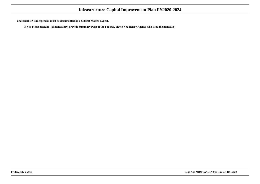**unavoidable? Emergencies must be documented by a Subject Matter Expert.**

**If yes, please explain. (If mandatory, provide Summary Page of the Federal, State or Judiciary Agency who issed the mandate.)**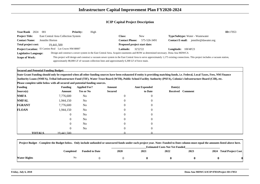| <b>Year/Rank</b><br>2024          | -001                                                                                         | <b>Priority:</b> | High |                              |                                                                                                                                 |                                         |                                                                                                                                                                                  | ID:17053 |  |
|-----------------------------------|----------------------------------------------------------------------------------------------|------------------|------|------------------------------|---------------------------------------------------------------------------------------------------------------------------------|-----------------------------------------|----------------------------------------------------------------------------------------------------------------------------------------------------------------------------------|----------|--|
| <b>Project Title:</b>             | East Central Area Collection System                                                          |                  |      | Class:                       | New                                                                                                                             | <b>Type/Subtype:</b> Water - Wastewater |                                                                                                                                                                                  |          |  |
| <b>Contact Name:</b>              | Jennifer Horton                                                                              |                  |      | <b>Contact Phone:</b>        | 575-526-3491                                                                                                                    | <b>Contact E-mail:</b>                  | jennifer@dawater.org                                                                                                                                                             |          |  |
| Total project cost:<br>19.441.500 |                                                                                              |                  |      | Proposed project start date: |                                                                                                                                 |                                         |                                                                                                                                                                                  |          |  |
|                                   | Project Location: El Camino Real Las Cruces NM 88007                                         |                  |      | <b>Latitude:</b>             | 32'22'22                                                                                                                        | 106'48'23<br><b>Longitude:</b>          |                                                                                                                                                                                  |          |  |
| <b>Legislative Language:</b>      |                                                                                              |                  |      |                              | Design and construct a sewer system in the East Central Area. Acquire easements and ROW as determined necessary. Dona Ana MDWCA |                                         |                                                                                                                                                                                  |          |  |
| <b>Scope of Work:</b>             |                                                                                              |                  |      |                              |                                                                                                                                 |                                         | This project will design and construct a vacuum sewer system in the East Central Area to serve approximately 1,175 existing connections. This project includes a vacuum station, |          |  |
|                                   | approximately 88,000 LF of vacuum collection lines and approximately 6,300 LF of force main. |                  |      |                              |                                                                                                                                 |                                         |                                                                                                                                                                                  |          |  |

**Secured and Potential Funding Budget:**

 **State Grant Funding should only be requested when all other funding sources have been exhausted if entity is providing matching funds, i.e. Federal, Local Taxes, Fees, NM FinanceAuthority Loans (NMFA), Tribal Infrastructure Fund (TIF), Water Trust Board (WTB), Public School Facility Authority (PSFA), Colonia's Infrastructure Board (CIB), etc.**

| <b>Funding</b> |               | <b>Funding</b> | <b>Applied For?</b> | Amount           | <b>Amt Expended</b> | Date(s)          |  |
|----------------|---------------|----------------|---------------------|------------------|---------------------|------------------|--|
| Source(s)      |               | Amount         | <b>Yes or No</b>    | <b>Secured</b>   | to Date             | Received Comment |  |
| <b>NMFA</b>    |               | 7,776,600      | No                  | $\boldsymbol{0}$ | $\overline{0}$      |                  |  |
| <b>NMFAL</b>   |               | 1,944,150      | No                  | $\overline{0}$   | $\overline{0}$      |                  |  |
| <b>FGRANT</b>  |               | 7,776,600      | No                  | $\overline{0}$   | $\overline{0}$      |                  |  |
| <b>FLOAN</b>   |               | 1,944,150      | No                  | $\overline{0}$   | $\overline{0}$      |                  |  |
|                |               | $\overline{0}$ | No                  | $\overline{0}$   | $\overline{0}$      |                  |  |
|                |               | $\overline{0}$ | No                  | $\overline{0}$   | $\overline{0}$      |                  |  |
|                |               | $\overline{0}$ | No                  | $\overline{0}$   | $\overline{0}$      |                  |  |
|                |               | $\overline{0}$ | N <sub>o</sub>      | $\overline{0}$   | $\overline{0}$      |                  |  |
|                | <b>TOTALS</b> | 19.441.500     |                     |                  |                     |                  |  |

|              | Project Budget - Complete the Budget below. Only include unfunded or unsecured funds under each project year. Note: Funded to Date column must equal the amounts listed above here. |                       |             |      |                                       |      |                         |  |
|--------------|-------------------------------------------------------------------------------------------------------------------------------------------------------------------------------------|-----------------------|-------------|------|---------------------------------------|------|-------------------------|--|
|              |                                                                                                                                                                                     |                       |             |      | <b>Estimated Costs Not Yet Funded</b> |      |                         |  |
|              | Completed                                                                                                                                                                           | <b>Funded to Date</b> | <b>2020</b> | 2021 | 2022                                  | 2023 | 2024 Total Project Cost |  |
| Water Rights | No                                                                                                                                                                                  |                       |             |      |                                       |      |                         |  |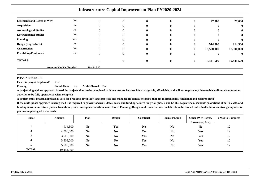|                                    | <b>Infrastructure Capital Improvement Plan FY2020-2024</b> |            |          |   |              |          |            |            |  |  |  |  |  |
|------------------------------------|------------------------------------------------------------|------------|----------|---|--------------|----------|------------|------------|--|--|--|--|--|
| <b>Easements and Rights of Way</b> | No                                                         |            | $\Omega$ | 0 | $\mathbf{0}$ | $\bf{0}$ | 27,000     | 27,000     |  |  |  |  |  |
| <b>Acquisition</b>                 | No                                                         |            | $_{0}$   | 0 |              | 0        |            |            |  |  |  |  |  |
| <b>Archaeological Studies</b>      | No                                                         |            | $\theta$ |   |              |          |            |            |  |  |  |  |  |
| <b>Environmental Studies</b>       | No                                                         |            | 0        |   |              |          |            |            |  |  |  |  |  |
| <b>Planning</b>                    | Yes                                                        |            | 0        | o |              | 0        |            |            |  |  |  |  |  |
| Design (Engr./Arch.)               | No                                                         |            | 0        | o | $\mathbf{0}$ | $\bf{0}$ | 914,500    | 914,500    |  |  |  |  |  |
| <b>Construction</b>                | No                                                         |            | 0        | 0 | 0            | $\bf{0}$ | 18,500,000 | 18,500,000 |  |  |  |  |  |
| <b>Furnishing/Equipment</b>        | No                                                         |            | $\Omega$ | 0 | $\mathbf{0}$ | $\bf{0}$ |            |            |  |  |  |  |  |
| <b>TOTALS</b>                      |                                                            |            | $\Omega$ | 0 | $\mathbf{0}$ | $\bf{0}$ | 19,441,500 | 19,441,500 |  |  |  |  |  |
|                                    | <b>Amount Not Yet Funded</b>                               | 19.441.500 |          |   |              |          |            |            |  |  |  |  |  |

 **Can this project be phased?**Yes

**Phasing: Stand Alone:** No**Multi-Phased:** Yes

**A project single phase approach is used for projects that can be completed with one process because it is manageable, affordable, and will not require any foreseeable additional resources oractivities to be fully operational when complete.**

**A project multi-phased approach is used for breaking down very large projects into manageable standalone parts that are independently functional and easier to fund.**

| <b>Phase</b>  | Amount     | Plan           | <b>Design</b>  | Construct      | Furnish/Equip  | Other (Wtr Rights,<br>Easements, Acq) | # Mos to Complete |
|---------------|------------|----------------|----------------|----------------|----------------|---------------------------------------|-------------------|
|               | 914,500    | N <sub>0</sub> | Yes            | N <sub>0</sub> | N <sub>0</sub> | N <sub>0</sub>                        | 12                |
| $\rightarrow$ | 4,006,000  | N <sub>0</sub> | N <sub>0</sub> | Yes            | N <sub>0</sub> | Yes                                   | 12                |
|               | 3,505,000  | N <sub>0</sub> | N <sub>0</sub> | Yes            | N <sub>0</sub> | Yes                                   | 12                |
|               | 5,508,000  | N <sub>0</sub> | N <sub>0</sub> | Yes            | N <sub>0</sub> | Yes                                   | 12                |
|               | 5,508,000  | N <sub>0</sub> | N <sub>0</sub> | <b>Yes</b>     | N <sub>0</sub> | Yes                                   | 12                |
| <b>TOTAL</b>  | 19.441.500 |                |                |                |                |                                       |                   |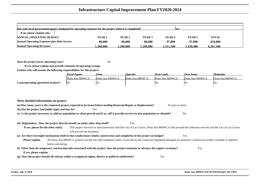| Has your local government/agency budgeted for operating expenses for the project when it is completed?<br><b>Nes</b> |               |           |                   |                   |          |              |  |  |  |  |  |
|----------------------------------------------------------------------------------------------------------------------|---------------|-----------|-------------------|-------------------|----------|--------------|--|--|--|--|--|
| If no, please explain why:                                                                                           |               |           |                   |                   |          |              |  |  |  |  |  |
| <b>ANNUAL OPERATING BUDGET</b>                                                                                       | <b>YEAR 1</b> | YEAR 2    | YEAR <sub>3</sub> | YEAR <sub>4</sub> | YEAR 5   | <b>TOTAL</b> |  |  |  |  |  |
| <b>Annual Operating Expenses plus Debt Service</b>                                                                   | 80,000        | 80,000    | 80,000            | 97,000            | 97,000   | 434,000      |  |  |  |  |  |
| <b>Annual Operating Revenues</b>                                                                                     | .200.000      | 1.200.000 | .200.000          | 1.311.100         | .350.400 | 6.261.500    |  |  |  |  |  |

**Does the project lower operating costs?**<sup>2</sup> No

|                                     | <b>Fiscal Agent:</b> | Own:           | Operate:       | <b>Own Land:</b> | Own Asset:     | Maintain:      |
|-------------------------------------|----------------------|----------------|----------------|------------------|----------------|----------------|
|                                     | Doña Ana MDWCA       | Doña Ana MDWCA | Doña Ana MDWCA | Dona Ana MDWCA   | Dona Ana MDWCA | Dona Ana MDWCA |
| Lease/operating agreement in place? | No                   | 'No            |                | 'Nο              | IN G           | INC            |

| More detailed information on project.                                                                                                                                                         |
|-----------------------------------------------------------------------------------------------------------------------------------------------------------------------------------------------|
| (a) How many years is the requested project expected to be in use before needing Renovate/Repair or Replacement?<br>16 years or more                                                          |
| (b) Has the project had public input and buy-in?<br>Yes                                                                                                                                       |
| (c) Is the project necessary to address population or client growth and if so, will it provide services to that population or clientele?<br>N <sub>0</sub>                                    |
|                                                                                                                                                                                               |
| Yes<br>(d) Regionalism - Does the project directly benefit an entity other than itself?                                                                                                       |
| This project involves in interconnection with the City of Las Cruces. Dona Ana MDWCA will provide the collection services and the City of Las Cruces<br>If yes, please list the other entity. |
| will provide the treatment.                                                                                                                                                                   |
| (e) Are there oversight mechanisms built in that would ensure timely construction and completion of the project on budget?<br>Yes                                                             |
| All Dona Ana MDWCA projects are bid out with completion dates, if not met by the contractor liquidated damaged are assessed. Construction project schedule is required<br>Please explain.     |
| before and during                                                                                                                                                                             |
| (f) Other than the temporary construction jobs associated with the project, does the project maintain or advance the region's economy?<br>Yes                                                 |
| If yes, please explain.                                                                                                                                                                       |
| Does the project benefit all citizens within a recognized region, district or political subdivision?<br>Yes<br>$\left( \mathbf{g} \right)$                                                    |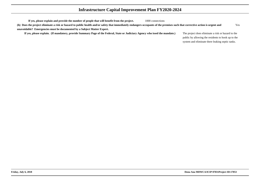| If yes, please explain and provide the number of people that will benefit from the project.                                                                                   | 1000 connections |                                                    |     |
|-------------------------------------------------------------------------------------------------------------------------------------------------------------------------------|------------------|----------------------------------------------------|-----|
| (h) Does the project eliminate a risk or hazard to public health and/or safety that immediately endangers occupants of the premises such that corrective action is urgent and |                  |                                                    | Yes |
| unavoidable? Emergencies must be documented by a Subject Matter Expert.                                                                                                       |                  |                                                    |     |
| If yes, please explain. (If mandatory, provide Summary Page of the Federal, State or Judiciary Agency who issed the mandate.)                                                 |                  | The project does eliminate a risk or hazard to the |     |
|                                                                                                                                                                               |                  | public by allowing the residents to hook up to the |     |
|                                                                                                                                                                               |                  | system and eliminate there leaking septic tanks.   |     |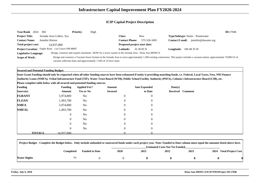| <b>Year/Rank</b><br>2024 | 002                                               | <b>Priority:</b> | High                                                                                                  |                       |                              |                                                                                                                                                                                      | ID:17046 |
|--------------------------|---------------------------------------------------|------------------|-------------------------------------------------------------------------------------------------------|-----------------------|------------------------------|--------------------------------------------------------------------------------------------------------------------------------------------------------------------------------------|----------|
| <b>Project Title:</b>    | Jornada Area Collect. Sys.                        |                  |                                                                                                       | <b>Class:</b>         | <b>New</b>                   | <b>Type/Subtype:</b> Water - Wastewater                                                                                                                                              |          |
| <b>Contact Name:</b>     | Jennifer Horton                                   |                  |                                                                                                       | <b>Contact Phone:</b> | 575-526-3491                 | jennifer@dawater.org<br><b>Contact E-mail:</b>                                                                                                                                       |          |
| Total project cost:      | 14,937,000                                        |                  |                                                                                                       |                       | Proposed project start date: |                                                                                                                                                                                      |          |
|                          | Project Location: Engler Road Las Cruces NM 88007 |                  |                                                                                                       | Latitude:             | 32 20 05 N                   | <b>Longitude:</b> $1064835W$                                                                                                                                                         |          |
| Legislative Language:    |                                                   |                  | Design, construct and acquire easements / ROW for a sewer system in the Jornada Area - Dona Ana MDWCA |                       |                              |                                                                                                                                                                                      |          |
| Scope of Work:           |                                                   |                  |                                                                                                       |                       |                              | Design and construct a Vacuum Sewer System in the Jornada Area to serve approximately 1,500 existing connections. This project includes a vacuum station, approximately 79,000 LF of |          |
|                          |                                                   |                  | vacuum collection lines and approximately 7,100 LF of force main.                                     |                       |                              |                                                                                                                                                                                      |          |

**Secured and Potential Funding Budget:**

 **State Grant Funding should only be requested when all other funding sources have been exhausted if entity is providing matching funds, i.e. Federal, Local Taxes, Fees, NM FinanceAuthority Loans (NMFA), Tribal Infrastructure Fund (TIF), Water Trust Board (WTB), Public School Facility Authority (PSFA), Colonia's Infrastructure Board (CIB), etc.**

| <b>Funding</b> |               | <b>Funding</b> | <b>Applied For?</b> | Amount         | <b>Amt Expended</b> | Date(s)          |  |
|----------------|---------------|----------------|---------------------|----------------|---------------------|------------------|--|
| Source(s)      |               | Amount         | <b>Yes or No</b>    | <b>Secured</b> | to Date             | Received Comment |  |
| <b>FGRANT</b>  |               | 5,974,800      | No                  | $\overline{0}$ | $\overline{0}$      |                  |  |
| <b>FLOAN</b>   |               | 1,493,700      | No                  | 0              | $\overline{0}$      |                  |  |
| <b>NMFA</b>    |               | 5,974,800      | No                  | $\overline{0}$ | $\overline{0}$      |                  |  |
| <b>NMFAL</b>   |               | 1,493,700      | N <sub>o</sub>      | $\mathbf{0}$   | $\overline{0}$      |                  |  |
|                |               | $\overline{0}$ | N <sub>o</sub>      | $\theta$       | $\overline{0}$      |                  |  |
|                |               | $\overline{0}$ | N <sub>o</sub>      | $\overline{0}$ | $\overline{0}$      |                  |  |
|                |               | 0              | N <sub>o</sub>      | $\theta$       | $\overline{0}$      |                  |  |
|                |               | $\overline{0}$ | N <sub>o</sub>      | $\overline{0}$ | $\overline{0}$      |                  |  |
|                | <b>TOTALS</b> | 14.937.000     |                     |                |                     |                  |  |

|              | Project Budget - Complete the Budget below. Only include unfunded or unsecured funds under each project year. Note: Funded to Date column must equal the amounts listed above here. |                       |                                       |      |      |      |                         |  |  |  |
|--------------|-------------------------------------------------------------------------------------------------------------------------------------------------------------------------------------|-----------------------|---------------------------------------|------|------|------|-------------------------|--|--|--|
|              |                                                                                                                                                                                     |                       | <b>Estimated Costs Not Yet Funded</b> |      |      |      |                         |  |  |  |
|              | Completed                                                                                                                                                                           | <b>Funded to Date</b> | <b>2020</b>                           | 2021 | 2022 | 2023 | 2024 Total Project Cost |  |  |  |
| Water Rights | N0                                                                                                                                                                                  |                       |                                       |      |      |      |                         |  |  |  |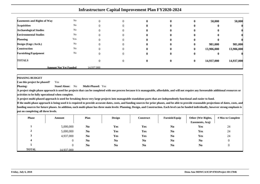|                                    | <b>Infrastructure Capital Improvement Plan FY2020-2024</b> |            |  |              |              |              |            |            |  |  |  |  |  |
|------------------------------------|------------------------------------------------------------|------------|--|--------------|--------------|--------------|------------|------------|--|--|--|--|--|
| <b>Easements and Rights of Way</b> | No                                                         |            |  |              | $\mathbf 0$  | O            | 50,000     | 50,000     |  |  |  |  |  |
| <b>Acquisition</b>                 | No                                                         |            |  |              |              |              |            |            |  |  |  |  |  |
| <b>Archaeological Studies</b>      | No                                                         |            |  |              |              |              |            |            |  |  |  |  |  |
| <b>Environmental Studies</b>       | No                                                         |            |  |              |              |              |            |            |  |  |  |  |  |
| <b>Planning</b>                    | Yes                                                        |            |  |              |              |              |            |            |  |  |  |  |  |
| Design (Engr./Arch.)               | No                                                         |            |  | $\mathbf{u}$ | $\mathbf{0}$ | $\bf{0}$     | 981,000    | 981,000    |  |  |  |  |  |
| Construction                       | No                                                         |            |  |              | $\mathbf{0}$ | $\mathbf{0}$ | 13,906,000 | 13,906,000 |  |  |  |  |  |
| <b>Furnishing/Equipment</b>        | No                                                         |            |  |              | 0            | U            | 0          |            |  |  |  |  |  |
| <b>TOTALS</b>                      |                                                            |            |  | 0            | 0            | $\bf{0}$     | 14,937,000 | 14,937,000 |  |  |  |  |  |
|                                    | <b>Amount Not Yet Funded</b>                               | 14,937,000 |  |              |              |              |            |            |  |  |  |  |  |

 **Can this project be phased?**Yes

**Phasing: Stand Alone:** No**Multi-Phased:** Yes

**A project single phase approach is used for projects that can be completed with one process because it is manageable, affordable, and will not require any foreseeable additional resources oractivities to be fully operational when complete.**

**A project multi-phased approach is used for breaking down very large projects into manageable standalone parts that are independently functional and easier to fund.**

| <b>Phase</b>  | Amount     | Plan           | <b>Design</b>  | Construct      | Furnish/Equip  | Other (Wtr Rights,<br>Easements, Acq) | # Mos to Complete |
|---------------|------------|----------------|----------------|----------------|----------------|---------------------------------------|-------------------|
|               | 5,000,000  | N <sub>0</sub> | Yes            | Yes            | No             | Yes                                   | 24                |
| $\rightarrow$ | 5,000,000  | N <sub>0</sub> | Yes            | Yes            | N <sub>0</sub> | Yes                                   | 24                |
|               | 4,937,000  | N <sub>0</sub> | Yes            | Yes            | N <sub>0</sub> | Yes                                   | 24                |
|               |            | N <sub>0</sub> | N <sub>0</sub> | N <sub>0</sub> | N <sub>0</sub> | N <sub>0</sub>                        |                   |
|               |            | N <sub>0</sub> | N <sub>0</sub> | N <sub>0</sub> | N <sub>0</sub> | N <sub>0</sub>                        |                   |
| <b>TOTAL</b>  | 14.937.000 |                |                |                |                |                                       |                   |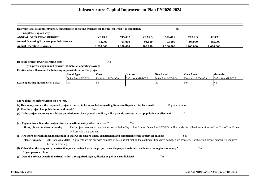| Has your local government/agency budgeted for operating expenses for the project when it is completed?<br><b>Nes</b> |                   |          |                   |          |                   |              |  |  |  |  |  |  |
|----------------------------------------------------------------------------------------------------------------------|-------------------|----------|-------------------|----------|-------------------|--------------|--|--|--|--|--|--|
| If no, please explain why:                                                                                           |                   |          |                   |          |                   |              |  |  |  |  |  |  |
| <b>ANNUAL OPERATING BUDGET</b>                                                                                       | YEAR <sub>1</sub> | YEAR 2   | YEAR <sub>3</sub> | YEAR 4   | YEAR <sub>5</sub> | <b>TOTAL</b> |  |  |  |  |  |  |
| <b>Annual Operating Expenses plus Debt Service</b>                                                                   | 93,000            | 93,000   | 93,000            | 93,000   | 93,000            | 465,000      |  |  |  |  |  |  |
| <b>Annual Operating Revenues</b>                                                                                     | .200.000          | .200.000 | 1.200.000         | .200.000 | .200.000          | 6.000.000    |  |  |  |  |  |  |

**Does the project lower operating costs?**<sup>2</sup> No

|                                     | <b>Fiscal Agent:</b> | Own:           | Operate:       | <b>Own Land:</b> | <b>Own Asset:</b> | Maintain:      |
|-------------------------------------|----------------------|----------------|----------------|------------------|-------------------|----------------|
|                                     | Doña Ana MDWCA       | Doña Ana MDWCA | Doña Ana MDWCA | Doña Ana MDWCA   | Doña Ana MDWCA    | Doña Ana MDWCA |
| Lease/operating agreement in place? | - No                 | No             |                | No               | IN G              | 'NG            |

| More detailed information on project.                                                                                                                                                         |                |
|-----------------------------------------------------------------------------------------------------------------------------------------------------------------------------------------------|----------------|
| (a) How many years is the requested project expected to be in use before needing Renovate/Repair or Replacement?<br>16 years or more                                                          |                |
| (b) Has the project had public input and buy-in?<br>Yes                                                                                                                                       |                |
| (c) Is the project necessary to address population or client growth and if so, will it provide services to that population or clientele?                                                      | N <sub>0</sub> |
|                                                                                                                                                                                               |                |
| (d) Regionalism - Does the project directly benefit an entity other than itself?<br>Yes                                                                                                       |                |
| This project involves in interconnection with the City of Las Cruces. Dona Ana MDWCA will provide the collection services and the City of Las Cruces<br>If yes, please list the other entity. |                |
| will provide the treatment.                                                                                                                                                                   |                |
| (e) Are there oversight mechanisms built in that would ensure timely construction and completion of the project on budget?                                                                    | Yes            |
| All Dona Ana MDWCA projects are bid out with completion dates, if not met by the contractor liquidated damaged are assessed. Construction project schedule is required<br>Please explain.     |                |
| before and during                                                                                                                                                                             |                |
| (f) Other than the temporary construction jobs associated with the project, does the project maintain or advance the region's economy?                                                        | Yes            |
| If yes, please explain.                                                                                                                                                                       |                |
| (g) Does the project benefit all citizens within a recognized region, district or political subdivision?<br>Yes                                                                               |                |
|                                                                                                                                                                                               |                |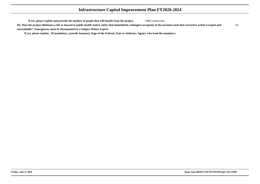**If yes, please explain and provide the number of people that will benefit from the project.**1000 connections

**(h) Does the project eliminate a risk or hazard to public health and/or safety that immediately endangers occupants of the premises such that corrective action is urgent andunavoidable? Emergencies must be documented by a Subject Matter Expert.**No

**If yes, please explain. (If mandatory, provide Summary Page of the Federal, State or Judiciary Agency who issed the mandate.)**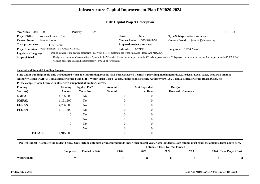| Year/Rank 2024               | 003                               | <b>Priority:</b> | High                                                                                                   |                              |                    |                                                                                                                                                                                     | ID:15738 |
|------------------------------|-----------------------------------|------------------|--------------------------------------------------------------------------------------------------------|------------------------------|--------------------|-------------------------------------------------------------------------------------------------------------------------------------------------------------------------------------|----------|
| <b>Project Title:</b>        | Westwind Collect. Sys.            |                  |                                                                                                        | Class:                       | New                | <b>Type/Subtype:</b> Water - Wastewater                                                                                                                                             |          |
| <b>Contact Name:</b>         | Jennifer Horton                   |                  |                                                                                                        | <b>Contact Phone:</b>        | 575-526-3491       | jennifer@dawater.org<br><b>Contact E-mail:</b>                                                                                                                                      |          |
| Total project cost:          | 11.915.000                        |                  |                                                                                                        | Proposed project start date: |                    |                                                                                                                                                                                     |          |
| <b>Project Location:</b>     | Westwind Road Las Cruces NM 88007 |                  |                                                                                                        | <b>Latitude:</b>             | $32^{\circ}21'15N$ | <b>Longitude:</b> $106^{\circ}49'54W$                                                                                                                                               |          |
| <b>Legislative Language:</b> |                                   |                  | Design, construct and acquire easements / ROW for a sewer system in the Westwind Area - Dona Ana MDWCA |                              |                    |                                                                                                                                                                                     |          |
| Scope of Work:               |                                   |                  |                                                                                                        |                              |                    | Design and construct a Vacuum Sewer System in the Westwind Area to serve approximately 600 existing connections. This project includes a vacuum station, approximately 85,000 LF of |          |
|                              |                                   |                  | vacuum collection lines and approximately 7,000 LF of force main.                                      |                              |                    |                                                                                                                                                                                     |          |

**Secured and Potential Funding Budget:**

 **State Grant Funding should only be requested when all other funding sources have been exhausted if entity is providing matching funds, i.e. Federal, Local Taxes, Fees, NM FinanceAuthority Loans (NMFA), Tribal Infrastructure Fund (TIF), Water Trust Board (WTB), Public School Facility Authority (PSFA), Colonia's Infrastructure Board (CIB), etc.**

| <b>Funding</b> |               | <b>Funding</b> | <b>Applied For?</b> | Amount         | <b>Amt Expended</b> | Date(s) |                  |
|----------------|---------------|----------------|---------------------|----------------|---------------------|---------|------------------|
| Source(s)      |               | Amount         | <b>Yes or No</b>    | <b>Secured</b> | to Date             |         | Received Comment |
| <b>NMFA</b>    |               | 4,766,000      | No                  | $\mathbf{0}$   | $\overline{0}$      |         |                  |
| <b>NMFAL</b>   |               | 1,191,500      | No                  | 0              | $\overline{0}$      |         |                  |
| <b>FGRANT</b>  |               | 4,766,000      | No                  | $\mathbf{0}$   | $\overline{0}$      |         |                  |
| <b>FLOAN</b>   |               | 1,191,500      | N <sub>o</sub>      | $\mathbf{0}$   | $\overline{0}$      |         |                  |
|                |               | $\overline{0}$ | N <sub>o</sub>      | $\theta$       | $\overline{0}$      |         |                  |
|                |               | $\overline{0}$ | N <sub>o</sub>      | $\overline{0}$ | $\overline{0}$      |         |                  |
|                |               | 0              | N <sub>o</sub>      | $\theta$       | $\overline{0}$      |         |                  |
|                |               | $\overline{0}$ | N <sub>o</sub>      | $\mathbf{0}$   | $\overline{0}$      |         |                  |
|                | <b>TOTALS</b> | 11.915.000     |                     |                |                     |         |                  |

|              | Project Budget - Complete the Budget below. Only include unfunded or unsecured funds under each project year. Note: Funded to Date column must equal the amounts listed above here. |                       |             |      |                                       |      |                         |  |
|--------------|-------------------------------------------------------------------------------------------------------------------------------------------------------------------------------------|-----------------------|-------------|------|---------------------------------------|------|-------------------------|--|
|              |                                                                                                                                                                                     |                       |             |      | <b>Estimated Costs Not Yet Funded</b> |      |                         |  |
|              | Completed                                                                                                                                                                           | <b>Funded to Date</b> | <b>2020</b> | 2021 | 2022                                  | 2023 | 2024 Total Project Cost |  |
| Water Rights | No                                                                                                                                                                                  |                       |             |      |                                       |      |                         |  |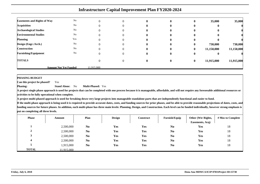|                                    |                              | <b>Infrastructure Capital Improvement Plan FY2020-2024</b> |          |              |              |          |            |            |
|------------------------------------|------------------------------|------------------------------------------------------------|----------|--------------|--------------|----------|------------|------------|
| <b>Easements and Rights of Way</b> | No                           |                                                            | $\Omega$ | $\mathbf{0}$ | 0            | 0        | 35,000     | 35,000     |
| <b>Acquisition</b>                 | No                           |                                                            | $\theta$ | o            |              | o        | ш          |            |
| <b>Archaeological Studies</b>      | No                           |                                                            |          |              |              |          |            |            |
| <b>Environmental Studies</b>       | No                           |                                                            | 0        |              |              |          |            |            |
| <b>Planning</b>                    | Yes                          |                                                            | $\left($ | o            | 0            |          |            |            |
| Design (Engr./Arch.)               | N <sub>o</sub>               |                                                            | $\Omega$ | $\mathbf{0}$ | $\mathbf{0}$ | 0        | 730,000    | 730,000    |
| <b>Construction</b>                | N <sub>o</sub>               |                                                            | 0        | 0            | 0            | $\bf{0}$ | 11,150,000 | 11,150,000 |
| <b>Furnishing/Equipment</b>        | No                           |                                                            | $\Omega$ | o            | 0            | $\bf{0}$ |            |            |
| <b>TOTALS</b>                      |                              |                                                            | $\Omega$ | $\mathbf{0}$ | $\mathbf{0}$ | $\bf{0}$ | 11,915,000 | 11,915,000 |
|                                    | <b>Amount Not Yet Funded</b> | 11.915.000                                                 |          |              |              |          |            |            |

 **Can this project be phased?**Yes

**Phasing: Stand Alone:** No**Multi-Phased:** Yes

**A project single phase approach is used for projects that can be completed with one process because it is manageable, affordable, and will not require any foreseeable additional resources oractivities to be fully operational when complete.**

**A project multi-phased approach is used for breaking down very large projects into manageable standalone parts that are independently functional and easier to fund.**

| <b>Phase</b>       | Amount     | Plan           | <b>Design</b> | Construct  | Furnish/Equip  | Other (Wtr Rights,<br>Easements, Acq) | # Mos to Complete |
|--------------------|------------|----------------|---------------|------------|----------------|---------------------------------------|-------------------|
|                    | 2,500,000  | N <sub>0</sub> | <b>Yes</b>    | Yes        | N <sub>0</sub> | Yes                                   | 18                |
| $\rightarrow$<br>∠ | 2,500,000  | N <sub>0</sub> | Yes           | Yes        | N <sub>0</sub> | Yes                                   | 18                |
|                    | 2,500,000  | N <sub>0</sub> | Yes           | Yes        | N <sub>0</sub> | Yes                                   | 18                |
|                    | 2,500,000  | N <sub>0</sub> | Yes           | Yes        | N <sub>0</sub> | Yes                                   | 18                |
|                    | 1,915,000  | N <sub>0</sub> | Yes           | <b>Yes</b> | N <sub>0</sub> | Yes                                   | 18                |
| <b>TOTAL</b>       | 11.915.000 |                |               |            |                |                                       |                   |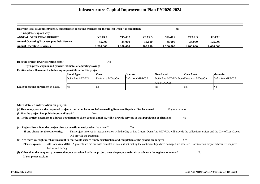| Has your local government/agency budgeted for operating expenses for the project when it is completed? |          |          |          | <b>Yes</b>        |                   |              |  |
|--------------------------------------------------------------------------------------------------------|----------|----------|----------|-------------------|-------------------|--------------|--|
| If no, please explain why:                                                                             |          |          |          |                   |                   |              |  |
| <b>ANNUAL OPERATING BUDGET</b>                                                                         | YEAR 1   | YEAR 2   | YEAR 3   | YEAR <sub>4</sub> | YEAR <sub>5</sub> | <b>TOTAL</b> |  |
| <b>Annual Operating Expenses plus Debt Service</b>                                                     | 35,000   | 35,000   | 35,000   | 35,000            | 35,000            | 175,000      |  |
| <b>Annual Operating Revenues</b>                                                                       | .200.000 | .200.000 | .200.000 | 1.200.000         | 1.200.000         | 6.000.000    |  |

**Does the project lower operating costs?**<sup>2</sup> No

|                                     | <b>Fiscal Agent:</b> | Own:           | <b>Operate:</b> | Own Land:                        | <b>Own Asset:</b> | Maintain:      |
|-------------------------------------|----------------------|----------------|-----------------|----------------------------------|-------------------|----------------|
|                                     | Doña Ana MDWCA       | Doña Ana MDWCA | Doña Ana MDWCA  | Doña Ana MDWCADonaDoña Ana MDWCA |                   | Doña Ana MDWCA |
|                                     |                      |                |                 | Ana MDWCA                        |                   |                |
| Lease/operating agreement in place? | IΝo                  | ING.           |                 | ΙNο                              | No                | No             |

| More detailed information on project.                                                                                                    |                   |                             |     |     |                                                                                                                                                                        |                  |                |                |  |
|------------------------------------------------------------------------------------------------------------------------------------------|-------------------|-----------------------------|-----|-----|------------------------------------------------------------------------------------------------------------------------------------------------------------------------|------------------|----------------|----------------|--|
| (a) How many years is the requested project expected to be in use before needing Renovate/Repair or Replacement?                         |                   |                             |     |     |                                                                                                                                                                        | 16 years or more |                |                |  |
| (b) Has the project had public input and buy-in?                                                                                         |                   |                             | Yes |     |                                                                                                                                                                        |                  |                |                |  |
| (c) Is the project necessary to address population or client growth and if so, will it provide services to that population or clientele? |                   |                             |     |     |                                                                                                                                                                        |                  | N <sub>0</sub> |                |  |
|                                                                                                                                          |                   |                             |     |     |                                                                                                                                                                        |                  |                |                |  |
| (d) Regionalism - Does the project directly benefit an entity other than itself?                                                         |                   |                             |     | Yes |                                                                                                                                                                        |                  |                |                |  |
| If yes, please list the other entity.                                                                                                    |                   |                             |     |     | This project involves in interconnection with the City of Las Cruces. Dona Ana MDWCA will provide the collection services and the City of Las Cruces                   |                  |                |                |  |
|                                                                                                                                          |                   | will provide the treatment. |     |     |                                                                                                                                                                        |                  |                |                |  |
| (e) Are there oversight mechanisms built in that would ensure timely construction and completion of the project on budget?               |                   |                             |     |     |                                                                                                                                                                        |                  | Yes            |                |  |
| Please explain.                                                                                                                          |                   |                             |     |     | All Dona Ana MDWCA projects are bid out with completion dates, if not met by the contractor liquidated damaged are assessed. Construction project schedule is required |                  |                |                |  |
|                                                                                                                                          | before and during |                             |     |     |                                                                                                                                                                        |                  |                |                |  |
| (f) Other than the temporary construction jobs associated with the project, does the project maintain or advance the region's economy?   |                   |                             |     |     |                                                                                                                                                                        |                  |                | N <sub>0</sub> |  |
| If yes, please explain.                                                                                                                  |                   |                             |     |     |                                                                                                                                                                        |                  |                |                |  |
|                                                                                                                                          |                   |                             |     |     |                                                                                                                                                                        |                  |                |                |  |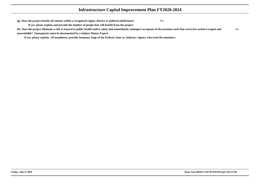**(g) Does the project benefit all citizens within a recognized region, district or political subdivision?**

**If yes, please explain and provide the number of people that will benefit from the project.**

**(h) Does the project eliminate a risk or hazard to public health and/or safety that immediately endangers occupants of the premises such that corrective action is urgent andunavoidable? Emergencies must be documented by a Subject Matter Expert.**No

**If yes, please explain. (If mandatory, provide Summary Page of the Federal, State or Judiciary Agency who issed the mandate.)**

<sup>2</sup> No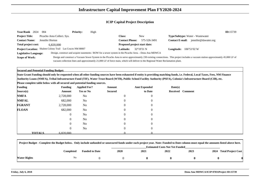| Year/Rank 2024               | -004                                                      | <b>Priority:</b> | High                                                                                                   |                              |                                                                                                                                |                                                                                                                                                                                   | ID:15739 |
|------------------------------|-----------------------------------------------------------|------------------|--------------------------------------------------------------------------------------------------------|------------------------------|--------------------------------------------------------------------------------------------------------------------------------|-----------------------------------------------------------------------------------------------------------------------------------------------------------------------------------|----------|
| <b>Project Title:</b>        | Picacho Area Collect. Sys.                                |                  |                                                                                                        | <b>Class:</b>                | New                                                                                                                            | <b>Type/Subtype:</b> Water - Wastewater                                                                                                                                           |          |
| <b>Contact Name:</b>         | Jennifer Horton                                           |                  |                                                                                                        | <b>Contact Phone:</b>        | 575-526-3491                                                                                                                   | jennifer@dawater.org<br><b>Contact E-mail:</b>                                                                                                                                    |          |
| Total project cost:          | 6.820,000                                                 |                  |                                                                                                        | Proposed project start date: |                                                                                                                                |                                                                                                                                                                                   |          |
|                              | Project Location: Shalem Colony Trail Las Cruces NM 88007 |                  |                                                                                                        | <b>Latitude:</b>             | $32^{\circ}19'31$ N                                                                                                            | <b>Longitude:</b> $106^{\circ}51'02 \text{ W}$                                                                                                                                    |          |
| <b>Legislative Language:</b> |                                                           |                  | Design, construct and acquire easements / ROW for a sewer system in the Picacho Area. - Dona Ana MDWCA |                              |                                                                                                                                |                                                                                                                                                                                   |          |
| <b>Scope of Work:</b>        |                                                           |                  |                                                                                                        |                              |                                                                                                                                | Design and construct a Vacuum Sewer System in the Picacho Area to serve approximately 230 existing connections. This project includes a vacuum station approximately 45,000 LF of |          |
|                              |                                                           |                  |                                                                                                        |                              | vacuum collection lines and approximately 21,000 LF of force main, which will deliver to the Regional Water Reclamation plant. |                                                                                                                                                                                   |          |

**Secured and Potential Funding Budget:**

 **State Grant Funding should only be requested when all other funding sources have been exhausted if entity is providing matching funds, i.e. Federal, Local Taxes, Fees, NM FinanceAuthority Loans (NMFA), Tribal Infrastructure Fund (TIF), Water Trust Board (WTB), Public School Facility Authority (PSFA), Colonia's Infrastructure Board (CIB), etc.**

| <b>Funding</b> |               | <b>Funding</b> | <b>Applied For?</b> | Amount           | <b>Amt Expended</b> | Date(s) |                  |
|----------------|---------------|----------------|---------------------|------------------|---------------------|---------|------------------|
| Source(s)      |               | Amount         | <b>Yes or No</b>    | <b>Secured</b>   | to Date             |         | Received Comment |
| <b>NMFA</b>    |               | 2,728,000      | No                  | $\boldsymbol{0}$ | $\overline{0}$      |         |                  |
| <b>NMFAL</b>   |               | 682,000        | No                  | $\theta$         | $\overline{0}$      |         |                  |
| <b>FGRANT</b>  |               | 2,728,000      | N <sub>o</sub>      | $\theta$         | $\overline{0}$      |         |                  |
| <b>FLOAN</b>   |               | 682,000        | N <sub>o</sub>      | $\mathbf{0}$     | $\overline{0}$      |         |                  |
|                |               | $\overline{0}$ | N <sub>o</sub>      | $\theta$         | $\overline{0}$      |         |                  |
|                |               | $\overline{0}$ | N <sub>o</sub>      | $\overline{0}$   | $\overline{0}$      |         |                  |
|                |               | 0              | N <sub>o</sub>      | $\Omega$         | $\overline{0}$      |         |                  |
|                |               | $\overline{0}$ | N <sub>o</sub>      | $\mathbf{0}$     | $\overline{0}$      |         |                  |
|                | <b>TOTALS</b> | 6.820.000      |                     |                  |                     |         |                  |

|              | Project Budget - Complete the Budget below. Only include unfunded or unsecured funds under each project year. Note: Funded to Date column must equal the amounts listed above here. |                       |                                       |      |      |      |                         |  |  |  |
|--------------|-------------------------------------------------------------------------------------------------------------------------------------------------------------------------------------|-----------------------|---------------------------------------|------|------|------|-------------------------|--|--|--|
|              |                                                                                                                                                                                     |                       | <b>Estimated Costs Not Yet Funded</b> |      |      |      |                         |  |  |  |
|              | Completed                                                                                                                                                                           | <b>Funded to Date</b> | <b>2020</b>                           | 2021 | 2022 | 2023 | 2024 Total Project Cost |  |  |  |
| Water Rights | No                                                                                                                                                                                  |                       |                                       |      |      |      |                         |  |  |  |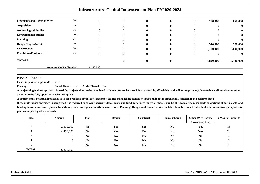|                                    |                              |           | <b>Infrastructure Capital Improvement Plan FY2020-2024</b> |              |              |           |           |
|------------------------------------|------------------------------|-----------|------------------------------------------------------------|--------------|--------------|-----------|-----------|
| <b>Easements and Rights of Way</b> | No                           |           |                                                            | $\mathbf 0$  | O            | 150,000   | 150,000   |
| <b>Acquisition</b>                 | No                           |           |                                                            |              |              | 0         |           |
| <b>Archaeological Studies</b>      | No                           |           |                                                            |              |              |           |           |
| <b>Environmental Studies</b>       | No                           |           |                                                            |              |              |           |           |
| <b>Planning</b>                    | Yes                          |           |                                                            |              |              |           |           |
| Design (Engr./Arch.)               | No                           |           | $\mathbf{u}$                                               | $\mathbf{0}$ | $\mathbf{0}$ | 570,000   | 570,000   |
| Construction                       | No                           |           |                                                            | $\mathbf{0}$ | $\bf{0}$     | 6,100,000 | 6,100,000 |
| <b>Furnishing/Equipment</b>        | No                           |           |                                                            | 0            | U            | 0         |           |
| <b>TOTALS</b>                      |                              |           |                                                            | 0            | $\bf{0}$     | 6,820,000 | 6,820,000 |
|                                    | <b>Amount Not Yet Funded</b> | 6.820,000 |                                                            |              |              |           |           |

 **Can this project be phased?**Yes

**Phasing: Stand Alone:** No**Multi-Phased:** Yes

**A project single phase approach is used for projects that can be completed with one process because it is manageable, affordable, and will not require any foreseeable additional resources oractivities to be fully operational when complete.**

**A project multi-phased approach is used for breaking down very large projects into manageable standalone parts that are independently functional and easier to fund.**

| <b>Phase</b>   | Amount    | Plan           | <b>Design</b>  | Construct      | <b>Furnish/Equip</b> | Other (Wtr Rights,<br>Easements, Acq) | # Mos to Complete |
|----------------|-----------|----------------|----------------|----------------|----------------------|---------------------------------------|-------------------|
|                | 2,370,000 | N <sub>0</sub> | Yes            | Yes            | No                   | Yes                                   | 18                |
| $\overline{v}$ | 4,450,000 | N <sub>0</sub> | Yes            | Yes            | N <sub>0</sub>       | Yes                                   | 24                |
|                |           | N <sub>0</sub> | N <sub>0</sub> | N <sub>0</sub> | N <sub>0</sub>       | N <sub>0</sub>                        | $\theta$          |
|                |           | N <sub>0</sub> | N <sub>0</sub> | N <sub>0</sub> | N <sub>0</sub>       | N <sub>0</sub>                        |                   |
|                |           | N <sub>0</sub> | N <sub>0</sub> | N <sub>0</sub> | N <sub>0</sub>       | N <sub>0</sub>                        |                   |
| <b>TOTAL</b>   | 6.820,000 |                |                |                |                      |                                       |                   |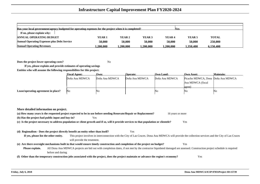| Has your local government/agency budgeted for operating expenses for the project when it is completed?<br>lY es |               |           |                   |                   |          |              |  |  |  |  |
|-----------------------------------------------------------------------------------------------------------------|---------------|-----------|-------------------|-------------------|----------|--------------|--|--|--|--|
| If no, please explain why:                                                                                      |               |           |                   |                   |          |              |  |  |  |  |
| <b>ANNUAL OPERATING BUDGET</b>                                                                                  | <b>YEAR 1</b> | YEAR 2    | YEAR <sub>3</sub> | YEAR <sub>4</sub> | YEAR 5   | <b>TOTAL</b> |  |  |  |  |
| <b>Annual Operating Expenses plus Debt Service</b>                                                              | 50,000        | 50,000    | 50.000            | 50,000            | 50,000   | 250,000      |  |  |  |  |
| <b>Annual Operating Revenues</b>                                                                                | .200.000      | 1.200.000 | .200.000          | .200.000          | .350.400 | 6.150.400    |  |  |  |  |

**Does the project lower operating costs?**<sup>2</sup> No

**If yes, please explain and provide estimates of operating savingsEntities who will assume the following responsibilites for this project:**

|                                     | <b>Fiscal Agent:</b> | Own:           | <b>Operate:</b> | Own Land:      | <b>Own Asset:</b>                  | <b>Maintain:</b> |
|-------------------------------------|----------------------|----------------|-----------------|----------------|------------------------------------|------------------|
|                                     | Doña Ana MDWCA       | Doña Ana MDWCA | Doña Ana MDWCA  | Doña Ana MDWCA | Picacho MDWCA, Dona Doña Ana MDWCA |                  |
|                                     |                      |                |                 |                | Ana MDWCA (fiscal                  |                  |
|                                     |                      |                |                 |                | agent)                             |                  |
| Lease/operating agreement in place? | No                   | N <sub>0</sub> |                 | No             | No                                 | No               |

**More detailed information on project.(a) How many years is the requested project expected to be in use before needing Renovate/Repair or Replacement?** 16 years or more **(b) Has the project had public input and buy-in?** Yes **(c) Is the project necessary to address population or client growth and if so, will it provide services to that population or clientele?** Yes **(d) Regionalism - Does the project directly benefit an entity other than itself?** Yes **If yes, please list the other entity.** This project involves in interconnection with the City of Las Cruces. Dona Ana MDWCA will provide the collection services and the City of Las Cruceswill provide the treatment.**(e) Are there oversight mechanisms built in that would ensure timely construction and completion of the project on budget?** Yes **Please explain.** All Dona Ana MDWCA projects are bid out with completion dates, if not met by the contractor liquidated damaged are assessed. Construction project schedule is requiredbefore and during **(f) Other than the temporary construction jobs associated with the project, does the project maintain or advance the region's economy?**Yes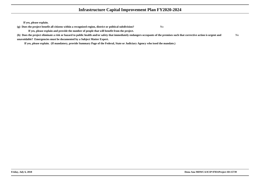**If yes, please explain.**

**(g) Does the project benefit all citizens within a recognized region, district or political subdivision?**

<sup>2</sup> No

**If yes, please explain and provide the number of people that will benefit from the project.**

**(h) Does the project eliminate a risk or hazard to public health and/or safety that immediately endangers occupants of the premises such that corrective action is urgent andunavoidable? Emergencies must be documented by a Subject Matter Expert.**No

**If yes, please explain. (If mandatory, provide Summary Page of the Federal, State or Judiciary Agency who issed the mandate.)**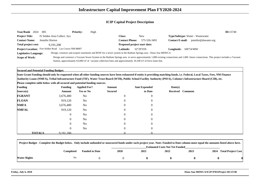| Year/Rank 2024               | 005                                                    | <b>Priority:</b> | High                                                                                                        |                              |                                                                                                                |                                                                                                                                                                                      | ID:15740 |
|------------------------------|--------------------------------------------------------|------------------|-------------------------------------------------------------------------------------------------------------|------------------------------|----------------------------------------------------------------------------------------------------------------|--------------------------------------------------------------------------------------------------------------------------------------------------------------------------------------|----------|
| <b>Project Title:</b>        | Ft Selden Area Collect. Sys.                           |                  |                                                                                                             | <b>Class:</b>                | <b>New</b>                                                                                                     | <b>Type/Subtype:</b> Water - Wastewater                                                                                                                                              |          |
| <b>Contact Name:</b>         | Jennifer Horton                                        |                  |                                                                                                             | <b>Contact Phone:</b>        | 575-526-3491                                                                                                   | <b>Contact E-mail:</b> iennifer@dawater.org                                                                                                                                          |          |
| Total project cost:          | 9.191.200                                              |                  |                                                                                                             | Proposed project start date: |                                                                                                                |                                                                                                                                                                                      |          |
|                              | Project Location: Fort Selden Road Las Cruces NM 88007 |                  |                                                                                                             | Latitude:                    | $32^{\circ}29'35N$                                                                                             | <b>Longitude:</b> $106^{\circ}54'40W$                                                                                                                                                |          |
| <b>Legislative Language:</b> |                                                        |                  |                                                                                                             |                              | Design, construct and acquire easements and ROW for a sewer system in the Radium Springs area - Dona Ana MDWCA |                                                                                                                                                                                      |          |
| <b>Scope of Work:</b>        |                                                        |                  |                                                                                                             |                              |                                                                                                                | Design and construct a Vacuum Sewer System in the Radium Springs area to serve approximately 1,000 existing connections and 1,000 future connections. This project includes a Vacuum |          |
|                              |                                                        |                  | Station, approximately 63,000 LF of vacuum collection lines and approximately 10,100 LF of force main line. |                              |                                                                                                                |                                                                                                                                                                                      |          |

**Secured and Potential Funding Budget:**

 **State Grant Funding should only be requested when all other funding sources have been exhausted if entity is providing matching funds, i.e. Federal, Local Taxes, Fees, NM FinanceAuthority Loans (NMFA), Tribal Infrastructure Fund (TIF), Water Trust Board (WTB), Public School Facility Authority (PSFA), Colonia's Infrastructure Board (CIB), etc.**

| <b>Funding</b> | <b>Funding</b>             | <b>Applied For?</b>              | Amount         | <b>Amt Expended</b> | Date(s) |                  |
|----------------|----------------------------|----------------------------------|----------------|---------------------|---------|------------------|
| Source(s)      | Amount                     | <b>Yes or No</b>                 | <b>Secured</b> | to Date             |         | Received Comment |
| <b>FGRANT</b>  | 3,676,480                  | No                               | $\mathbf{0}$   | $\overline{0}$      |         |                  |
| <b>FLOAN</b>   | 919,120                    | No                               | 0              | $\overline{0}$      |         |                  |
| <b>NMFA</b>    | 3,676,480                  | No                               | $\mathbf{0}$   | $\overline{0}$      |         |                  |
| <b>NMFAL</b>   | 919,120                    | N <sub>o</sub>                   | $\mathbf{0}$   | $\overline{0}$      |         |                  |
|                |                            | N <sub>o</sub><br>$\overline{0}$ | $\theta$       | $\overline{0}$      |         |                  |
|                |                            | N <sub>o</sub><br>$\overline{0}$ | $\overline{0}$ | $\overline{0}$      |         |                  |
|                |                            | N <sub>o</sub><br>0              | $\theta$       | $\overline{0}$      |         |                  |
|                |                            | N <sub>o</sub><br>$\overline{0}$ | $\mathbf{0}$   | $\overline{0}$      |         |                  |
|                | <b>TOTALS</b><br>9.191.200 |                                  |                |                     |         |                  |

|              | Project Budget - Complete the Budget below. Only include unfunded or unsecured funds under each project year. Note: Funded to Date column must equal the amounts listed above here. |                       |                                       |      |      |      |                         |  |  |  |
|--------------|-------------------------------------------------------------------------------------------------------------------------------------------------------------------------------------|-----------------------|---------------------------------------|------|------|------|-------------------------|--|--|--|
|              |                                                                                                                                                                                     |                       | <b>Estimated Costs Not Yet Funded</b> |      |      |      |                         |  |  |  |
|              | Completed                                                                                                                                                                           | <b>Funded to Date</b> | <b>2020</b>                           | 2021 | 2022 | 2023 | 2024 Total Project Cost |  |  |  |
| Water Rights | No                                                                                                                                                                                  |                       |                                       |      |      |      |                         |  |  |  |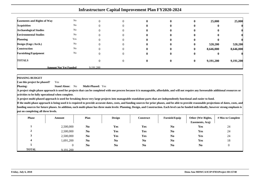|                                    | <b>Infrastructure Capital Improvement Plan FY2020-2024</b> |           |              |   |              |          |           |           |  |  |
|------------------------------------|------------------------------------------------------------|-----------|--------------|---|--------------|----------|-----------|-----------|--|--|
| <b>Easements and Rights of Way</b> | No                                                         |           | $\theta$     | o | $\mathbf{0}$ | 0        | 25,000    | 25,000    |  |  |
| <b>Acquisition</b>                 | No                                                         |           | $\mathbf{0}$ |   |              | 0        |           |           |  |  |
| <b>Archaeological Studies</b>      | No                                                         |           | $\theta$     |   |              |          |           |           |  |  |
| <b>Environmental Studies</b>       | No                                                         |           | $\Omega$     |   |              | 0        |           |           |  |  |
| <b>Planning</b>                    | Yes                                                        |           | 0            | o |              | 0        |           |           |  |  |
| Design (Engr./Arch.)               | No                                                         |           | 0            | 0 | $\mathbf{0}$ | 0        | 520,200   | 520,200   |  |  |
| <b>Construction</b>                | No                                                         |           | $\theta$     | 0 |              | $\bf{0}$ | 8,646,000 | 8,646,000 |  |  |
| <b>Furnishing/Equipment</b>        | No                                                         |           | $\Omega$     | 0 | $\bf{0}$     | $\bf{0}$ |           |           |  |  |
| <b>TOTALS</b>                      |                                                            |           | $\Omega$     | 0 | $\mathbf{0}$ | $\bf{0}$ | 9,191,200 | 9,191,200 |  |  |
|                                    | <b>Amount Not Yet Funded</b>                               | 9.191.200 |              |   |              |          |           |           |  |  |

 **Can this project be phased?**Yes

**Phasing: Stand Alone:** No**Multi-Phased:** Yes

**A project single phase approach is used for projects that can be completed with one process because it is manageable, affordable, and will not require any foreseeable additional resources oractivities to be fully operational when complete.**

**A project multi-phased approach is used for breaking down very large projects into manageable standalone parts that are independently functional and easier to fund.**

| <b>Phase</b>       | Amount    | Plan           | <b>Design</b>  | Construct      | Furnish/Equip  | Other (Wtr Rights,<br>Easements, Acq) | # Mos to Complete |
|--------------------|-----------|----------------|----------------|----------------|----------------|---------------------------------------|-------------------|
|                    | 2,500,000 | N <sub>0</sub> | Yes            | Yes            | N <sub>0</sub> | Yes                                   | 24                |
| $\rightarrow$<br>∠ | 2,500,000 | N <sub>0</sub> | Yes            | Yes            | No             | Yes                                   | 24                |
|                    | 2,500,000 | N <sub>0</sub> | Yes            | Yes            | N <sub>0</sub> | Yes                                   | 24                |
|                    | 1,691,200 | N <sub>0</sub> | N <sub>0</sub> | N <sub>0</sub> | N <sub>0</sub> | Yes                                   | 18                |
|                    | U         | N <sub>0</sub> | N <sub>0</sub> | N <sub>0</sub> | N <sub>0</sub> | N <sub>0</sub>                        |                   |
| <b>TOTAL</b>       | 9.191.200 |                |                |                |                |                                       |                   |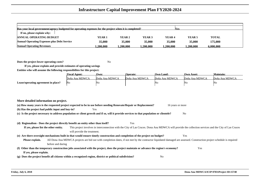| Has your local government/agency budgeted for operating expenses for the project when it is completed?<br><b>Nes</b> |                   |          |                   |                   |                   |              |  |  |  |  |  |
|----------------------------------------------------------------------------------------------------------------------|-------------------|----------|-------------------|-------------------|-------------------|--------------|--|--|--|--|--|
| If no, please explain why:                                                                                           |                   |          |                   |                   |                   |              |  |  |  |  |  |
| <b>ANNUAL OPERATING BUDGET</b>                                                                                       | YEAR <sub>1</sub> | YEAR 2   | YEAR <sub>3</sub> | YEAR <sub>4</sub> | YEAR <sub>5</sub> | <b>TOTAL</b> |  |  |  |  |  |
| <b>Annual Operating Expenses plus Debt Service</b>                                                                   | 35,000            | 35,000   | 35,000            | 35,000            | 35,000            | 175,000      |  |  |  |  |  |
| <b>Annual Operating Revenues</b>                                                                                     | .200.000          | .200.000 | 1.200.000         | .200.000          | .200.000          | 6.000.000    |  |  |  |  |  |

**Does the project lower operating costs?**<sup>2</sup> No

|                                     | <b>Fiscal Agent:</b> | Own:           | Operate:       | <b>Own Land:</b> | Own Asset:     | Maintain:      |
|-------------------------------------|----------------------|----------------|----------------|------------------|----------------|----------------|
|                                     | Doña Ana MDWCA       | Doña Ana MDWCA | Doña Ana MDWCA | Doña Ana MDWCA   | Doña Ana MDWCA | Doña Ana MDWCA |
| Lease/operating agreement in place? | No                   | 'No            |                | 'Nο              | IN G           | 'Nc            |

| More detailed information on project.                                                                                                                                                         |  |  |  |  |  |  |  |
|-----------------------------------------------------------------------------------------------------------------------------------------------------------------------------------------------|--|--|--|--|--|--|--|
| (a) How many years is the requested project expected to be in use before needing Renovate/Repair or Replacement?<br>16 years or more                                                          |  |  |  |  |  |  |  |
| (b) Has the project had public input and buy-in?<br>Yes                                                                                                                                       |  |  |  |  |  |  |  |
| (c) Is the project necessary to address population or client growth and if so, will it provide services to that population or clientele?<br>N <sub>0</sub>                                    |  |  |  |  |  |  |  |
|                                                                                                                                                                                               |  |  |  |  |  |  |  |
| (d) Regionalism - Does the project directly benefit an entity other than itself?<br>Yes                                                                                                       |  |  |  |  |  |  |  |
| This project involves in interconnection with the City of Las Cruces. Dona Ana MDWCA will provide the collection services and the City of Las Cruces<br>If yes, please list the other entity. |  |  |  |  |  |  |  |
| will provide the treatment.                                                                                                                                                                   |  |  |  |  |  |  |  |
| Are there oversight mechanisms built in that would ensure timely construction and completion of the project on budget?<br>Yes<br>(e)                                                          |  |  |  |  |  |  |  |
| All Dona Ana MDWCA projects are bid out with completion dates, if not met by the contractor liquidated damaged are assessed. Construction project schedule is required<br>Please explain.     |  |  |  |  |  |  |  |
| before and during                                                                                                                                                                             |  |  |  |  |  |  |  |
| Other than the temporary construction jobs associated with the project, does the project maintain or advance the region's economy?<br>Yes<br>(f)                                              |  |  |  |  |  |  |  |
| If yes, please explain.                                                                                                                                                                       |  |  |  |  |  |  |  |
| Does the project benefit all citizens within a recognized region, district or political subdivision?<br>N <sub>0</sub><br>$\left( \mathbf{g} \right)$                                         |  |  |  |  |  |  |  |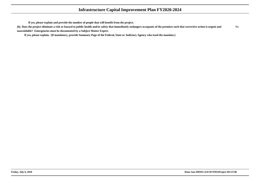**If yes, please explain and provide the number of people that will benefit from the project.**

**(h) Does the project eliminate a risk or hazard to public health and/or safety that immediately endangers occupants of the premises such that corrective action is urgent andunavoidable? Emergencies must be documented by a Subject Matter Expert.**No

**If yes, please explain. (If mandatory, provide Summary Page of the Federal, State or Judiciary Agency who issed the mandate.)**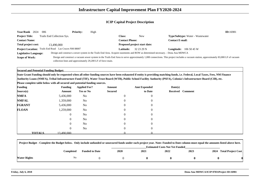| Year/Rank 2024                                                                                                                                                                                                 | 006                                             | <b>Priority:</b> | High                                                        |           |                              |                                         | ID:16981 |
|----------------------------------------------------------------------------------------------------------------------------------------------------------------------------------------------------------------|-------------------------------------------------|------------------|-------------------------------------------------------------|-----------|------------------------------|-----------------------------------------|----------|
| <b>Project Title:</b>                                                                                                                                                                                          | Trails End Collection Sys.                      |                  |                                                             | Class:    | <b>New</b>                   | <b>Type/Subtype:</b> Water - Wastewater |          |
| <b>Contact Name:</b>                                                                                                                                                                                           | <b>Contact E-mail:</b><br><b>Contact Phone:</b> |                  |                                                             |           |                              |                                         |          |
| Total project cost:                                                                                                                                                                                            | 13.490.000                                      |                  |                                                             |           | Proposed project start date: |                                         |          |
| <b>Project Location:</b>                                                                                                                                                                                       | Trails End Road Las Cruces NM 88007             |                  |                                                             | Latitude: | 32 23 29 N                   | <b>Longitude:</b> $1065045W$            |          |
| Design and construct a sewer system in the Trails End Area. Acquire easements and ROW as determined necessary. - Dona Ana MDWCA<br><b>Legislative Language:</b>                                                |                                                 |                  |                                                             |           |                              |                                         |          |
| Design and construct a vacuum sewer system in the Trails End Area to serve approximately 1,000 connections. This project includes a vacuum station, approximately 83,000 LF of vacuum<br><b>Scope of Work:</b> |                                                 |                  |                                                             |           |                              |                                         |          |
|                                                                                                                                                                                                                |                                                 |                  | collection lines and approximately 29,200 LF of force main. |           |                              |                                         |          |

**Secured and Potential Funding Budget:**

**State Grant Funding should only be requested when all other funding sources have been exhausted if entity is providing matching funds, i.e. Federal, Local Taxes, Fees, NM FinanceAuthority Loans (NMFA), Tribal Infrastructure Fund (TIF), Water Trust Board (WTB), Public School Facility Authority (PSFA), Colonia's Infrastructure Board (CIB), etc.**

| <b>Funding</b> |               | <b>Funding</b> | <b>Applied For?</b> | Amount         | <b>Amt Expended</b> | Date(s)          |  |
|----------------|---------------|----------------|---------------------|----------------|---------------------|------------------|--|
| Source(s)      |               | Amount         | <b>Yes or No</b>    | <b>Secured</b> | to Date             | Received Comment |  |
| <b>NMFA</b>    |               | 5,436,000      | No                  | $\overline{0}$ | $\boldsymbol{0}$    |                  |  |
| <b>NMFAL</b>   |               | 1,359,000      | No                  | $\theta$       | $\overline{0}$      |                  |  |
| <b>FGRANT</b>  |               | 5,436,000      | No                  | $\overline{0}$ | $\overline{0}$      |                  |  |
| <b>FLOAN</b>   |               | 1,259,000      | No                  | $\overline{0}$ | $\overline{0}$      |                  |  |
|                |               | $\overline{0}$ | No                  | $\overline{0}$ | $\overline{0}$      |                  |  |
|                |               | $\overline{0}$ | No                  | $\overline{0}$ | $\overline{0}$      |                  |  |
|                |               | $\overline{0}$ | N <sub>o</sub>      | $\Omega$       | $\overline{0}$      |                  |  |
|                |               | $\overline{0}$ | No                  | $\overline{0}$ | $\overline{0}$      |                  |  |
|                | <b>TOTALS</b> | 13.490.000     |                     |                |                     |                  |  |

| Project Budget - Complete the Budget below. Only include unfunded or unsecured funds under each project year. Note: Funded to Date column must equal the amounts listed above here. |           |                       |                                       |      |      |      |                         |  |
|-------------------------------------------------------------------------------------------------------------------------------------------------------------------------------------|-----------|-----------------------|---------------------------------------|------|------|------|-------------------------|--|
|                                                                                                                                                                                     |           |                       | <b>Estimated Costs Not Yet Funded</b> |      |      |      |                         |  |
|                                                                                                                                                                                     | Completed | <b>Funded to Date</b> | <b>2020</b>                           | 2021 | 2022 | 2023 | 2024 Total Project Cost |  |
| Water Rights                                                                                                                                                                        | N0        |                       |                                       |      |      |      |                         |  |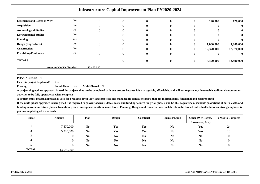| <b>Infrastructure Capital Improvement Plan FY2020-2024</b> |                              |                   |          |              |  |              |            |            |
|------------------------------------------------------------|------------------------------|-------------------|----------|--------------|--|--------------|------------|------------|
| <b>Easements and Rights of Way</b>                         | No                           |                   | $\Omega$ | 0            |  | o            | 120,000    | 120,000    |
| <b>Acquisition</b>                                         | No                           |                   | $\Omega$ | o            |  |              |            |            |
| <b>Archaeological Studies</b>                              | No                           |                   | $\theta$ | $\mathbf{0}$ |  |              |            |            |
| <b>Environmental Studies</b>                               | No                           |                   |          |              |  |              |            |            |
| <b>Planning</b>                                            | Yes                          |                   |          |              |  |              |            |            |
| Design (Engr./Arch.)                                       | No                           |                   |          | o            |  | 0            | 1,000,000  | 1,000,000  |
| <b>Construction</b>                                        | No                           | $\mathbf{\Omega}$ | $\Omega$ | 0            |  | $\bf{0}$     | 12,370,000 | 12,370,000 |
| <b>Furnishing/Equipment</b>                                | No                           |                   | $\theta$ | 0            |  | v            |            |            |
| <b>TOTALS</b>                                              |                              | $\mathbf{\Omega}$ | $\Omega$ | $\bf{0}$     |  | $\mathbf{0}$ | 13,490,000 | 13,490,000 |
|                                                            | <b>Amount Not Yet Funded</b> | 13.490.000        |          |              |  |              |            |            |

 **Can this project be phased?**Yes

**Phasing: Stand Alone:** No**Multi-Phased:** No

**A project single phase approach is used for projects that can be completed with one process because it is manageable, affordable, and will not require any foreseeable additional resources oractivities to be fully operational when complete.**

**A project multi-phased approach is used for breaking down very large projects into manageable standalone parts that are independently functional and easier to fund.**

| <b>Phase</b> | Amount     | Plan           | <b>Design</b>  | Construct      | Furnish/Equip  | Other (Wtr Rights, | # Mos to Complete |
|--------------|------------|----------------|----------------|----------------|----------------|--------------------|-------------------|
|              |            |                |                |                |                | Easements, Acq)    |                   |
|              | 7,670,000  | N <sub>0</sub> | Yes            | Yes            | N <sub>0</sub> | Yes                | 24                |
| 2            | 5,920,000  | N <sub>0</sub> | Yes            | <b>Yes</b>     | N <sub>0</sub> | Yes                | 18                |
|              |            | N <sub>0</sub> | N <sub>0</sub> | N <sub>0</sub> | N <sub>0</sub> | N <sub>0</sub>     |                   |
|              |            | N <sub>0</sub> | N <sub>0</sub> | N <sub>0</sub> | N <sub>0</sub> | N <sub>0</sub>     |                   |
|              |            | N <sub>0</sub> | N <sub>0</sub> | N <sub>0</sub> | N <sub>0</sub> | N <sub>0</sub>     |                   |
| <b>TOTAL</b> | 13.590.000 |                |                |                |                |                    |                   |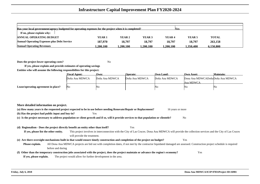| Has your local government/agency budgeted for operating expenses for the project when it is completed?<br><b>Yes</b><br>If no, please explain why: |          |          |          |                   |                   |              |  |  |
|----------------------------------------------------------------------------------------------------------------------------------------------------|----------|----------|----------|-------------------|-------------------|--------------|--|--|
| <b>ANNUAL OPERATING BUDGET</b>                                                                                                                     | YEAR 1   | YEAR 2   | YEAR 3   | YEAR <sub>4</sub> | YEAR <sub>5</sub> | <b>TOTAL</b> |  |  |
| <b>Annual Operating Expenses plus Debt Service</b>                                                                                                 | 187,970  | 18,797   | 18.797   | 18,797            | 18.797            | 263,158      |  |  |
| <b>Annual Operating Revenues</b>                                                                                                                   | .200.100 | .200.100 | .200.100 | 1.200.100         | 1.350.400         | 6.150.800    |  |  |

**Does the project lower operating costs?**<sup>2</sup> No

|                                     | <b>Fiscal Agent:</b> | Own:           | <b>Operate:</b> | Own Land:      | <b>Own Asset:</b>                | Maintain: |
|-------------------------------------|----------------------|----------------|-----------------|----------------|----------------------------------|-----------|
|                                     | Doña Ana MDWCA       | Doña Ana MDWCA | Doña Ana MDWCA  | Doña Ana MDWCA | Dona Ana MDWCADoñaDoña Ana MDWCA |           |
|                                     |                      |                |                 |                | Ana MDWCA                        |           |
| Lease/operating agreement in place? | IΝo                  | IN C           |                 | ΙNΟ            | No                               | No        |

| More detailed information on project.                                                                                                                      |                                                                                                                                                                        |                  |  |  |  |  |  |
|------------------------------------------------------------------------------------------------------------------------------------------------------------|------------------------------------------------------------------------------------------------------------------------------------------------------------------------|------------------|--|--|--|--|--|
|                                                                                                                                                            | (a) How many years is the requested project expected to be in use before needing Renovate/Repair or Replacement?                                                       | 16 years or more |  |  |  |  |  |
| (b) Has the project had public input and buy-in?                                                                                                           | Yes                                                                                                                                                                    |                  |  |  |  |  |  |
| (c) Is the project necessary to address population or client growth and if so, will it provide services to that population or clientele?<br>N <sub>0</sub> |                                                                                                                                                                        |                  |  |  |  |  |  |
|                                                                                                                                                            |                                                                                                                                                                        |                  |  |  |  |  |  |
| (d) Regionalism - Does the project directly benefit an entity other than itself?                                                                           | Yes                                                                                                                                                                    |                  |  |  |  |  |  |
| If yes, please list the other entity.                                                                                                                      | This project involves in interconnection with the City of Las Cruces. Dona Ana MDWCA will provide the collection services and the City of Las Cruces                   |                  |  |  |  |  |  |
|                                                                                                                                                            | will provide the treatment.                                                                                                                                            |                  |  |  |  |  |  |
|                                                                                                                                                            | (e) Are there oversight mechanisms built in that would ensure timely construction and completion of the project on budget?                                             | Yes              |  |  |  |  |  |
| Please explain.                                                                                                                                            | All Dona Ana MDWCA projects are bid out with completion dates, if not met by the contractor liquidated damaged are assessed. Construction project schedule is required |                  |  |  |  |  |  |
| before and during                                                                                                                                          |                                                                                                                                                                        |                  |  |  |  |  |  |
|                                                                                                                                                            | (f) Other than the temporary construction jobs associated with the project, does the project maintain or advance the region's economy?                                 | Yes              |  |  |  |  |  |
| If yes, please explain.                                                                                                                                    | The project would allow for further development in the area.                                                                                                           |                  |  |  |  |  |  |
|                                                                                                                                                            |                                                                                                                                                                        |                  |  |  |  |  |  |